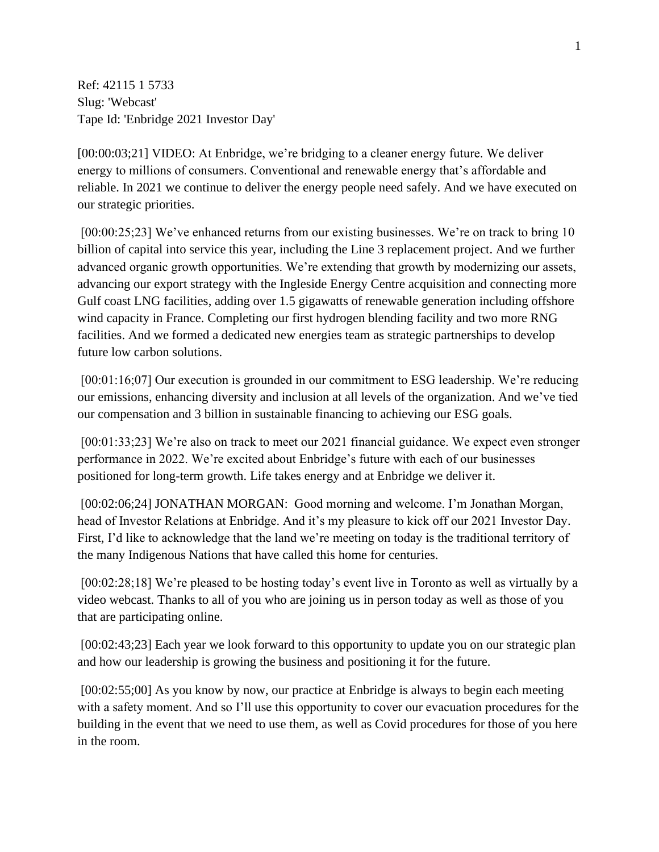Ref: 42115 1 5733 Slug: 'Webcast' Tape Id: 'Enbridge 2021 Investor Day'

[00:00:03;21] VIDEO: At Enbridge, we're bridging to a cleaner energy future. We deliver energy to millions of consumers. Conventional and renewable energy that's affordable and reliable. In 2021 we continue to deliver the energy people need safely. And we have executed on our strategic priorities.

[00:00:25;23] We've enhanced returns from our existing businesses. We're on track to bring 10 billion of capital into service this year, including the Line 3 replacement project. And we further advanced organic growth opportunities. We're extending that growth by modernizing our assets, advancing our export strategy with the Ingleside Energy Centre acquisition and connecting more Gulf coast LNG facilities, adding over 1.5 gigawatts of renewable generation including offshore wind capacity in France. Completing our first hydrogen blending facility and two more RNG facilities. And we formed a dedicated new energies team as strategic partnerships to develop future low carbon solutions.

[00:01:16;07] Our execution is grounded in our commitment to ESG leadership. We're reducing our emissions, enhancing diversity and inclusion at all levels of the organization. And we've tied our compensation and 3 billion in sustainable financing to achieving our ESG goals.

[00:01:33;23] We're also on track to meet our 2021 financial guidance. We expect even stronger performance in 2022. We're excited about Enbridge's future with each of our businesses positioned for long-term growth. Life takes energy and at Enbridge we deliver it.

[00:02:06;24] JONATHAN MORGAN: Good morning and welcome. I'm Jonathan Morgan, head of Investor Relations at Enbridge. And it's my pleasure to kick off our 2021 Investor Day. First, I'd like to acknowledge that the land we're meeting on today is the traditional territory of the many Indigenous Nations that have called this home for centuries.

[00:02:28;18] We're pleased to be hosting today's event live in Toronto as well as virtually by a video webcast. Thanks to all of you who are joining us in person today as well as those of you that are participating online.

[00:02:43;23] Each year we look forward to this opportunity to update you on our strategic plan and how our leadership is growing the business and positioning it for the future.

[00:02:55;00] As you know by now, our practice at Enbridge is always to begin each meeting with a safety moment. And so I'll use this opportunity to cover our evacuation procedures for the building in the event that we need to use them, as well as Covid procedures for those of you here in the room.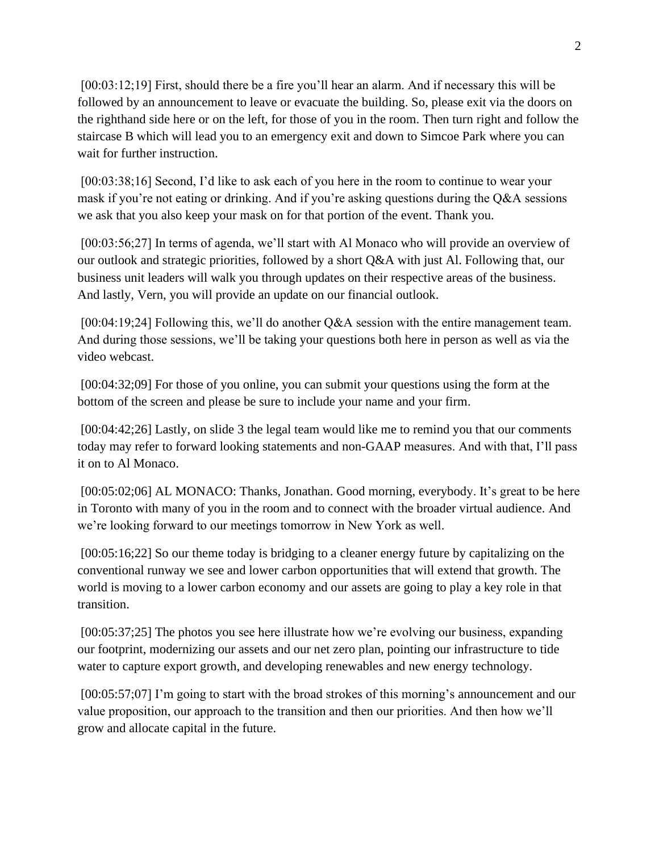[00:03:12;19] First, should there be a fire you'll hear an alarm. And if necessary this will be followed by an announcement to leave or evacuate the building. So, please exit via the doors on the righthand side here or on the left, for those of you in the room. Then turn right and follow the staircase B which will lead you to an emergency exit and down to Simcoe Park where you can wait for further instruction.

[00:03:38;16] Second, I'd like to ask each of you here in the room to continue to wear your mask if you're not eating or drinking. And if you're asking questions during the Q&A sessions we ask that you also keep your mask on for that portion of the event. Thank you.

[00:03:56;27] In terms of agenda, we'll start with Al Monaco who will provide an overview of our outlook and strategic priorities, followed by a short Q&A with just Al. Following that, our business unit leaders will walk you through updates on their respective areas of the business. And lastly, Vern, you will provide an update on our financial outlook.

[00:04:19;24] Following this, we'll do another Q&A session with the entire management team. And during those sessions, we'll be taking your questions both here in person as well as via the video webcast.

[00:04:32;09] For those of you online, you can submit your questions using the form at the bottom of the screen and please be sure to include your name and your firm.

[00:04:42;26] Lastly, on slide 3 the legal team would like me to remind you that our comments today may refer to forward looking statements and non-GAAP measures. And with that, I'll pass it on to Al Monaco.

[00:05:02;06] AL MONACO: Thanks, Jonathan. Good morning, everybody. It's great to be here in Toronto with many of you in the room and to connect with the broader virtual audience. And we're looking forward to our meetings tomorrow in New York as well.

[00:05:16;22] So our theme today is bridging to a cleaner energy future by capitalizing on the conventional runway we see and lower carbon opportunities that will extend that growth. The world is moving to a lower carbon economy and our assets are going to play a key role in that transition.

[00:05:37;25] The photos you see here illustrate how we're evolving our business, expanding our footprint, modernizing our assets and our net zero plan, pointing our infrastructure to tide water to capture export growth, and developing renewables and new energy technology.

[00:05:57;07] I'm going to start with the broad strokes of this morning's announcement and our value proposition, our approach to the transition and then our priorities. And then how we'll grow and allocate capital in the future.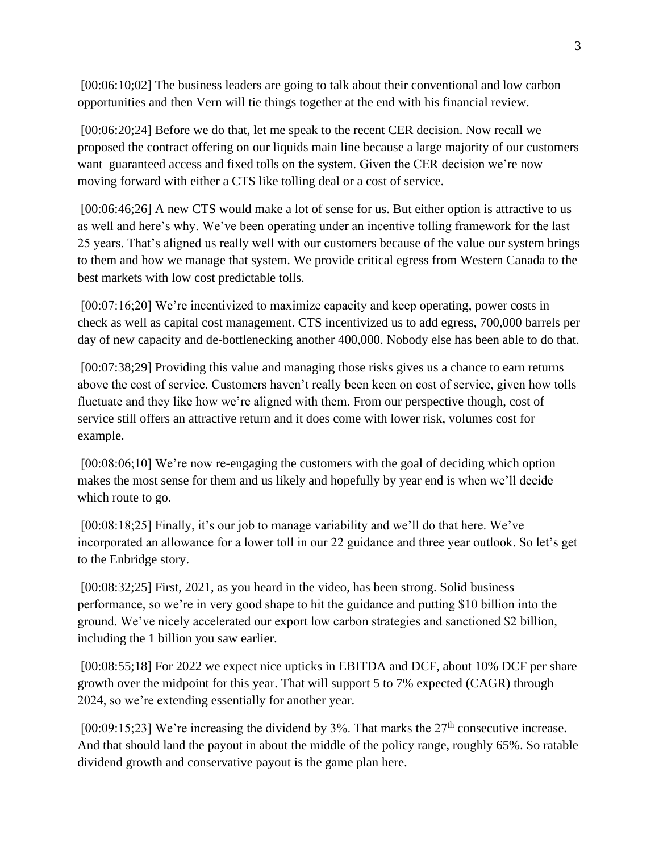[00:06:10;02] The business leaders are going to talk about their conventional and low carbon opportunities and then Vern will tie things together at the end with his financial review.

[00:06:20;24] Before we do that, let me speak to the recent CER decision. Now recall we proposed the contract offering on our liquids main line because a large majority of our customers want guaranteed access and fixed tolls on the system. Given the CER decision we're now moving forward with either a CTS like tolling deal or a cost of service.

[00:06:46;26] A new CTS would make a lot of sense for us. But either option is attractive to us as well and here's why. We've been operating under an incentive tolling framework for the last 25 years. That's aligned us really well with our customers because of the value our system brings to them and how we manage that system. We provide critical egress from Western Canada to the best markets with low cost predictable tolls.

[00:07:16;20] We're incentivized to maximize capacity and keep operating, power costs in check as well as capital cost management. CTS incentivized us to add egress, 700,000 barrels per day of new capacity and de-bottlenecking another 400,000. Nobody else has been able to do that.

[00:07:38;29] Providing this value and managing those risks gives us a chance to earn returns above the cost of service. Customers haven't really been keen on cost of service, given how tolls fluctuate and they like how we're aligned with them. From our perspective though, cost of service still offers an attractive return and it does come with lower risk, volumes cost for example.

[00:08:06;10] We're now re-engaging the customers with the goal of deciding which option makes the most sense for them and us likely and hopefully by year end is when we'll decide which route to go.

[00:08:18;25] Finally, it's our job to manage variability and we'll do that here. We've incorporated an allowance for a lower toll in our 22 guidance and three year outlook. So let's get to the Enbridge story.

[00:08:32;25] First, 2021, as you heard in the video, has been strong. Solid business performance, so we're in very good shape to hit the guidance and putting \$10 billion into the ground. We've nicely accelerated our export low carbon strategies and sanctioned \$2 billion, including the 1 billion you saw earlier.

[00:08:55;18] For 2022 we expect nice upticks in EBITDA and DCF, about 10% DCF per share growth over the midpoint for this year. That will support 5 to 7% expected (CAGR) through 2024, so we're extending essentially for another year.

[00:09:15;23] We're increasing the dividend by  $3\%$ . That marks the  $27<sup>th</sup>$  consecutive increase. And that should land the payout in about the middle of the policy range, roughly 65%. So ratable dividend growth and conservative payout is the game plan here.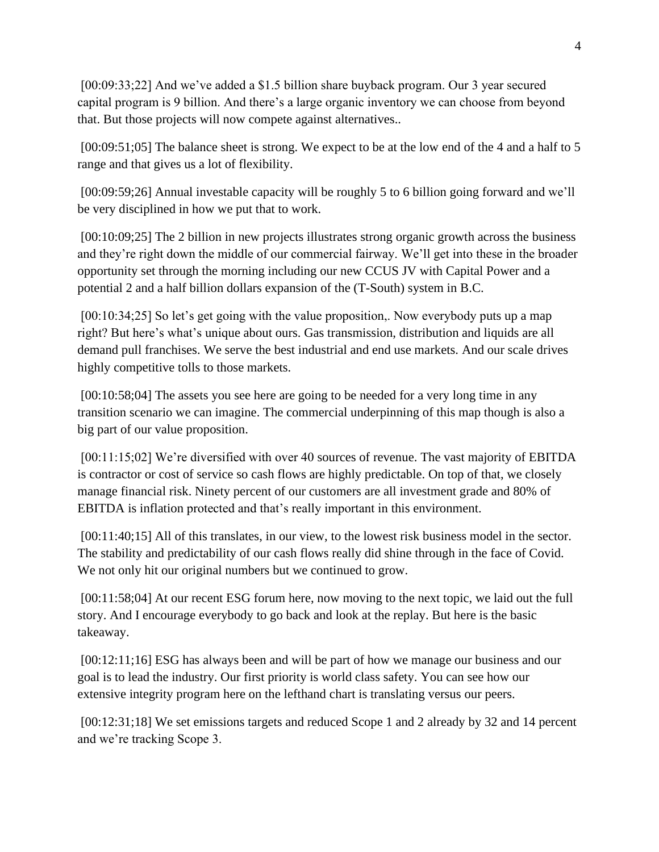[00:09:33;22] And we've added a \$1.5 billion share buyback program. Our 3 year secured capital program is 9 billion. And there's a large organic inventory we can choose from beyond that. But those projects will now compete against alternatives..

[00:09:51;05] The balance sheet is strong. We expect to be at the low end of the 4 and a half to 5 range and that gives us a lot of flexibility.

[00:09:59;26] Annual investable capacity will be roughly 5 to 6 billion going forward and we'll be very disciplined in how we put that to work.

[00:10:09;25] The 2 billion in new projects illustrates strong organic growth across the business and they're right down the middle of our commercial fairway. We'll get into these in the broader opportunity set through the morning including our new CCUS JV with Capital Power and a potential 2 and a half billion dollars expansion of the (T-South) system in B.C.

[00:10:34;25] So let's get going with the value proposition,. Now everybody puts up a map right? But here's what's unique about ours. Gas transmission, distribution and liquids are all demand pull franchises. We serve the best industrial and end use markets. And our scale drives highly competitive tolls to those markets.

[00:10:58;04] The assets you see here are going to be needed for a very long time in any transition scenario we can imagine. The commercial underpinning of this map though is also a big part of our value proposition.

[00:11:15;02] We're diversified with over 40 sources of revenue. The vast majority of EBITDA is contractor or cost of service so cash flows are highly predictable. On top of that, we closely manage financial risk. Ninety percent of our customers are all investment grade and 80% of EBITDA is inflation protected and that's really important in this environment.

[00:11:40;15] All of this translates, in our view, to the lowest risk business model in the sector. The stability and predictability of our cash flows really did shine through in the face of Covid. We not only hit our original numbers but we continued to grow.

[00:11:58;04] At our recent ESG forum here, now moving to the next topic, we laid out the full story. And I encourage everybody to go back and look at the replay. But here is the basic takeaway.

[00:12:11;16] ESG has always been and will be part of how we manage our business and our goal is to lead the industry. Our first priority is world class safety. You can see how our extensive integrity program here on the lefthand chart is translating versus our peers.

[00:12:31;18] We set emissions targets and reduced Scope 1 and 2 already by 32 and 14 percent and we're tracking Scope 3.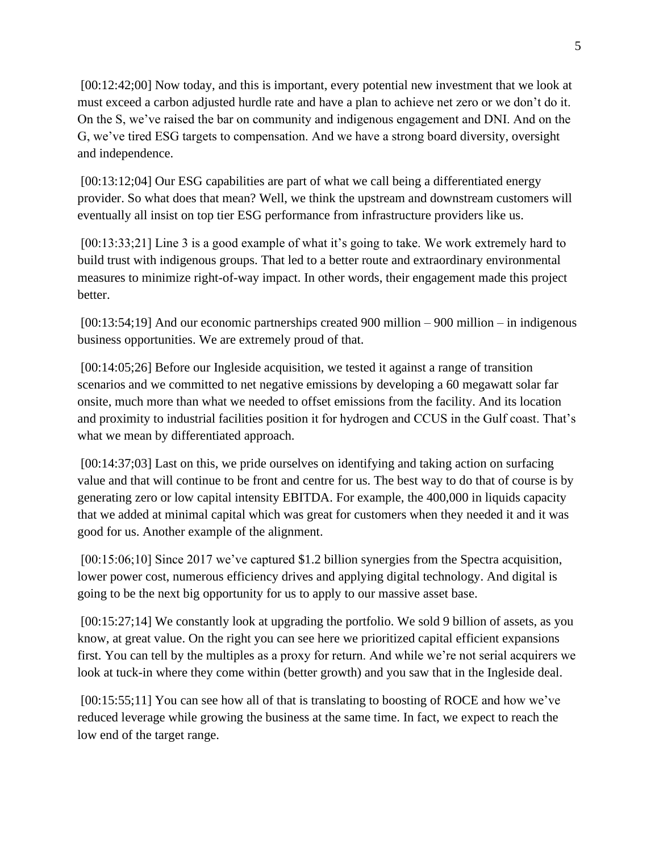[00:12:42;00] Now today, and this is important, every potential new investment that we look at must exceed a carbon adjusted hurdle rate and have a plan to achieve net zero or we don't do it. On the S, we've raised the bar on community and indigenous engagement and DNI. And on the G, we've tired ESG targets to compensation. And we have a strong board diversity, oversight and independence.

[00:13:12;04] Our ESG capabilities are part of what we call being a differentiated energy provider. So what does that mean? Well, we think the upstream and downstream customers will eventually all insist on top tier ESG performance from infrastructure providers like us.

[00:13:33;21] Line 3 is a good example of what it's going to take. We work extremely hard to build trust with indigenous groups. That led to a better route and extraordinary environmental measures to minimize right-of-way impact. In other words, their engagement made this project better.

[00:13:54;19] And our economic partnerships created 900 million – 900 million – in indigenous business opportunities. We are extremely proud of that.

[00:14:05;26] Before our Ingleside acquisition, we tested it against a range of transition scenarios and we committed to net negative emissions by developing a 60 megawatt solar far onsite, much more than what we needed to offset emissions from the facility. And its location and proximity to industrial facilities position it for hydrogen and CCUS in the Gulf coast. That's what we mean by differentiated approach.

[00:14:37;03] Last on this, we pride ourselves on identifying and taking action on surfacing value and that will continue to be front and centre for us. The best way to do that of course is by generating zero or low capital intensity EBITDA. For example, the 400,000 in liquids capacity that we added at minimal capital which was great for customers when they needed it and it was good for us. Another example of the alignment.

[00:15:06;10] Since 2017 we've captured \$1.2 billion synergies from the Spectra acquisition, lower power cost, numerous efficiency drives and applying digital technology. And digital is going to be the next big opportunity for us to apply to our massive asset base.

[00:15:27;14] We constantly look at upgrading the portfolio. We sold 9 billion of assets, as you know, at great value. On the right you can see here we prioritized capital efficient expansions first. You can tell by the multiples as a proxy for return. And while we're not serial acquirers we look at tuck-in where they come within (better growth) and you saw that in the Ingleside deal.

[00:15:55;11] You can see how all of that is translating to boosting of ROCE and how we've reduced leverage while growing the business at the same time. In fact, we expect to reach the low end of the target range.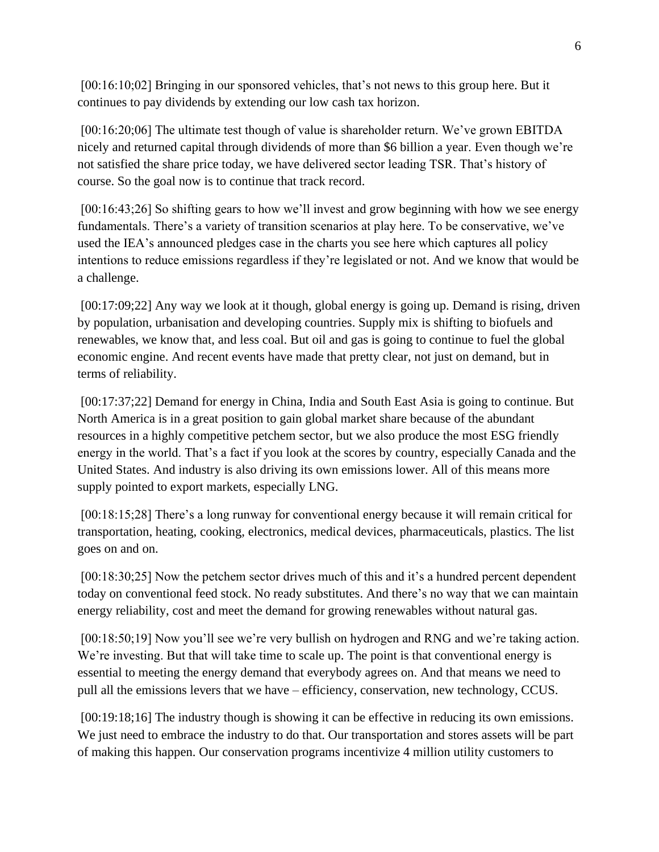[00:16:10;02] Bringing in our sponsored vehicles, that's not news to this group here. But it continues to pay dividends by extending our low cash tax horizon.

[00:16:20;06] The ultimate test though of value is shareholder return. We've grown EBITDA nicely and returned capital through dividends of more than \$6 billion a year. Even though we're not satisfied the share price today, we have delivered sector leading TSR. That's history of course. So the goal now is to continue that track record.

[00:16:43;26] So shifting gears to how we'll invest and grow beginning with how we see energy fundamentals. There's a variety of transition scenarios at play here. To be conservative, we've used the IEA's announced pledges case in the charts you see here which captures all policy intentions to reduce emissions regardless if they're legislated or not. And we know that would be a challenge.

[00:17:09;22] Any way we look at it though, global energy is going up. Demand is rising, driven by population, urbanisation and developing countries. Supply mix is shifting to biofuels and renewables, we know that, and less coal. But oil and gas is going to continue to fuel the global economic engine. And recent events have made that pretty clear, not just on demand, but in terms of reliability.

[00:17:37;22] Demand for energy in China, India and South East Asia is going to continue. But North America is in a great position to gain global market share because of the abundant resources in a highly competitive petchem sector, but we also produce the most ESG friendly energy in the world. That's a fact if you look at the scores by country, especially Canada and the United States. And industry is also driving its own emissions lower. All of this means more supply pointed to export markets, especially LNG.

[00:18:15;28] There's a long runway for conventional energy because it will remain critical for transportation, heating, cooking, electronics, medical devices, pharmaceuticals, plastics. The list goes on and on.

[00:18:30;25] Now the petchem sector drives much of this and it's a hundred percent dependent today on conventional feed stock. No ready substitutes. And there's no way that we can maintain energy reliability, cost and meet the demand for growing renewables without natural gas.

[00:18:50;19] Now you'll see we're very bullish on hydrogen and RNG and we're taking action. We're investing. But that will take time to scale up. The point is that conventional energy is essential to meeting the energy demand that everybody agrees on. And that means we need to pull all the emissions levers that we have – efficiency, conservation, new technology, CCUS.

[00:19:18;16] The industry though is showing it can be effective in reducing its own emissions. We just need to embrace the industry to do that. Our transportation and stores assets will be part of making this happen. Our conservation programs incentivize 4 million utility customers to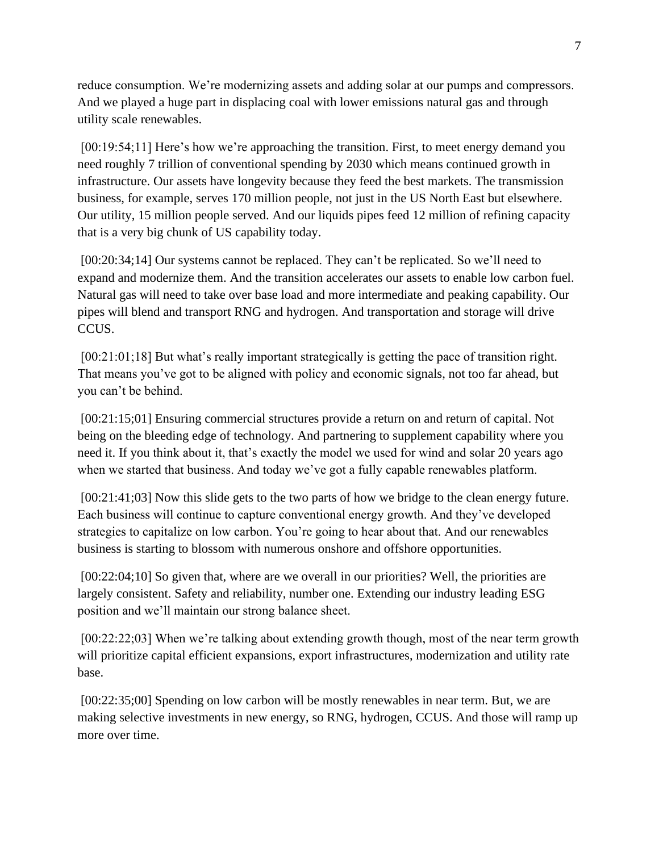reduce consumption. We're modernizing assets and adding solar at our pumps and compressors. And we played a huge part in displacing coal with lower emissions natural gas and through utility scale renewables.

[00:19:54;11] Here's how we're approaching the transition. First, to meet energy demand you need roughly 7 trillion of conventional spending by 2030 which means continued growth in infrastructure. Our assets have longevity because they feed the best markets. The transmission business, for example, serves 170 million people, not just in the US North East but elsewhere. Our utility, 15 million people served. And our liquids pipes feed 12 million of refining capacity that is a very big chunk of US capability today.

[00:20:34;14] Our systems cannot be replaced. They can't be replicated. So we'll need to expand and modernize them. And the transition accelerates our assets to enable low carbon fuel. Natural gas will need to take over base load and more intermediate and peaking capability. Our pipes will blend and transport RNG and hydrogen. And transportation and storage will drive CCUS.

[00:21:01;18] But what's really important strategically is getting the pace of transition right. That means you've got to be aligned with policy and economic signals, not too far ahead, but you can't be behind.

[00:21:15;01] Ensuring commercial structures provide a return on and return of capital. Not being on the bleeding edge of technology. And partnering to supplement capability where you need it. If you think about it, that's exactly the model we used for wind and solar 20 years ago when we started that business. And today we've got a fully capable renewables platform.

[00:21:41;03] Now this slide gets to the two parts of how we bridge to the clean energy future. Each business will continue to capture conventional energy growth. And they've developed strategies to capitalize on low carbon. You're going to hear about that. And our renewables business is starting to blossom with numerous onshore and offshore opportunities.

[00:22:04;10] So given that, where are we overall in our priorities? Well, the priorities are largely consistent. Safety and reliability, number one. Extending our industry leading ESG position and we'll maintain our strong balance sheet.

[00:22:22;03] When we're talking about extending growth though, most of the near term growth will prioritize capital efficient expansions, export infrastructures, modernization and utility rate base.

[00:22:35;00] Spending on low carbon will be mostly renewables in near term. But, we are making selective investments in new energy, so RNG, hydrogen, CCUS. And those will ramp up more over time.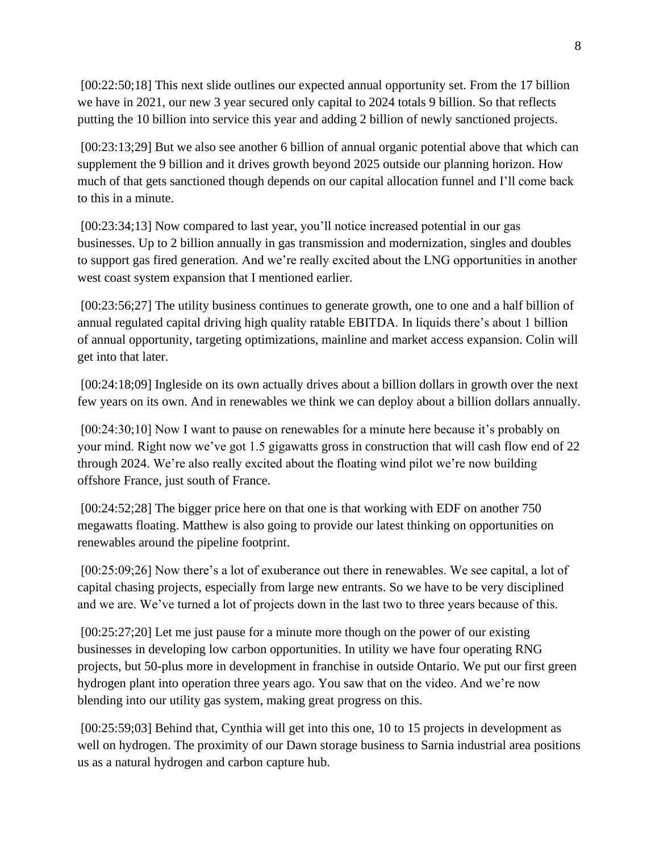[00:22:50;18] This next slide outlines our expected annual opportunity set. From the 17 billion we have in 2021, our new 3 year secured only capital to 2024 totals 9 billion. So that reflects putting the 10 billion into service this year and adding 2 billion of newly sanctioned projects.

[00:23:13;29] But we also see another 6 billion of annual organic potential above that which can supplement the 9 billion and it drives growth beyond 2025 outside our planning horizon. How much of that gets sanctioned though depends on our capital allocation funnel and I'll come back to this in a minute.

[00:23:34;13] Now compared to last year, you'll notice increased potential in our gas businesses. Up to 2 billion annually in gas transmission and modernization, singles and doubles to support gas fired generation. And we're really excited about the LNG opportunities in another west coast system expansion that I mentioned earlier.

[00:23:56;27] The utility business continues to generate growth, one to one and a half billion of annual regulated capital driving high quality ratable EBITDA. In liquids there's about 1 billion of annual opportunity, targeting optimizations, mainline and market access expansion. Colin will get into that later.

[00:24:18;09] Ingleside on its own actually drives about a billion dollars in growth over the next few years on its own. And in renewables we think we can deploy about a billion dollars annually.

[00:24:30;10] Now I want to pause on renewables for a minute here because it's probably on your mind. Right now we've got 1.5 gigawatts gross in construction that will cash flow end of 22 through 2024. We're also really excited about the floating wind pilot we're now building offshore France, just south of France.

[00:24:52;28] The bigger price here on that one is that working with EDF on another 750 megawatts floating. Matthew is also going to provide our latest thinking on opportunities on renewables around the pipeline footprint.

[00:25:09;26] Now there's a lot of exuberance out there in renewables. We see capital, a lot of capital chasing projects, especially from large new entrants. So we have to be very disciplined and we are. We've turned a lot of projects down in the last two to three years because of this.

[00:25:27;20] Let me just pause for a minute more though on the power of our existing businesses in developing low carbon opportunities. In utility we have four operating RNG projects, but 50-plus more in development in franchise in outside Ontario. We put our first green hydrogen plant into operation three years ago. You saw that on the video. And we're now blending into our utility gas system, making great progress on this.

[00:25:59;03] Behind that, Cynthia will get into this one, 10 to 15 projects in development as well on hydrogen. The proximity of our Dawn storage business to Sarnia industrial area positions us as a natural hydrogen and carbon capture hub.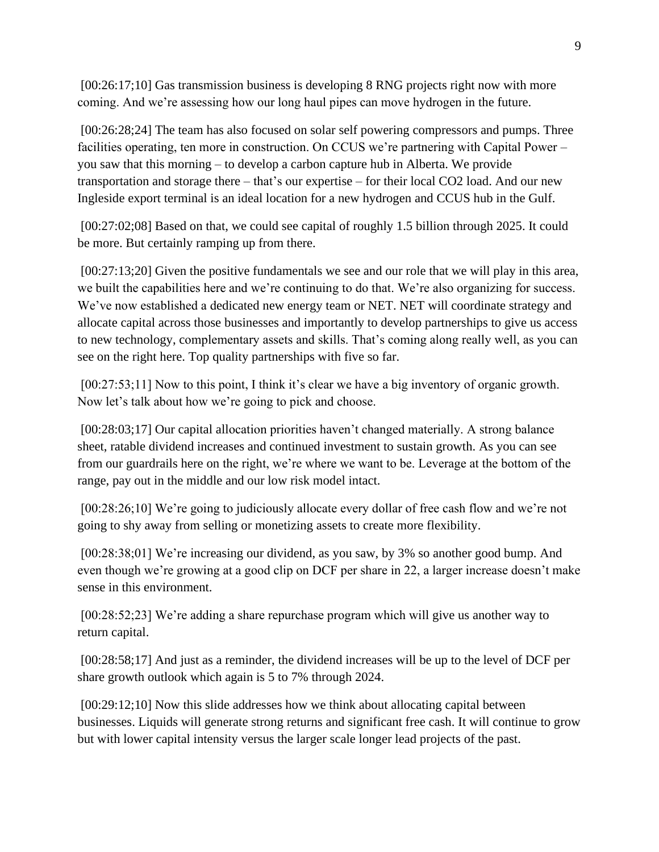[00:26:17;10] Gas transmission business is developing 8 RNG projects right now with more coming. And we're assessing how our long haul pipes can move hydrogen in the future.

[00:26:28;24] The team has also focused on solar self powering compressors and pumps. Three facilities operating, ten more in construction. On CCUS we're partnering with Capital Power – you saw that this morning – to develop a carbon capture hub in Alberta. We provide transportation and storage there – that's our expertise – for their local CO2 load. And our new Ingleside export terminal is an ideal location for a new hydrogen and CCUS hub in the Gulf.

[00:27:02;08] Based on that, we could see capital of roughly 1.5 billion through 2025. It could be more. But certainly ramping up from there.

[00:27:13;20] Given the positive fundamentals we see and our role that we will play in this area, we built the capabilities here and we're continuing to do that. We're also organizing for success. We've now established a dedicated new energy team or NET. NET will coordinate strategy and allocate capital across those businesses and importantly to develop partnerships to give us access to new technology, complementary assets and skills. That's coming along really well, as you can see on the right here. Top quality partnerships with five so far.

[00:27:53;11] Now to this point, I think it's clear we have a big inventory of organic growth. Now let's talk about how we're going to pick and choose.

[00:28:03;17] Our capital allocation priorities haven't changed materially. A strong balance sheet, ratable dividend increases and continued investment to sustain growth. As you can see from our guardrails here on the right, we're where we want to be. Leverage at the bottom of the range, pay out in the middle and our low risk model intact.

[00:28:26;10] We're going to judiciously allocate every dollar of free cash flow and we're not going to shy away from selling or monetizing assets to create more flexibility.

[00:28:38;01] We're increasing our dividend, as you saw, by 3% so another good bump. And even though we're growing at a good clip on DCF per share in 22, a larger increase doesn't make sense in this environment.

[00:28:52;23] We're adding a share repurchase program which will give us another way to return capital.

[00:28:58;17] And just as a reminder, the dividend increases will be up to the level of DCF per share growth outlook which again is 5 to 7% through 2024.

[00:29:12;10] Now this slide addresses how we think about allocating capital between businesses. Liquids will generate strong returns and significant free cash. It will continue to grow but with lower capital intensity versus the larger scale longer lead projects of the past.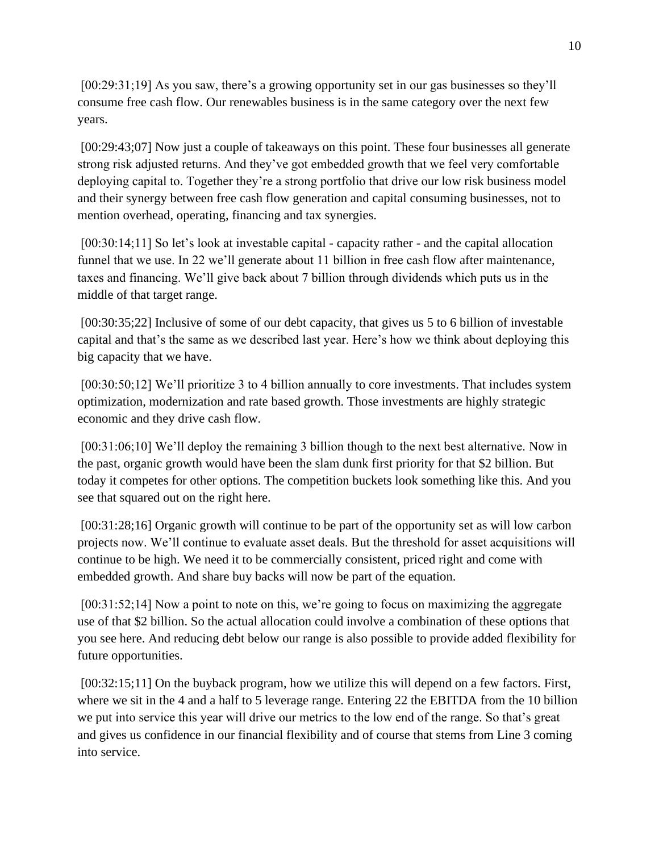[00:29:31;19] As you saw, there's a growing opportunity set in our gas businesses so they'll consume free cash flow. Our renewables business is in the same category over the next few years.

[00:29:43;07] Now just a couple of takeaways on this point. These four businesses all generate strong risk adjusted returns. And they've got embedded growth that we feel very comfortable deploying capital to. Together they're a strong portfolio that drive our low risk business model and their synergy between free cash flow generation and capital consuming businesses, not to mention overhead, operating, financing and tax synergies.

[00:30:14;11] So let's look at investable capital - capacity rather - and the capital allocation funnel that we use. In 22 we'll generate about 11 billion in free cash flow after maintenance, taxes and financing. We'll give back about 7 billion through dividends which puts us in the middle of that target range.

[00:30:35;22] Inclusive of some of our debt capacity, that gives us 5 to 6 billion of investable capital and that's the same as we described last year. Here's how we think about deploying this big capacity that we have.

[00:30:50;12] We'll prioritize 3 to 4 billion annually to core investments. That includes system optimization, modernization and rate based growth. Those investments are highly strategic economic and they drive cash flow.

[00:31:06;10] We'll deploy the remaining 3 billion though to the next best alternative. Now in the past, organic growth would have been the slam dunk first priority for that \$2 billion. But today it competes for other options. The competition buckets look something like this. And you see that squared out on the right here.

[00:31:28;16] Organic growth will continue to be part of the opportunity set as will low carbon projects now. We'll continue to evaluate asset deals. But the threshold for asset acquisitions will continue to be high. We need it to be commercially consistent, priced right and come with embedded growth. And share buy backs will now be part of the equation.

[00:31:52;14] Now a point to note on this, we're going to focus on maximizing the aggregate use of that \$2 billion. So the actual allocation could involve a combination of these options that you see here. And reducing debt below our range is also possible to provide added flexibility for future opportunities.

[00:32:15;11] On the buyback program, how we utilize this will depend on a few factors. First, where we sit in the 4 and a half to 5 leverage range. Entering 22 the EBITDA from the 10 billion we put into service this year will drive our metrics to the low end of the range. So that's great and gives us confidence in our financial flexibility and of course that stems from Line 3 coming into service.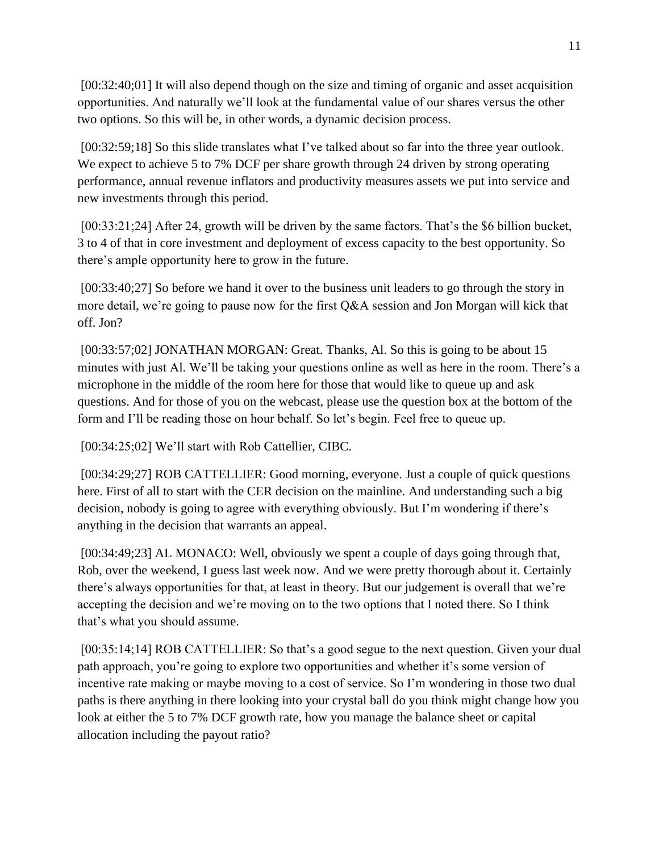[00:32:40;01] It will also depend though on the size and timing of organic and asset acquisition opportunities. And naturally we'll look at the fundamental value of our shares versus the other two options. So this will be, in other words, a dynamic decision process.

[00:32:59;18] So this slide translates what I've talked about so far into the three year outlook. We expect to achieve 5 to 7% DCF per share growth through 24 driven by strong operating performance, annual revenue inflators and productivity measures assets we put into service and new investments through this period.

[00:33:21;24] After 24, growth will be driven by the same factors. That's the \$6 billion bucket, 3 to 4 of that in core investment and deployment of excess capacity to the best opportunity. So there's ample opportunity here to grow in the future.

[00:33:40;27] So before we hand it over to the business unit leaders to go through the story in more detail, we're going to pause now for the first Q&A session and Jon Morgan will kick that off. Jon?

[00:33:57;02] JONATHAN MORGAN: Great. Thanks, Al. So this is going to be about 15 minutes with just Al. We'll be taking your questions online as well as here in the room. There's a microphone in the middle of the room here for those that would like to queue up and ask questions. And for those of you on the webcast, please use the question box at the bottom of the form and I'll be reading those on hour behalf. So let's begin. Feel free to queue up.

[00:34:25;02] We'll start with Rob Cattellier, CIBC.

[00:34:29;27] ROB CATTELLIER: Good morning, everyone. Just a couple of quick questions here. First of all to start with the CER decision on the mainline. And understanding such a big decision, nobody is going to agree with everything obviously. But I'm wondering if there's anything in the decision that warrants an appeal.

[00:34:49;23] AL MONACO: Well, obviously we spent a couple of days going through that, Rob, over the weekend, I guess last week now. And we were pretty thorough about it. Certainly there's always opportunities for that, at least in theory. But our judgement is overall that we're accepting the decision and we're moving on to the two options that I noted there. So I think that's what you should assume.

[00:35:14;14] ROB CATTELLIER: So that's a good segue to the next question. Given your dual path approach, you're going to explore two opportunities and whether it's some version of incentive rate making or maybe moving to a cost of service. So I'm wondering in those two dual paths is there anything in there looking into your crystal ball do you think might change how you look at either the 5 to 7% DCF growth rate, how you manage the balance sheet or capital allocation including the payout ratio?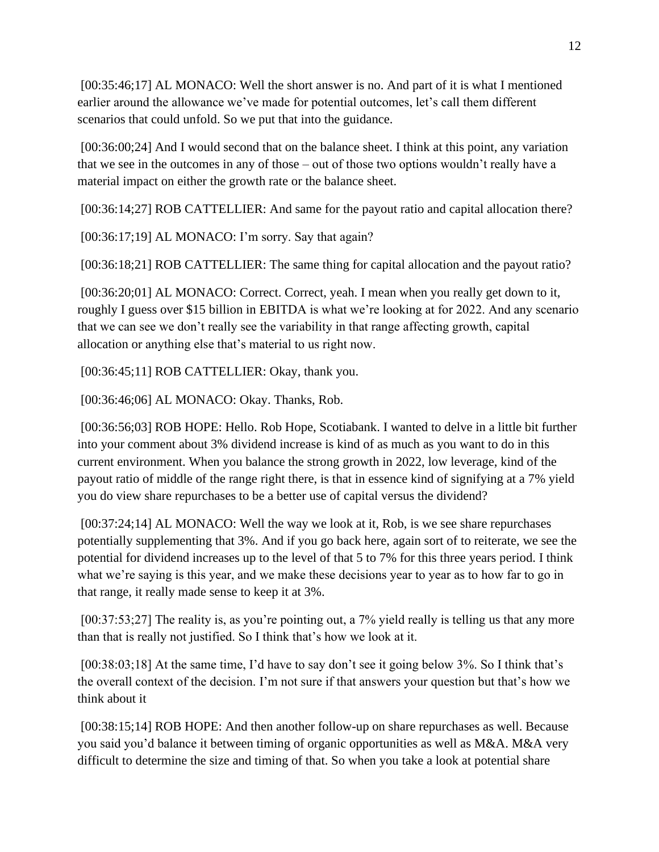[00:35:46;17] AL MONACO: Well the short answer is no. And part of it is what I mentioned earlier around the allowance we've made for potential outcomes, let's call them different scenarios that could unfold. So we put that into the guidance.

[00:36:00;24] And I would second that on the balance sheet. I think at this point, any variation that we see in the outcomes in any of those – out of those two options wouldn't really have a material impact on either the growth rate or the balance sheet.

[00:36:14;27] ROB CATTELLIER: And same for the payout ratio and capital allocation there?

[00:36:17;19] AL MONACO: I'm sorry. Say that again?

[00:36:18;21] ROB CATTELLIER: The same thing for capital allocation and the payout ratio?

[00:36:20;01] AL MONACO: Correct. Correct, yeah. I mean when you really get down to it, roughly I guess over \$15 billion in EBITDA is what we're looking at for 2022. And any scenario that we can see we don't really see the variability in that range affecting growth, capital allocation or anything else that's material to us right now.

[00:36:45;11] ROB CATTELLIER: Okay, thank you.

[00:36:46;06] AL MONACO: Okay. Thanks, Rob.

[00:36:56;03] ROB HOPE: Hello. Rob Hope, Scotiabank. I wanted to delve in a little bit further into your comment about 3% dividend increase is kind of as much as you want to do in this current environment. When you balance the strong growth in 2022, low leverage, kind of the payout ratio of middle of the range right there, is that in essence kind of signifying at a 7% yield you do view share repurchases to be a better use of capital versus the dividend?

[00:37:24;14] AL MONACO: Well the way we look at it, Rob, is we see share repurchases potentially supplementing that 3%. And if you go back here, again sort of to reiterate, we see the potential for dividend increases up to the level of that 5 to 7% for this three years period. I think what we're saying is this year, and we make these decisions year to year as to how far to go in that range, it really made sense to keep it at 3%.

[00:37:53;27] The reality is, as you're pointing out, a 7% yield really is telling us that any more than that is really not justified. So I think that's how we look at it.

[00:38:03;18] At the same time, I'd have to say don't see it going below 3%. So I think that's the overall context of the decision. I'm not sure if that answers your question but that's how we think about it

[00:38:15;14] ROB HOPE: And then another follow-up on share repurchases as well. Because you said you'd balance it between timing of organic opportunities as well as M&A. M&A very difficult to determine the size and timing of that. So when you take a look at potential share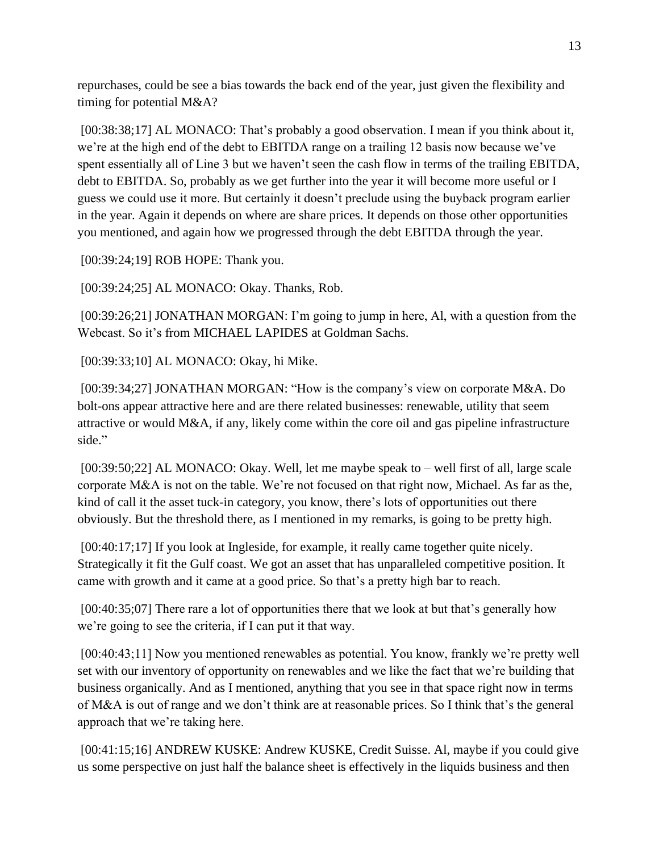repurchases, could be see a bias towards the back end of the year, just given the flexibility and timing for potential M&A?

[00:38:38;17] AL MONACO: That's probably a good observation. I mean if you think about it, we're at the high end of the debt to EBITDA range on a trailing 12 basis now because we've spent essentially all of Line 3 but we haven't seen the cash flow in terms of the trailing EBITDA, debt to EBITDA. So, probably as we get further into the year it will become more useful or I guess we could use it more. But certainly it doesn't preclude using the buyback program earlier in the year. Again it depends on where are share prices. It depends on those other opportunities you mentioned, and again how we progressed through the debt EBITDA through the year.

[00:39:24;19] ROB HOPE: Thank you.

[00:39:24;25] AL MONACO: Okay. Thanks, Rob.

[00:39:26;21] JONATHAN MORGAN: I'm going to jump in here, Al, with a question from the Webcast. So it's from MICHAEL LAPIDES at Goldman Sachs.

[00:39:33;10] AL MONACO: Okay, hi Mike.

[00:39:34;27] JONATHAN MORGAN: "How is the company's view on corporate M&A. Do bolt-ons appear attractive here and are there related businesses: renewable, utility that seem attractive or would M&A, if any, likely come within the core oil and gas pipeline infrastructure side."

[00:39:50;22] AL MONACO: Okay. Well, let me maybe speak to – well first of all, large scale corporate M&A is not on the table. We're not focused on that right now, Michael. As far as the, kind of call it the asset tuck-in category, you know, there's lots of opportunities out there obviously. But the threshold there, as I mentioned in my remarks, is going to be pretty high.

[00:40:17;17] If you look at Ingleside, for example, it really came together quite nicely. Strategically it fit the Gulf coast. We got an asset that has unparalleled competitive position. It came with growth and it came at a good price. So that's a pretty high bar to reach.

[00:40:35;07] There rare a lot of opportunities there that we look at but that's generally how we're going to see the criteria, if I can put it that way.

[00:40:43;11] Now you mentioned renewables as potential. You know, frankly we're pretty well set with our inventory of opportunity on renewables and we like the fact that we're building that business organically. And as I mentioned, anything that you see in that space right now in terms of M&A is out of range and we don't think are at reasonable prices. So I think that's the general approach that we're taking here.

[00:41:15;16] ANDREW KUSKE: Andrew KUSKE, Credit Suisse. Al, maybe if you could give us some perspective on just half the balance sheet is effectively in the liquids business and then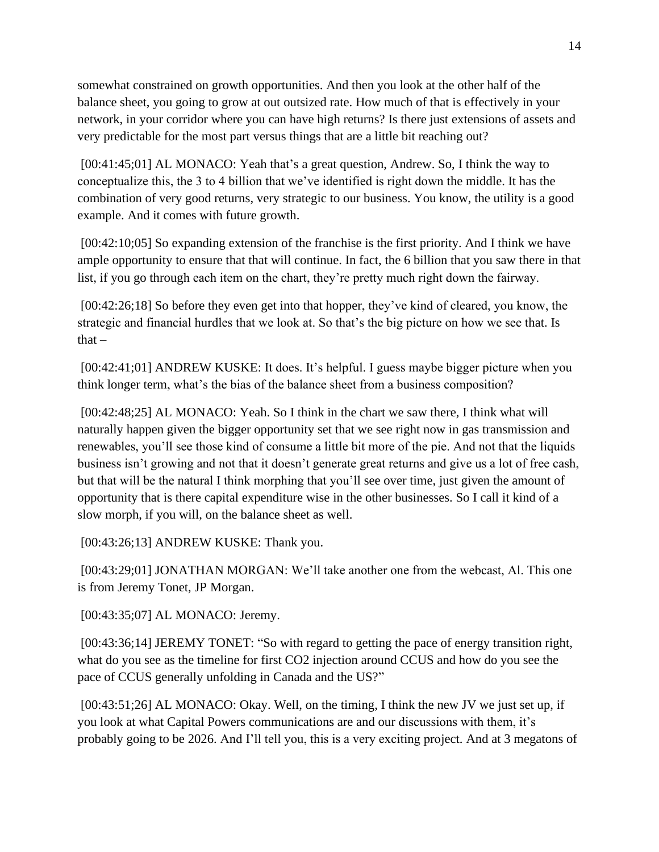somewhat constrained on growth opportunities. And then you look at the other half of the balance sheet, you going to grow at out outsized rate. How much of that is effectively in your network, in your corridor where you can have high returns? Is there just extensions of assets and very predictable for the most part versus things that are a little bit reaching out?

[00:41:45;01] AL MONACO: Yeah that's a great question, Andrew. So, I think the way to conceptualize this, the 3 to 4 billion that we've identified is right down the middle. It has the combination of very good returns, very strategic to our business. You know, the utility is a good example. And it comes with future growth.

[00:42:10;05] So expanding extension of the franchise is the first priority. And I think we have ample opportunity to ensure that that will continue. In fact, the 6 billion that you saw there in that list, if you go through each item on the chart, they're pretty much right down the fairway.

[00:42:26;18] So before they even get into that hopper, they've kind of cleared, you know, the strategic and financial hurdles that we look at. So that's the big picture on how we see that. Is  $that -$ 

[00:42:41;01] ANDREW KUSKE: It does. It's helpful. I guess maybe bigger picture when you think longer term, what's the bias of the balance sheet from a business composition?

[00:42:48;25] AL MONACO: Yeah. So I think in the chart we saw there, I think what will naturally happen given the bigger opportunity set that we see right now in gas transmission and renewables, you'll see those kind of consume a little bit more of the pie. And not that the liquids business isn't growing and not that it doesn't generate great returns and give us a lot of free cash, but that will be the natural I think morphing that you'll see over time, just given the amount of opportunity that is there capital expenditure wise in the other businesses. So I call it kind of a slow morph, if you will, on the balance sheet as well.

[00:43:26;13] ANDREW KUSKE: Thank you.

[00:43:29;01] JONATHAN MORGAN: We'll take another one from the webcast, Al. This one is from Jeremy Tonet, JP Morgan.

[00:43:35;07] AL MONACO: Jeremy.

[00:43:36;14] JEREMY TONET: "So with regard to getting the pace of energy transition right, what do you see as the timeline for first CO2 injection around CCUS and how do you see the pace of CCUS generally unfolding in Canada and the US?"

[00:43:51;26] AL MONACO: Okay. Well, on the timing, I think the new JV we just set up, if you look at what Capital Powers communications are and our discussions with them, it's probably going to be 2026. And I'll tell you, this is a very exciting project. And at 3 megatons of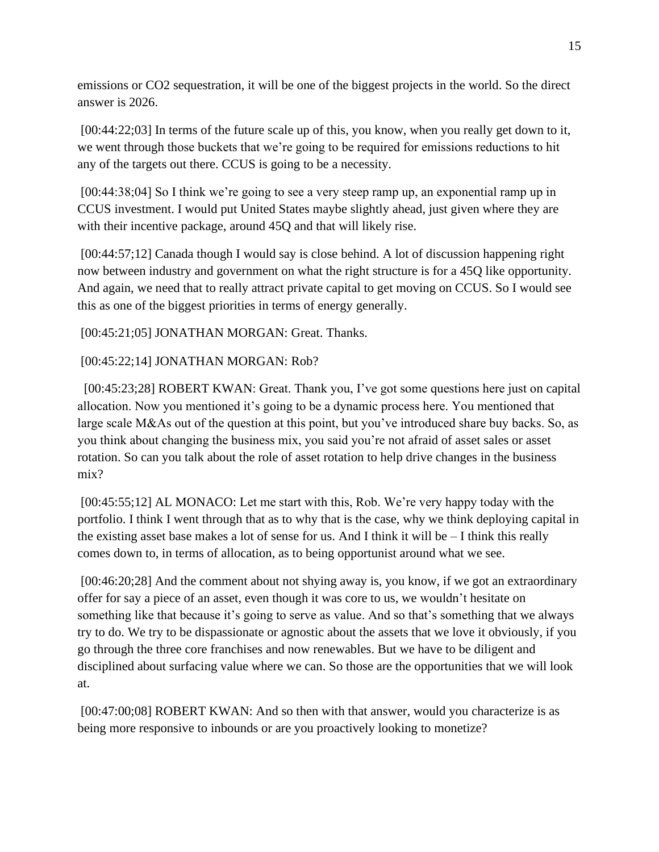emissions or CO2 sequestration, it will be one of the biggest projects in the world. So the direct answer is 2026.

[00:44:22;03] In terms of the future scale up of this, you know, when you really get down to it, we went through those buckets that we're going to be required for emissions reductions to hit any of the targets out there. CCUS is going to be a necessity.

[00:44:38;04] So I think we're going to see a very steep ramp up, an exponential ramp up in CCUS investment. I would put United States maybe slightly ahead, just given where they are with their incentive package, around 45Q and that will likely rise.

[00:44:57;12] Canada though I would say is close behind. A lot of discussion happening right now between industry and government on what the right structure is for a 45Q like opportunity. And again, we need that to really attract private capital to get moving on CCUS. So I would see this as one of the biggest priorities in terms of energy generally.

[00:45:21;05] JONATHAN MORGAN: Great. Thanks.

## [00:45:22;14] JONATHAN MORGAN: Rob?

 [00:45:23;28] ROBERT KWAN: Great. Thank you, I've got some questions here just on capital allocation. Now you mentioned it's going to be a dynamic process here. You mentioned that large scale M&As out of the question at this point, but you've introduced share buy backs. So, as you think about changing the business mix, you said you're not afraid of asset sales or asset rotation. So can you talk about the role of asset rotation to help drive changes in the business mix?

[00:45:55;12] AL MONACO: Let me start with this, Rob. We're very happy today with the portfolio. I think I went through that as to why that is the case, why we think deploying capital in the existing asset base makes a lot of sense for us. And I think it will be  $-I$  think this really comes down to, in terms of allocation, as to being opportunist around what we see.

[00:46:20;28] And the comment about not shying away is, you know, if we got an extraordinary offer for say a piece of an asset, even though it was core to us, we wouldn't hesitate on something like that because it's going to serve as value. And so that's something that we always try to do. We try to be dispassionate or agnostic about the assets that we love it obviously, if you go through the three core franchises and now renewables. But we have to be diligent and disciplined about surfacing value where we can. So those are the opportunities that we will look at.

[00:47:00:08] ROBERT KWAN: And so then with that answer, would you characterize is as being more responsive to inbounds or are you proactively looking to monetize?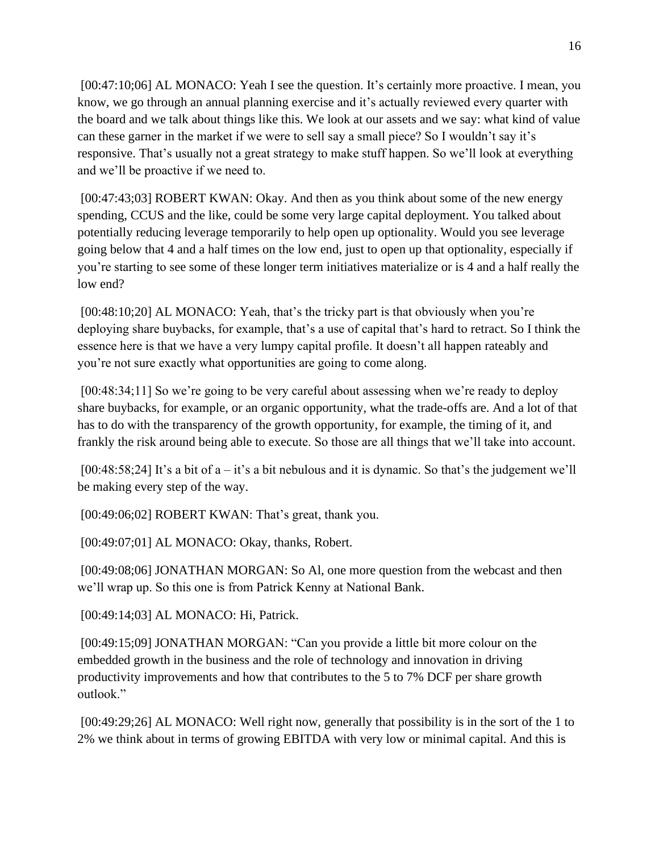[00:47:10;06] AL MONACO: Yeah I see the question. It's certainly more proactive. I mean, you know, we go through an annual planning exercise and it's actually reviewed every quarter with the board and we talk about things like this. We look at our assets and we say: what kind of value can these garner in the market if we were to sell say a small piece? So I wouldn't say it's responsive. That's usually not a great strategy to make stuff happen. So we'll look at everything and we'll be proactive if we need to.

[00:47:43;03] ROBERT KWAN: Okay. And then as you think about some of the new energy spending, CCUS and the like, could be some very large capital deployment. You talked about potentially reducing leverage temporarily to help open up optionality. Would you see leverage going below that 4 and a half times on the low end, just to open up that optionality, especially if you're starting to see some of these longer term initiatives materialize or is 4 and a half really the low end?

[00:48:10;20] AL MONACO: Yeah, that's the tricky part is that obviously when you're deploying share buybacks, for example, that's a use of capital that's hard to retract. So I think the essence here is that we have a very lumpy capital profile. It doesn't all happen rateably and you're not sure exactly what opportunities are going to come along.

[00:48:34;11] So we're going to be very careful about assessing when we're ready to deploy share buybacks, for example, or an organic opportunity, what the trade-offs are. And a lot of that has to do with the transparency of the growth opportunity, for example, the timing of it, and frankly the risk around being able to execute. So those are all things that we'll take into account.

[00:48:58;24] It's a bit of  $a - it$ 's a bit nebulous and it is dynamic. So that's the judgement we'll be making every step of the way.

[00:49:06;02] ROBERT KWAN: That's great, thank you.

[00:49:07;01] AL MONACO: Okay, thanks, Robert.

[00:49:08:06] JONATHAN MORGAN: So Al, one more question from the webcast and then we'll wrap up. So this one is from Patrick Kenny at National Bank.

[00:49:14;03] AL MONACO: Hi, Patrick.

[00:49:15;09] JONATHAN MORGAN: "Can you provide a little bit more colour on the embedded growth in the business and the role of technology and innovation in driving productivity improvements and how that contributes to the 5 to 7% DCF per share growth outlook."

[00:49:29;26] AL MONACO: Well right now, generally that possibility is in the sort of the 1 to 2% we think about in terms of growing EBITDA with very low or minimal capital. And this is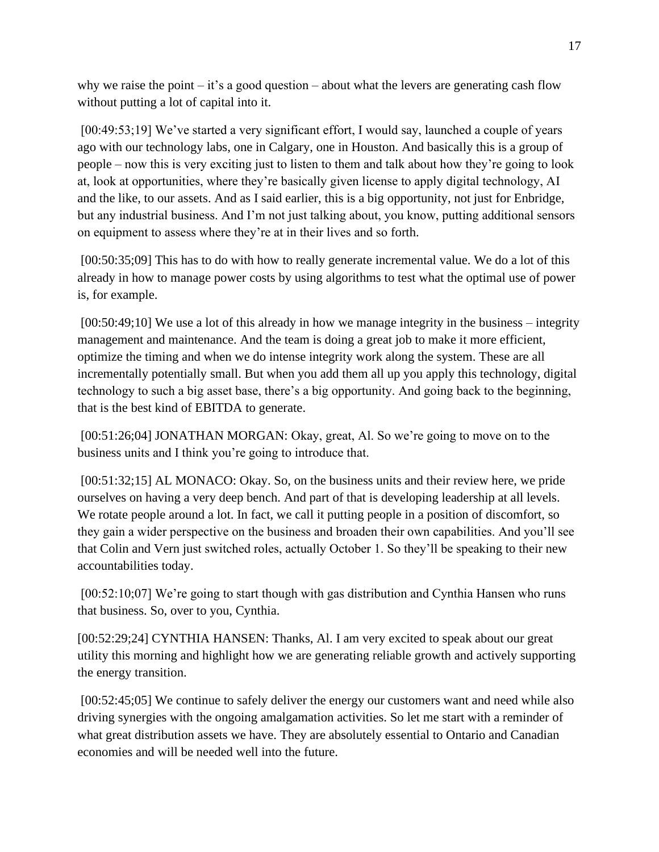why we raise the point – it's a good question – about what the levers are generating cash flow without putting a lot of capital into it.

[00:49:53;19] We've started a very significant effort, I would say, launched a couple of years ago with our technology labs, one in Calgary, one in Houston. And basically this is a group of people – now this is very exciting just to listen to them and talk about how they're going to look at, look at opportunities, where they're basically given license to apply digital technology, AI and the like, to our assets. And as I said earlier, this is a big opportunity, not just for Enbridge, but any industrial business. And I'm not just talking about, you know, putting additional sensors on equipment to assess where they're at in their lives and so forth.

[00:50:35;09] This has to do with how to really generate incremental value. We do a lot of this already in how to manage power costs by using algorithms to test what the optimal use of power is, for example.

[00:50:49;10] We use a lot of this already in how we manage integrity in the business – integrity management and maintenance. And the team is doing a great job to make it more efficient, optimize the timing and when we do intense integrity work along the system. These are all incrementally potentially small. But when you add them all up you apply this technology, digital technology to such a big asset base, there's a big opportunity. And going back to the beginning, that is the best kind of EBITDA to generate.

[00:51:26;04] JONATHAN MORGAN: Okay, great, Al. So we're going to move on to the business units and I think you're going to introduce that.

[00:51:32;15] AL MONACO: Okay. So, on the business units and their review here, we pride ourselves on having a very deep bench. And part of that is developing leadership at all levels. We rotate people around a lot. In fact, we call it putting people in a position of discomfort, so they gain a wider perspective on the business and broaden their own capabilities. And you'll see that Colin and Vern just switched roles, actually October 1. So they'll be speaking to their new accountabilities today.

[00:52:10;07] We're going to start though with gas distribution and Cynthia Hansen who runs that business. So, over to you, Cynthia.

[00:52:29;24] CYNTHIA HANSEN: Thanks, Al. I am very excited to speak about our great utility this morning and highlight how we are generating reliable growth and actively supporting the energy transition.

[00:52:45;05] We continue to safely deliver the energy our customers want and need while also driving synergies with the ongoing amalgamation activities. So let me start with a reminder of what great distribution assets we have. They are absolutely essential to Ontario and Canadian economies and will be needed well into the future.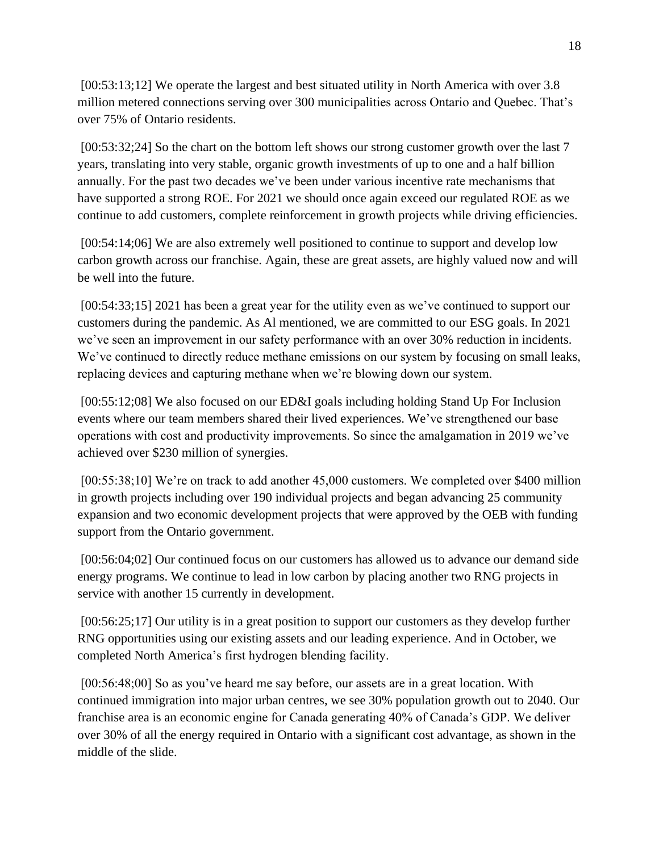[00:53:13;12] We operate the largest and best situated utility in North America with over 3.8 million metered connections serving over 300 municipalities across Ontario and Quebec. That's over 75% of Ontario residents.

[00:53:32;24] So the chart on the bottom left shows our strong customer growth over the last 7 years, translating into very stable, organic growth investments of up to one and a half billion annually. For the past two decades we've been under various incentive rate mechanisms that have supported a strong ROE. For 2021 we should once again exceed our regulated ROE as we continue to add customers, complete reinforcement in growth projects while driving efficiencies.

[00:54:14;06] We are also extremely well positioned to continue to support and develop low carbon growth across our franchise. Again, these are great assets, are highly valued now and will be well into the future.

[00:54:33;15] 2021 has been a great year for the utility even as we've continued to support our customers during the pandemic. As Al mentioned, we are committed to our ESG goals. In 2021 we've seen an improvement in our safety performance with an over 30% reduction in incidents. We've continued to directly reduce methane emissions on our system by focusing on small leaks, replacing devices and capturing methane when we're blowing down our system.

[00:55:12;08] We also focused on our ED&I goals including holding Stand Up For Inclusion events where our team members shared their lived experiences. We've strengthened our base operations with cost and productivity improvements. So since the amalgamation in 2019 we've achieved over \$230 million of synergies.

[00:55:38;10] We're on track to add another 45,000 customers. We completed over \$400 million in growth projects including over 190 individual projects and began advancing 25 community expansion and two economic development projects that were approved by the OEB with funding support from the Ontario government.

[00:56:04;02] Our continued focus on our customers has allowed us to advance our demand side energy programs. We continue to lead in low carbon by placing another two RNG projects in service with another 15 currently in development.

[00:56:25;17] Our utility is in a great position to support our customers as they develop further RNG opportunities using our existing assets and our leading experience. And in October, we completed North America's first hydrogen blending facility.

[00:56:48;00] So as you've heard me say before, our assets are in a great location. With continued immigration into major urban centres, we see 30% population growth out to 2040. Our franchise area is an economic engine for Canada generating 40% of Canada's GDP. We deliver over 30% of all the energy required in Ontario with a significant cost advantage, as shown in the middle of the slide.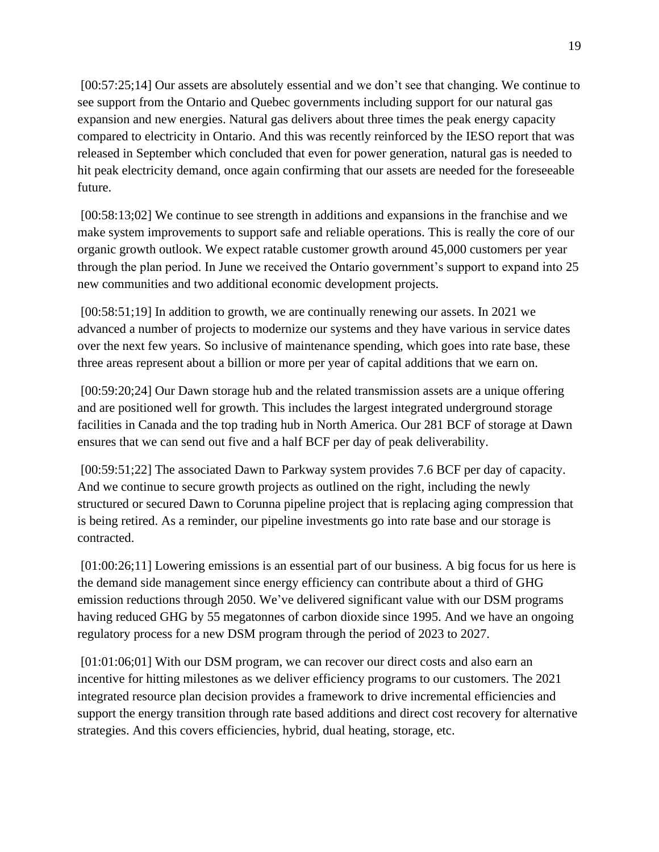[00:57:25;14] Our assets are absolutely essential and we don't see that changing. We continue to see support from the Ontario and Quebec governments including support for our natural gas expansion and new energies. Natural gas delivers about three times the peak energy capacity compared to electricity in Ontario. And this was recently reinforced by the IESO report that was released in September which concluded that even for power generation, natural gas is needed to hit peak electricity demand, once again confirming that our assets are needed for the foreseeable future.

[00:58:13;02] We continue to see strength in additions and expansions in the franchise and we make system improvements to support safe and reliable operations. This is really the core of our organic growth outlook. We expect ratable customer growth around 45,000 customers per year through the plan period. In June we received the Ontario government's support to expand into 25 new communities and two additional economic development projects.

[00:58:51;19] In addition to growth, we are continually renewing our assets. In 2021 we advanced a number of projects to modernize our systems and they have various in service dates over the next few years. So inclusive of maintenance spending, which goes into rate base, these three areas represent about a billion or more per year of capital additions that we earn on.

[00:59:20;24] Our Dawn storage hub and the related transmission assets are a unique offering and are positioned well for growth. This includes the largest integrated underground storage facilities in Canada and the top trading hub in North America. Our 281 BCF of storage at Dawn ensures that we can send out five and a half BCF per day of peak deliverability.

[00:59:51;22] The associated Dawn to Parkway system provides 7.6 BCF per day of capacity. And we continue to secure growth projects as outlined on the right, including the newly structured or secured Dawn to Corunna pipeline project that is replacing aging compression that is being retired. As a reminder, our pipeline investments go into rate base and our storage is contracted.

[01:00:26;11] Lowering emissions is an essential part of our business. A big focus for us here is the demand side management since energy efficiency can contribute about a third of GHG emission reductions through 2050. We've delivered significant value with our DSM programs having reduced GHG by 55 megatonnes of carbon dioxide since 1995. And we have an ongoing regulatory process for a new DSM program through the period of 2023 to 2027.

[01:01:06;01] With our DSM program, we can recover our direct costs and also earn an incentive for hitting milestones as we deliver efficiency programs to our customers. The 2021 integrated resource plan decision provides a framework to drive incremental efficiencies and support the energy transition through rate based additions and direct cost recovery for alternative strategies. And this covers efficiencies, hybrid, dual heating, storage, etc.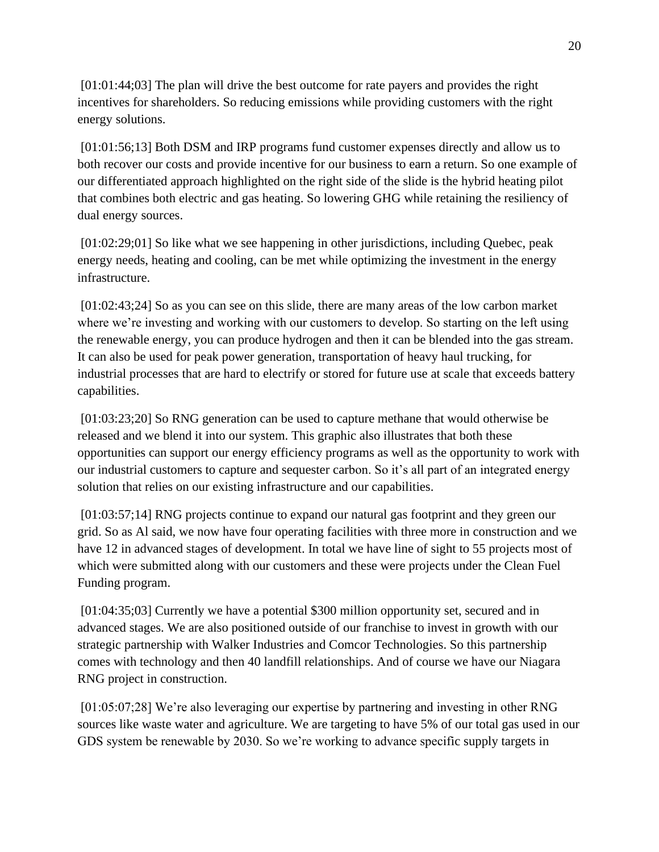[01:01:44;03] The plan will drive the best outcome for rate payers and provides the right incentives for shareholders. So reducing emissions while providing customers with the right energy solutions.

[01:01:56;13] Both DSM and IRP programs fund customer expenses directly and allow us to both recover our costs and provide incentive for our business to earn a return. So one example of our differentiated approach highlighted on the right side of the slide is the hybrid heating pilot that combines both electric and gas heating. So lowering GHG while retaining the resiliency of dual energy sources.

[01:02:29;01] So like what we see happening in other jurisdictions, including Quebec, peak energy needs, heating and cooling, can be met while optimizing the investment in the energy infrastructure.

[01:02:43;24] So as you can see on this slide, there are many areas of the low carbon market where we're investing and working with our customers to develop. So starting on the left using the renewable energy, you can produce hydrogen and then it can be blended into the gas stream. It can also be used for peak power generation, transportation of heavy haul trucking, for industrial processes that are hard to electrify or stored for future use at scale that exceeds battery capabilities.

[01:03:23;20] So RNG generation can be used to capture methane that would otherwise be released and we blend it into our system. This graphic also illustrates that both these opportunities can support our energy efficiency programs as well as the opportunity to work with our industrial customers to capture and sequester carbon. So it's all part of an integrated energy solution that relies on our existing infrastructure and our capabilities.

[01:03:57;14] RNG projects continue to expand our natural gas footprint and they green our grid. So as Al said, we now have four operating facilities with three more in construction and we have 12 in advanced stages of development. In total we have line of sight to 55 projects most of which were submitted along with our customers and these were projects under the Clean Fuel Funding program.

[01:04:35;03] Currently we have a potential \$300 million opportunity set, secured and in advanced stages. We are also positioned outside of our franchise to invest in growth with our strategic partnership with Walker Industries and Comcor Technologies. So this partnership comes with technology and then 40 landfill relationships. And of course we have our Niagara RNG project in construction.

[01:05:07;28] We're also leveraging our expertise by partnering and investing in other RNG sources like waste water and agriculture. We are targeting to have 5% of our total gas used in our GDS system be renewable by 2030. So we're working to advance specific supply targets in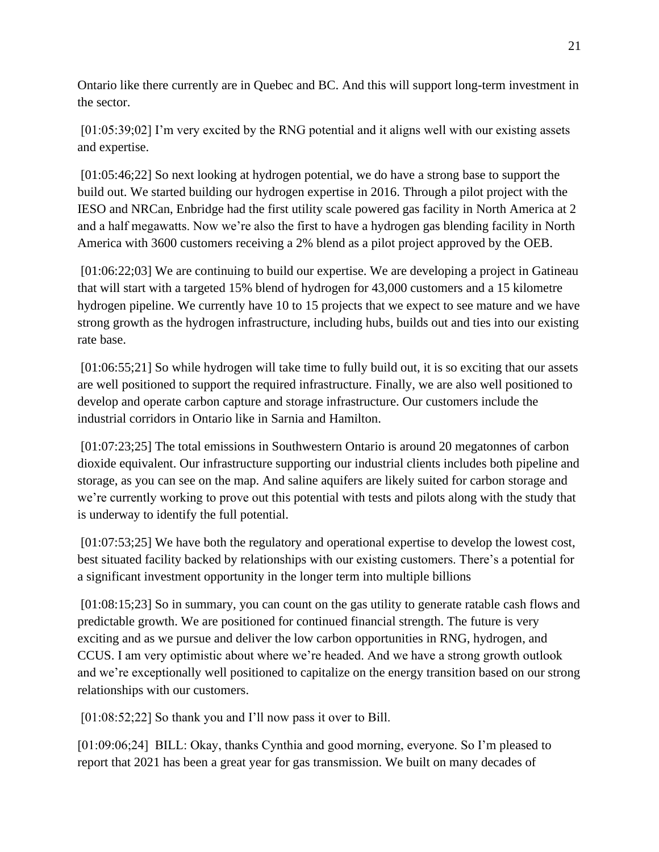Ontario like there currently are in Quebec and BC. And this will support long-term investment in the sector.

[01:05:39;02] I'm very excited by the RNG potential and it aligns well with our existing assets and expertise.

[01:05:46;22] So next looking at hydrogen potential, we do have a strong base to support the build out. We started building our hydrogen expertise in 2016. Through a pilot project with the IESO and NRCan, Enbridge had the first utility scale powered gas facility in North America at 2 and a half megawatts. Now we're also the first to have a hydrogen gas blending facility in North America with 3600 customers receiving a 2% blend as a pilot project approved by the OEB.

[01:06:22;03] We are continuing to build our expertise. We are developing a project in Gatineau that will start with a targeted 15% blend of hydrogen for 43,000 customers and a 15 kilometre hydrogen pipeline. We currently have 10 to 15 projects that we expect to see mature and we have strong growth as the hydrogen infrastructure, including hubs, builds out and ties into our existing rate base.

[01:06:55;21] So while hydrogen will take time to fully build out, it is so exciting that our assets are well positioned to support the required infrastructure. Finally, we are also well positioned to develop and operate carbon capture and storage infrastructure. Our customers include the industrial corridors in Ontario like in Sarnia and Hamilton.

[01:07:23;25] The total emissions in Southwestern Ontario is around 20 megatonnes of carbon dioxide equivalent. Our infrastructure supporting our industrial clients includes both pipeline and storage, as you can see on the map. And saline aquifers are likely suited for carbon storage and we're currently working to prove out this potential with tests and pilots along with the study that is underway to identify the full potential.

[01:07:53;25] We have both the regulatory and operational expertise to develop the lowest cost, best situated facility backed by relationships with our existing customers. There's a potential for a significant investment opportunity in the longer term into multiple billions

[01:08:15;23] So in summary, you can count on the gas utility to generate ratable cash flows and predictable growth. We are positioned for continued financial strength. The future is very exciting and as we pursue and deliver the low carbon opportunities in RNG, hydrogen, and CCUS. I am very optimistic about where we're headed. And we have a strong growth outlook and we're exceptionally well positioned to capitalize on the energy transition based on our strong relationships with our customers.

[01:08:52;22] So thank you and I'll now pass it over to Bill.

[01:09:06;24] BILL: Okay, thanks Cynthia and good morning, everyone. So I'm pleased to report that 2021 has been a great year for gas transmission. We built on many decades of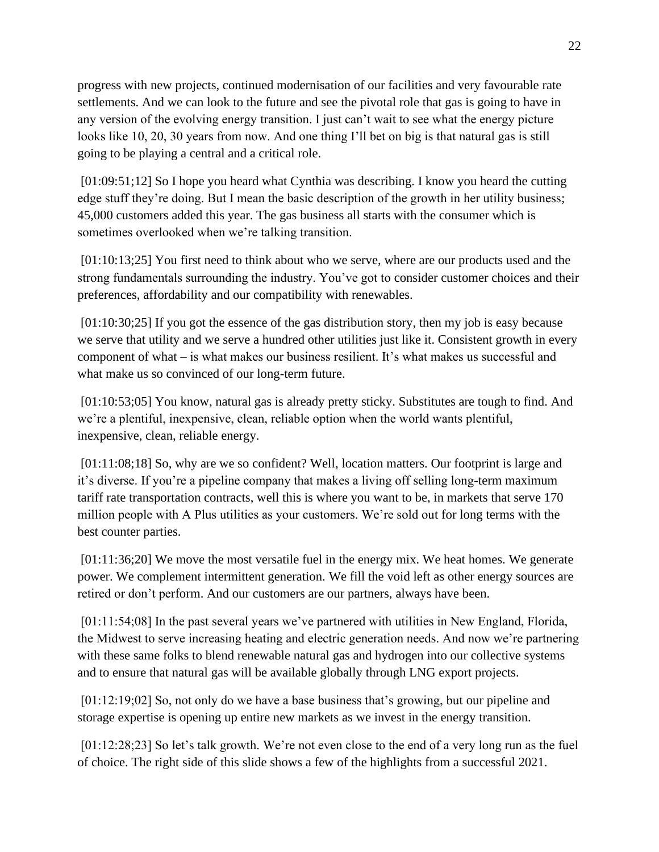progress with new projects, continued modernisation of our facilities and very favourable rate settlements. And we can look to the future and see the pivotal role that gas is going to have in any version of the evolving energy transition. I just can't wait to see what the energy picture looks like 10, 20, 30 years from now. And one thing I'll bet on big is that natural gas is still going to be playing a central and a critical role.

[01:09:51;12] So I hope you heard what Cynthia was describing. I know you heard the cutting edge stuff they're doing. But I mean the basic description of the growth in her utility business; 45,000 customers added this year. The gas business all starts with the consumer which is sometimes overlooked when we're talking transition.

[01:10:13;25] You first need to think about who we serve, where are our products used and the strong fundamentals surrounding the industry. You've got to consider customer choices and their preferences, affordability and our compatibility with renewables.

[01:10:30;25] If you got the essence of the gas distribution story, then my job is easy because we serve that utility and we serve a hundred other utilities just like it. Consistent growth in every component of what – is what makes our business resilient. It's what makes us successful and what make us so convinced of our long-term future.

[01:10:53;05] You know, natural gas is already pretty sticky. Substitutes are tough to find. And we're a plentiful, inexpensive, clean, reliable option when the world wants plentiful, inexpensive, clean, reliable energy.

[01:11:08;18] So, why are we so confident? Well, location matters. Our footprint is large and it's diverse. If you're a pipeline company that makes a living off selling long-term maximum tariff rate transportation contracts, well this is where you want to be, in markets that serve 170 million people with A Plus utilities as your customers. We're sold out for long terms with the best counter parties.

[01:11:36;20] We move the most versatile fuel in the energy mix. We heat homes. We generate power. We complement intermittent generation. We fill the void left as other energy sources are retired or don't perform. And our customers are our partners, always have been.

[01:11:54;08] In the past several years we've partnered with utilities in New England, Florida, the Midwest to serve increasing heating and electric generation needs. And now we're partnering with these same folks to blend renewable natural gas and hydrogen into our collective systems and to ensure that natural gas will be available globally through LNG export projects.

[01:12:19;02] So, not only do we have a base business that's growing, but our pipeline and storage expertise is opening up entire new markets as we invest in the energy transition.

[01:12:28;23] So let's talk growth. We're not even close to the end of a very long run as the fuel of choice. The right side of this slide shows a few of the highlights from a successful 2021.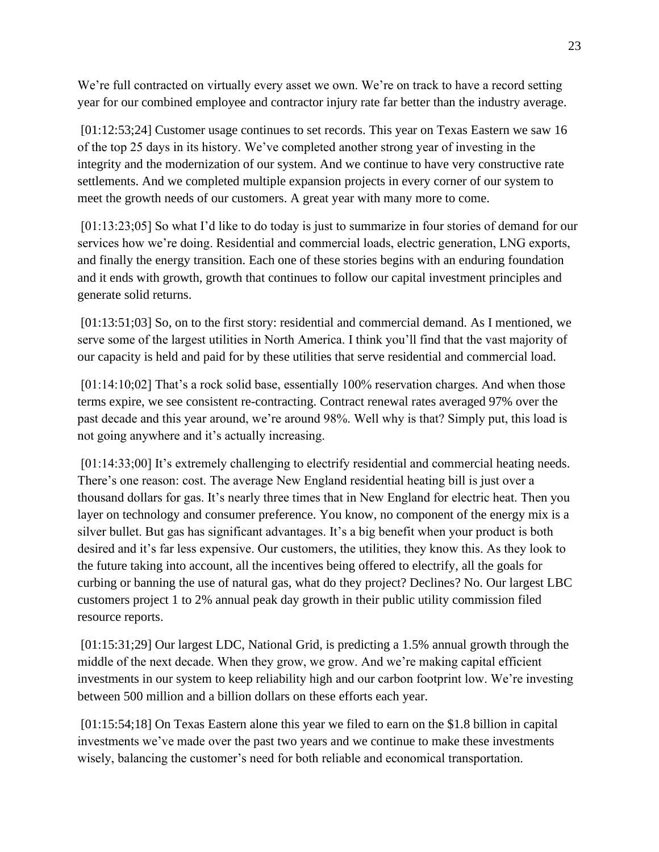We're full contracted on virtually every asset we own. We're on track to have a record setting year for our combined employee and contractor injury rate far better than the industry average.

[01:12:53;24] Customer usage continues to set records. This year on Texas Eastern we saw 16 of the top 25 days in its history. We've completed another strong year of investing in the integrity and the modernization of our system. And we continue to have very constructive rate settlements. And we completed multiple expansion projects in every corner of our system to meet the growth needs of our customers. A great year with many more to come.

[01:13:23;05] So what I'd like to do today is just to summarize in four stories of demand for our services how we're doing. Residential and commercial loads, electric generation, LNG exports, and finally the energy transition. Each one of these stories begins with an enduring foundation and it ends with growth, growth that continues to follow our capital investment principles and generate solid returns.

[01:13:51;03] So, on to the first story: residential and commercial demand. As I mentioned, we serve some of the largest utilities in North America. I think you'll find that the vast majority of our capacity is held and paid for by these utilities that serve residential and commercial load.

[01:14:10;02] That's a rock solid base, essentially 100% reservation charges. And when those terms expire, we see consistent re-contracting. Contract renewal rates averaged 97% over the past decade and this year around, we're around 98%. Well why is that? Simply put, this load is not going anywhere and it's actually increasing.

[01:14:33;00] It's extremely challenging to electrify residential and commercial heating needs. There's one reason: cost. The average New England residential heating bill is just over a thousand dollars for gas. It's nearly three times that in New England for electric heat. Then you layer on technology and consumer preference. You know, no component of the energy mix is a silver bullet. But gas has significant advantages. It's a big benefit when your product is both desired and it's far less expensive. Our customers, the utilities, they know this. As they look to the future taking into account, all the incentives being offered to electrify, all the goals for curbing or banning the use of natural gas, what do they project? Declines? No. Our largest LBC customers project 1 to 2% annual peak day growth in their public utility commission filed resource reports.

[01:15:31;29] Our largest LDC, National Grid, is predicting a 1.5% annual growth through the middle of the next decade. When they grow, we grow. And we're making capital efficient investments in our system to keep reliability high and our carbon footprint low. We're investing between 500 million and a billion dollars on these efforts each year.

[01:15:54;18] On Texas Eastern alone this year we filed to earn on the \$1.8 billion in capital investments we've made over the past two years and we continue to make these investments wisely, balancing the customer's need for both reliable and economical transportation.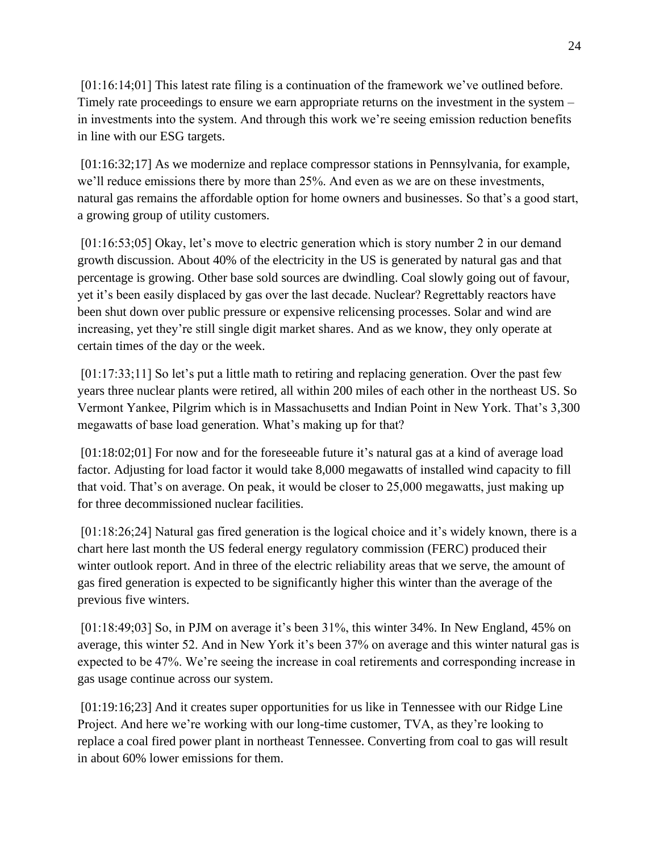[01:16:14;01] This latest rate filing is a continuation of the framework we've outlined before. Timely rate proceedings to ensure we earn appropriate returns on the investment in the system – in investments into the system. And through this work we're seeing emission reduction benefits in line with our ESG targets.

[01:16:32;17] As we modernize and replace compressor stations in Pennsylvania, for example, we'll reduce emissions there by more than 25%. And even as we are on these investments, natural gas remains the affordable option for home owners and businesses. So that's a good start, a growing group of utility customers.

[01:16:53;05] Okay, let's move to electric generation which is story number 2 in our demand growth discussion. About 40% of the electricity in the US is generated by natural gas and that percentage is growing. Other base sold sources are dwindling. Coal slowly going out of favour, yet it's been easily displaced by gas over the last decade. Nuclear? Regrettably reactors have been shut down over public pressure or expensive relicensing processes. Solar and wind are increasing, yet they're still single digit market shares. And as we know, they only operate at certain times of the day or the week.

[01:17:33;11] So let's put a little math to retiring and replacing generation. Over the past few years three nuclear plants were retired, all within 200 miles of each other in the northeast US. So Vermont Yankee, Pilgrim which is in Massachusetts and Indian Point in New York. That's 3,300 megawatts of base load generation. What's making up for that?

[01:18:02;01] For now and for the foreseeable future it's natural gas at a kind of average load factor. Adjusting for load factor it would take 8,000 megawatts of installed wind capacity to fill that void. That's on average. On peak, it would be closer to 25,000 megawatts, just making up for three decommissioned nuclear facilities.

[01:18:26;24] Natural gas fired generation is the logical choice and it's widely known, there is a chart here last month the US federal energy regulatory commission (FERC) produced their winter outlook report. And in three of the electric reliability areas that we serve, the amount of gas fired generation is expected to be significantly higher this winter than the average of the previous five winters.

[01:18:49;03] So, in PJM on average it's been 31%, this winter 34%. In New England, 45% on average, this winter 52. And in New York it's been 37% on average and this winter natural gas is expected to be 47%. We're seeing the increase in coal retirements and corresponding increase in gas usage continue across our system.

[01:19:16;23] And it creates super opportunities for us like in Tennessee with our Ridge Line Project. And here we're working with our long-time customer, TVA, as they're looking to replace a coal fired power plant in northeast Tennessee. Converting from coal to gas will result in about 60% lower emissions for them.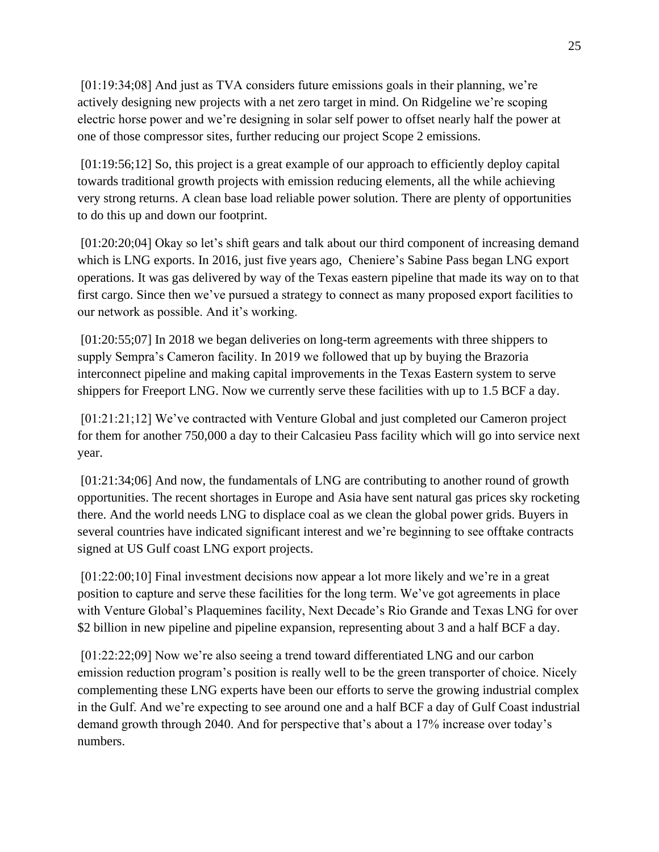[01:19:34;08] And just as TVA considers future emissions goals in their planning, we're actively designing new projects with a net zero target in mind. On Ridgeline we're scoping electric horse power and we're designing in solar self power to offset nearly half the power at one of those compressor sites, further reducing our project Scope 2 emissions.

[01:19:56;12] So, this project is a great example of our approach to efficiently deploy capital towards traditional growth projects with emission reducing elements, all the while achieving very strong returns. A clean base load reliable power solution. There are plenty of opportunities to do this up and down our footprint.

[01:20:20;04] Okay so let's shift gears and talk about our third component of increasing demand which is LNG exports. In 2016, just five years ago, Cheniere's Sabine Pass began LNG export operations. It was gas delivered by way of the Texas eastern pipeline that made its way on to that first cargo. Since then we've pursued a strategy to connect as many proposed export facilities to our network as possible. And it's working.

[01:20:55;07] In 2018 we began deliveries on long-term agreements with three shippers to supply Sempra's Cameron facility. In 2019 we followed that up by buying the Brazoria interconnect pipeline and making capital improvements in the Texas Eastern system to serve shippers for Freeport LNG. Now we currently serve these facilities with up to 1.5 BCF a day.

[01:21:21;12] We've contracted with Venture Global and just completed our Cameron project for them for another 750,000 a day to their Calcasieu Pass facility which will go into service next year.

[01:21:34;06] And now, the fundamentals of LNG are contributing to another round of growth opportunities. The recent shortages in Europe and Asia have sent natural gas prices sky rocketing there. And the world needs LNG to displace coal as we clean the global power grids. Buyers in several countries have indicated significant interest and we're beginning to see offtake contracts signed at US Gulf coast LNG export projects.

[01:22:00;10] Final investment decisions now appear a lot more likely and we're in a great position to capture and serve these facilities for the long term. We've got agreements in place with Venture Global's Plaquemines facility, Next Decade's Rio Grande and Texas LNG for over \$2 billion in new pipeline and pipeline expansion, representing about 3 and a half BCF a day.

[01:22:22;09] Now we're also seeing a trend toward differentiated LNG and our carbon emission reduction program's position is really well to be the green transporter of choice. Nicely complementing these LNG experts have been our efforts to serve the growing industrial complex in the Gulf. And we're expecting to see around one and a half BCF a day of Gulf Coast industrial demand growth through 2040. And for perspective that's about a 17% increase over today's numbers.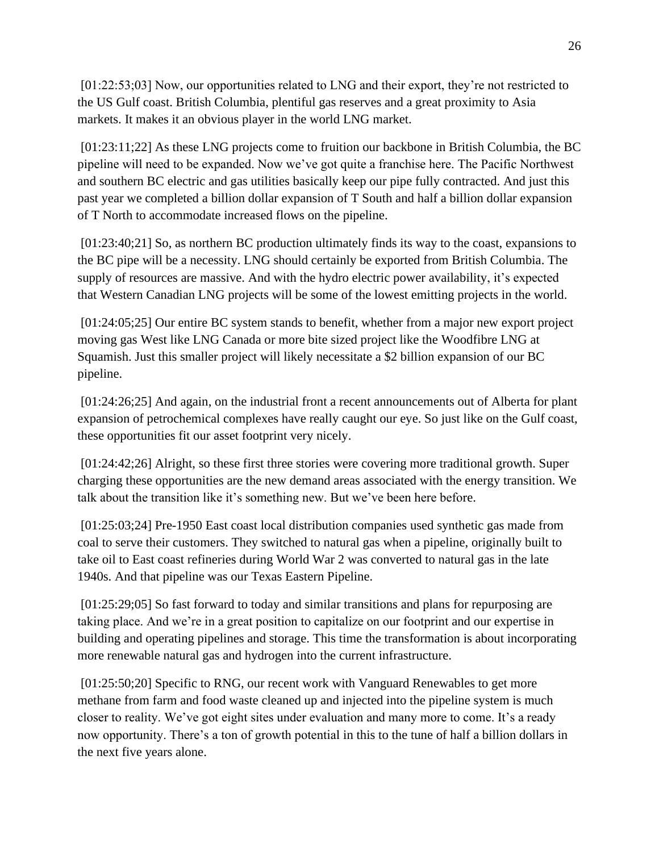[01:22:53;03] Now, our opportunities related to LNG and their export, they're not restricted to the US Gulf coast. British Columbia, plentiful gas reserves and a great proximity to Asia markets. It makes it an obvious player in the world LNG market.

[01:23:11;22] As these LNG projects come to fruition our backbone in British Columbia, the BC pipeline will need to be expanded. Now we've got quite a franchise here. The Pacific Northwest and southern BC electric and gas utilities basically keep our pipe fully contracted. And just this past year we completed a billion dollar expansion of T South and half a billion dollar expansion of T North to accommodate increased flows on the pipeline.

[01:23:40;21] So, as northern BC production ultimately finds its way to the coast, expansions to the BC pipe will be a necessity. LNG should certainly be exported from British Columbia. The supply of resources are massive. And with the hydro electric power availability, it's expected that Western Canadian LNG projects will be some of the lowest emitting projects in the world.

[01:24:05;25] Our entire BC system stands to benefit, whether from a major new export project moving gas West like LNG Canada or more bite sized project like the Woodfibre LNG at Squamish. Just this smaller project will likely necessitate a \$2 billion expansion of our BC pipeline.

[01:24:26;25] And again, on the industrial front a recent announcements out of Alberta for plant expansion of petrochemical complexes have really caught our eye. So just like on the Gulf coast, these opportunities fit our asset footprint very nicely.

[01:24:42;26] Alright, so these first three stories were covering more traditional growth. Super charging these opportunities are the new demand areas associated with the energy transition. We talk about the transition like it's something new. But we've been here before.

[01:25:03;24] Pre-1950 East coast local distribution companies used synthetic gas made from coal to serve their customers. They switched to natural gas when a pipeline, originally built to take oil to East coast refineries during World War 2 was converted to natural gas in the late 1940s. And that pipeline was our Texas Eastern Pipeline.

[01:25:29;05] So fast forward to today and similar transitions and plans for repurposing are taking place. And we're in a great position to capitalize on our footprint and our expertise in building and operating pipelines and storage. This time the transformation is about incorporating more renewable natural gas and hydrogen into the current infrastructure.

[01:25:50;20] Specific to RNG, our recent work with Vanguard Renewables to get more methane from farm and food waste cleaned up and injected into the pipeline system is much closer to reality. We've got eight sites under evaluation and many more to come. It's a ready now opportunity. There's a ton of growth potential in this to the tune of half a billion dollars in the next five years alone.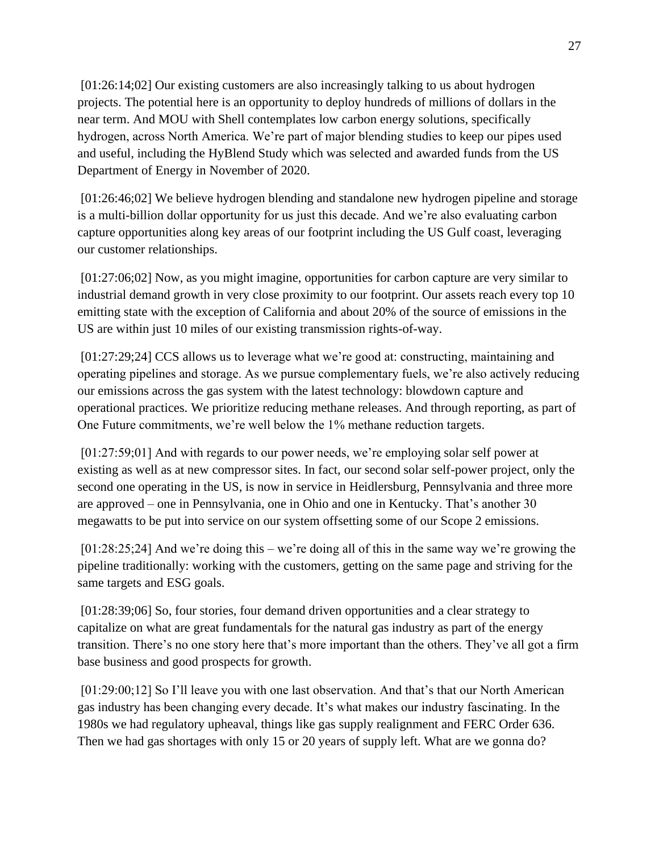[01:26:14;02] Our existing customers are also increasingly talking to us about hydrogen projects. The potential here is an opportunity to deploy hundreds of millions of dollars in the near term. And MOU with Shell contemplates low carbon energy solutions, specifically hydrogen, across North America. We're part of major blending studies to keep our pipes used and useful, including the HyBlend Study which was selected and awarded funds from the US Department of Energy in November of 2020.

[01:26:46;02] We believe hydrogen blending and standalone new hydrogen pipeline and storage is a multi-billion dollar opportunity for us just this decade. And we're also evaluating carbon capture opportunities along key areas of our footprint including the US Gulf coast, leveraging our customer relationships.

[01:27:06;02] Now, as you might imagine, opportunities for carbon capture are very similar to industrial demand growth in very close proximity to our footprint. Our assets reach every top 10 emitting state with the exception of California and about 20% of the source of emissions in the US are within just 10 miles of our existing transmission rights-of-way.

[01:27:29;24] CCS allows us to leverage what we're good at: constructing, maintaining and operating pipelines and storage. As we pursue complementary fuels, we're also actively reducing our emissions across the gas system with the latest technology: blowdown capture and operational practices. We prioritize reducing methane releases. And through reporting, as part of One Future commitments, we're well below the 1% methane reduction targets.

[01:27:59;01] And with regards to our power needs, we're employing solar self power at existing as well as at new compressor sites. In fact, our second solar self-power project, only the second one operating in the US, is now in service in Heidlersburg, Pennsylvania and three more are approved – one in Pennsylvania, one in Ohio and one in Kentucky. That's another 30 megawatts to be put into service on our system offsetting some of our Scope 2 emissions.

[01:28:25;24] And we're doing this – we're doing all of this in the same way we're growing the pipeline traditionally: working with the customers, getting on the same page and striving for the same targets and ESG goals.

[01:28:39;06] So, four stories, four demand driven opportunities and a clear strategy to capitalize on what are great fundamentals for the natural gas industry as part of the energy transition. There's no one story here that's more important than the others. They've all got a firm base business and good prospects for growth.

[01:29:00;12] So I'll leave you with one last observation. And that's that our North American gas industry has been changing every decade. It's what makes our industry fascinating. In the 1980s we had regulatory upheaval, things like gas supply realignment and FERC Order 636. Then we had gas shortages with only 15 or 20 years of supply left. What are we gonna do?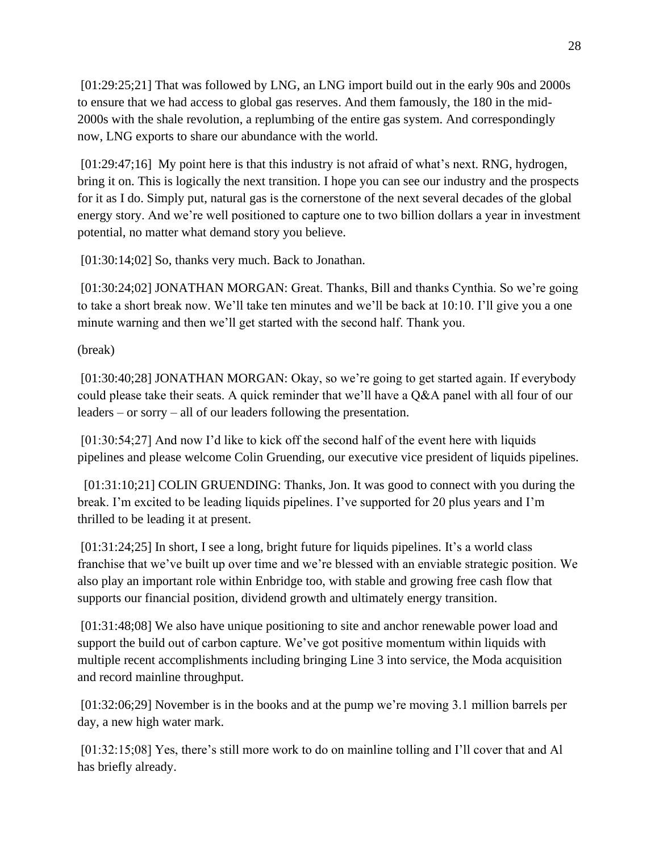[01:29:25;21] That was followed by LNG, an LNG import build out in the early 90s and 2000s to ensure that we had access to global gas reserves. And them famously, the 180 in the mid-2000s with the shale revolution, a replumbing of the entire gas system. And correspondingly now, LNG exports to share our abundance with the world.

[01:29:47;16] My point here is that this industry is not afraid of what's next. RNG, hydrogen, bring it on. This is logically the next transition. I hope you can see our industry and the prospects for it as I do. Simply put, natural gas is the cornerstone of the next several decades of the global energy story. And we're well positioned to capture one to two billion dollars a year in investment potential, no matter what demand story you believe.

[01:30:14;02] So, thanks very much. Back to Jonathan.

[01:30:24;02] JONATHAN MORGAN: Great. Thanks, Bill and thanks Cynthia. So we're going to take a short break now. We'll take ten minutes and we'll be back at 10:10. I'll give you a one minute warning and then we'll get started with the second half. Thank you.

(break)

[01:30:40;28] JONATHAN MORGAN: Okay, so we're going to get started again. If everybody could please take their seats. A quick reminder that we'll have a Q&A panel with all four of our leaders – or sorry – all of our leaders following the presentation.

[01:30:54;27] And now I'd like to kick off the second half of the event here with liquids pipelines and please welcome Colin Gruending, our executive vice president of liquids pipelines.

[01:31:10;21] COLIN GRUENDING: Thanks, Jon. It was good to connect with you during the break. I'm excited to be leading liquids pipelines. I've supported for 20 plus years and I'm thrilled to be leading it at present.

[01:31:24;25] In short, I see a long, bright future for liquids pipelines. It's a world class franchise that we've built up over time and we're blessed with an enviable strategic position. We also play an important role within Enbridge too, with stable and growing free cash flow that supports our financial position, dividend growth and ultimately energy transition.

[01:31:48;08] We also have unique positioning to site and anchor renewable power load and support the build out of carbon capture. We've got positive momentum within liquids with multiple recent accomplishments including bringing Line 3 into service, the Moda acquisition and record mainline throughput.

[01:32:06;29] November is in the books and at the pump we're moving 3.1 million barrels per day, a new high water mark.

[01:32:15;08] Yes, there's still more work to do on mainline tolling and I'll cover that and Al has briefly already.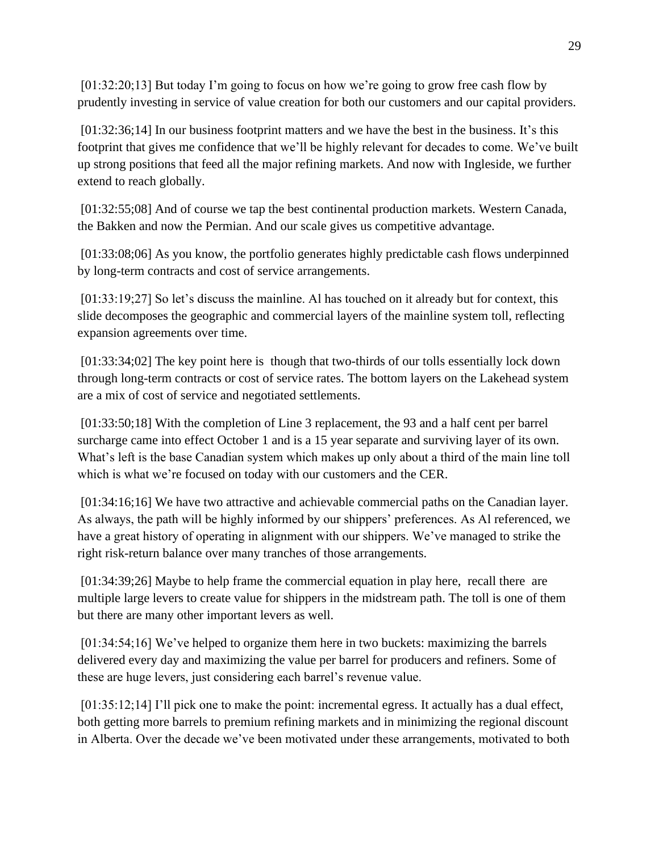[01:32:20;13] But today I'm going to focus on how we're going to grow free cash flow by prudently investing in service of value creation for both our customers and our capital providers.

[01:32:36;14] In our business footprint matters and we have the best in the business. It's this footprint that gives me confidence that we'll be highly relevant for decades to come. We've built up strong positions that feed all the major refining markets. And now with Ingleside, we further extend to reach globally.

[01:32:55;08] And of course we tap the best continental production markets. Western Canada, the Bakken and now the Permian. And our scale gives us competitive advantage.

[01:33:08;06] As you know, the portfolio generates highly predictable cash flows underpinned by long-term contracts and cost of service arrangements.

[01:33:19;27] So let's discuss the mainline. Al has touched on it already but for context, this slide decomposes the geographic and commercial layers of the mainline system toll, reflecting expansion agreements over time.

[01:33:34;02] The key point here is though that two-thirds of our tolls essentially lock down through long-term contracts or cost of service rates. The bottom layers on the Lakehead system are a mix of cost of service and negotiated settlements.

[01:33:50;18] With the completion of Line 3 replacement, the 93 and a half cent per barrel surcharge came into effect October 1 and is a 15 year separate and surviving layer of its own. What's left is the base Canadian system which makes up only about a third of the main line toll which is what we're focused on today with our customers and the CER.

[01:34:16;16] We have two attractive and achievable commercial paths on the Canadian layer. As always, the path will be highly informed by our shippers' preferences. As Al referenced, we have a great history of operating in alignment with our shippers. We've managed to strike the right risk-return balance over many tranches of those arrangements.

[01:34:39;26] Maybe to help frame the commercial equation in play here, recall there are multiple large levers to create value for shippers in the midstream path. The toll is one of them but there are many other important levers as well.

[01:34:54;16] We've helped to organize them here in two buckets: maximizing the barrels delivered every day and maximizing the value per barrel for producers and refiners. Some of these are huge levers, just considering each barrel's revenue value.

[01:35:12;14] I'll pick one to make the point: incremental egress. It actually has a dual effect, both getting more barrels to premium refining markets and in minimizing the regional discount in Alberta. Over the decade we've been motivated under these arrangements, motivated to both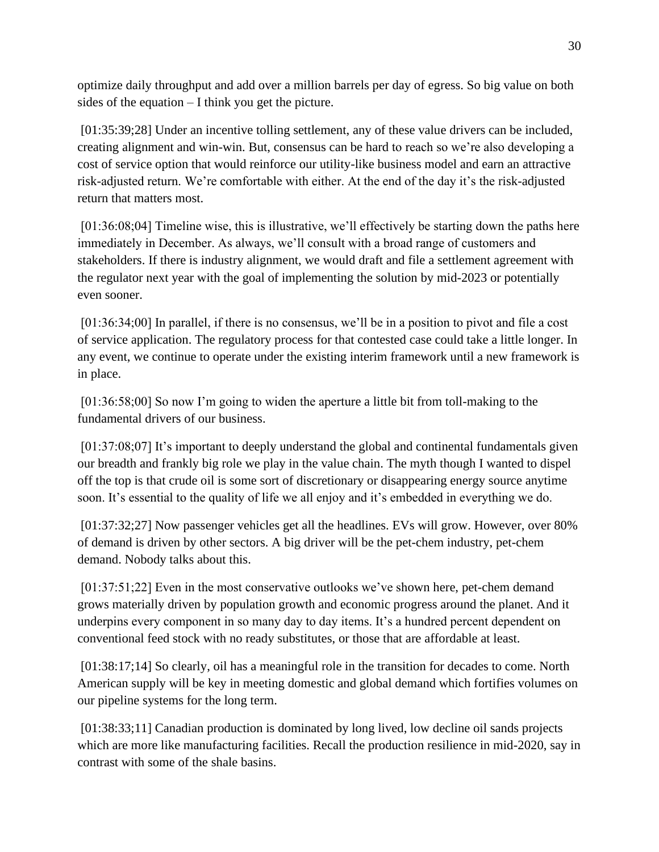optimize daily throughput and add over a million barrels per day of egress. So big value on both sides of the equation – I think you get the picture.

[01:35:39;28] Under an incentive tolling settlement, any of these value drivers can be included, creating alignment and win-win. But, consensus can be hard to reach so we're also developing a cost of service option that would reinforce our utility-like business model and earn an attractive risk-adjusted return. We're comfortable with either. At the end of the day it's the risk-adjusted return that matters most.

[01:36:08;04] Timeline wise, this is illustrative, we'll effectively be starting down the paths here immediately in December. As always, we'll consult with a broad range of customers and stakeholders. If there is industry alignment, we would draft and file a settlement agreement with the regulator next year with the goal of implementing the solution by mid-2023 or potentially even sooner.

[01:36:34;00] In parallel, if there is no consensus, we'll be in a position to pivot and file a cost of service application. The regulatory process for that contested case could take a little longer. In any event, we continue to operate under the existing interim framework until a new framework is in place.

[01:36:58;00] So now I'm going to widen the aperture a little bit from toll-making to the fundamental drivers of our business.

[01:37:08;07] It's important to deeply understand the global and continental fundamentals given our breadth and frankly big role we play in the value chain. The myth though I wanted to dispel off the top is that crude oil is some sort of discretionary or disappearing energy source anytime soon. It's essential to the quality of life we all enjoy and it's embedded in everything we do.

[01:37:32;27] Now passenger vehicles get all the headlines. EVs will grow. However, over 80% of demand is driven by other sectors. A big driver will be the pet-chem industry, pet-chem demand. Nobody talks about this.

[01:37:51;22] Even in the most conservative outlooks we've shown here, pet-chem demand grows materially driven by population growth and economic progress around the planet. And it underpins every component in so many day to day items. It's a hundred percent dependent on conventional feed stock with no ready substitutes, or those that are affordable at least.

[01:38:17;14] So clearly, oil has a meaningful role in the transition for decades to come. North American supply will be key in meeting domestic and global demand which fortifies volumes on our pipeline systems for the long term.

[01:38:33;11] Canadian production is dominated by long lived, low decline oil sands projects which are more like manufacturing facilities. Recall the production resilience in mid-2020, say in contrast with some of the shale basins.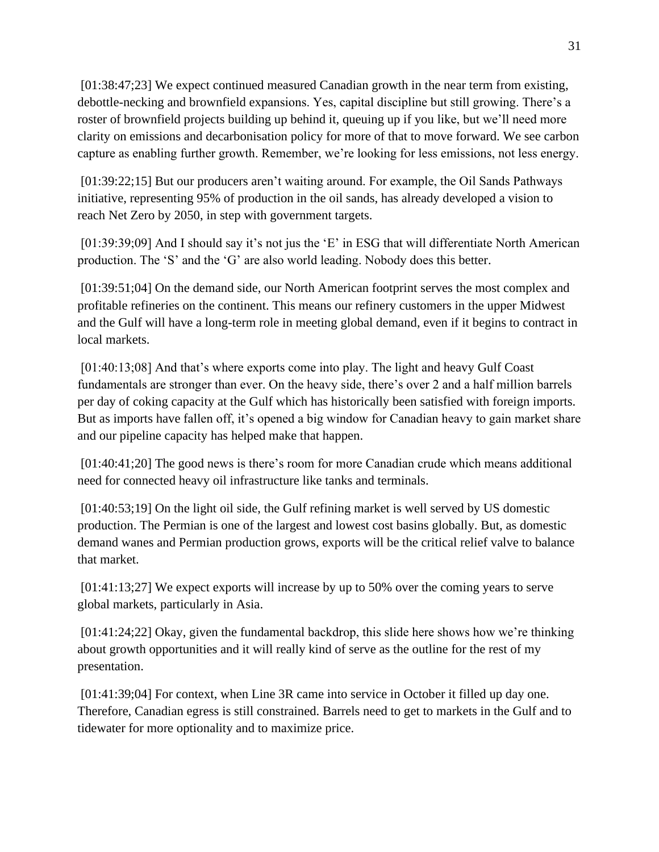[01:38:47;23] We expect continued measured Canadian growth in the near term from existing, debottle-necking and brownfield expansions. Yes, capital discipline but still growing. There's a roster of brownfield projects building up behind it, queuing up if you like, but we'll need more clarity on emissions and decarbonisation policy for more of that to move forward. We see carbon capture as enabling further growth. Remember, we're looking for less emissions, not less energy.

[01:39:22;15] But our producers aren't waiting around. For example, the Oil Sands Pathways initiative, representing 95% of production in the oil sands, has already developed a vision to reach Net Zero by 2050, in step with government targets.

[01:39:39;09] And I should say it's not jus the 'E' in ESG that will differentiate North American production. The 'S' and the 'G' are also world leading. Nobody does this better.

[01:39:51;04] On the demand side, our North American footprint serves the most complex and profitable refineries on the continent. This means our refinery customers in the upper Midwest and the Gulf will have a long-term role in meeting global demand, even if it begins to contract in local markets.

[01:40:13;08] And that's where exports come into play. The light and heavy Gulf Coast fundamentals are stronger than ever. On the heavy side, there's over 2 and a half million barrels per day of coking capacity at the Gulf which has historically been satisfied with foreign imports. But as imports have fallen off, it's opened a big window for Canadian heavy to gain market share and our pipeline capacity has helped make that happen.

[01:40:41;20] The good news is there's room for more Canadian crude which means additional need for connected heavy oil infrastructure like tanks and terminals.

[01:40:53;19] On the light oil side, the Gulf refining market is well served by US domestic production. The Permian is one of the largest and lowest cost basins globally. But, as domestic demand wanes and Permian production grows, exports will be the critical relief valve to balance that market.

[01:41:13;27] We expect exports will increase by up to 50% over the coming years to serve global markets, particularly in Asia.

[01:41:24;22] Okay, given the fundamental backdrop, this slide here shows how we're thinking about growth opportunities and it will really kind of serve as the outline for the rest of my presentation.

[01:41:39;04] For context, when Line 3R came into service in October it filled up day one. Therefore, Canadian egress is still constrained. Barrels need to get to markets in the Gulf and to tidewater for more optionality and to maximize price.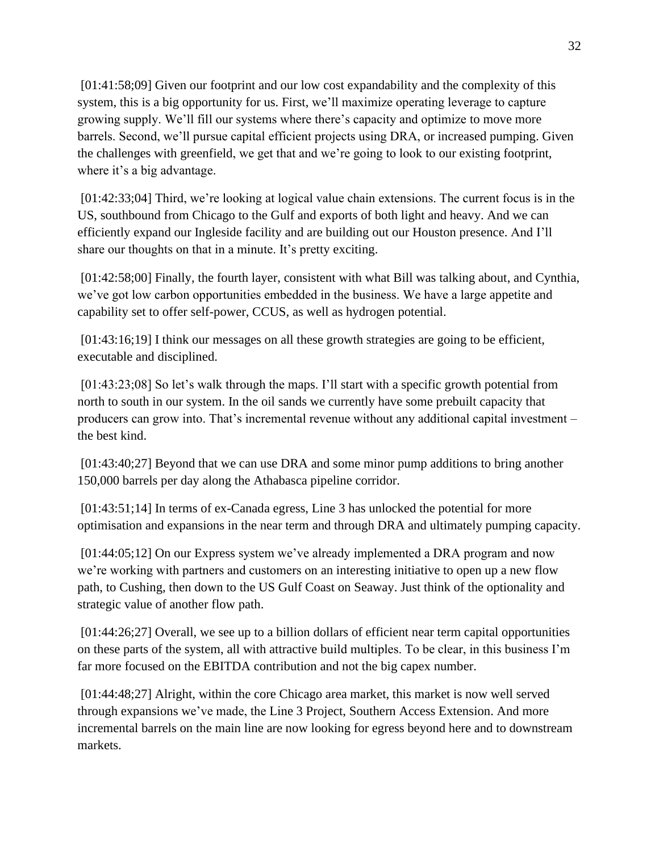[01:41:58;09] Given our footprint and our low cost expandability and the complexity of this system, this is a big opportunity for us. First, we'll maximize operating leverage to capture growing supply. We'll fill our systems where there's capacity and optimize to move more barrels. Second, we'll pursue capital efficient projects using DRA, or increased pumping. Given the challenges with greenfield, we get that and we're going to look to our existing footprint, where it's a big advantage.

[01:42:33;04] Third, we're looking at logical value chain extensions. The current focus is in the US, southbound from Chicago to the Gulf and exports of both light and heavy. And we can efficiently expand our Ingleside facility and are building out our Houston presence. And I'll share our thoughts on that in a minute. It's pretty exciting.

[01:42:58;00] Finally, the fourth layer, consistent with what Bill was talking about, and Cynthia, we've got low carbon opportunities embedded in the business. We have a large appetite and capability set to offer self-power, CCUS, as well as hydrogen potential.

[01:43:16;19] I think our messages on all these growth strategies are going to be efficient, executable and disciplined.

[01:43:23;08] So let's walk through the maps. I'll start with a specific growth potential from north to south in our system. In the oil sands we currently have some prebuilt capacity that producers can grow into. That's incremental revenue without any additional capital investment – the best kind.

[01:43:40;27] Beyond that we can use DRA and some minor pump additions to bring another 150,000 barrels per day along the Athabasca pipeline corridor.

[01:43:51;14] In terms of ex-Canada egress, Line 3 has unlocked the potential for more optimisation and expansions in the near term and through DRA and ultimately pumping capacity.

[01:44:05;12] On our Express system we've already implemented a DRA program and now we're working with partners and customers on an interesting initiative to open up a new flow path, to Cushing, then down to the US Gulf Coast on Seaway. Just think of the optionality and strategic value of another flow path.

[01:44:26;27] Overall, we see up to a billion dollars of efficient near term capital opportunities on these parts of the system, all with attractive build multiples. To be clear, in this business I'm far more focused on the EBITDA contribution and not the big capex number.

[01:44:48;27] Alright, within the core Chicago area market, this market is now well served through expansions we've made, the Line 3 Project, Southern Access Extension. And more incremental barrels on the main line are now looking for egress beyond here and to downstream markets.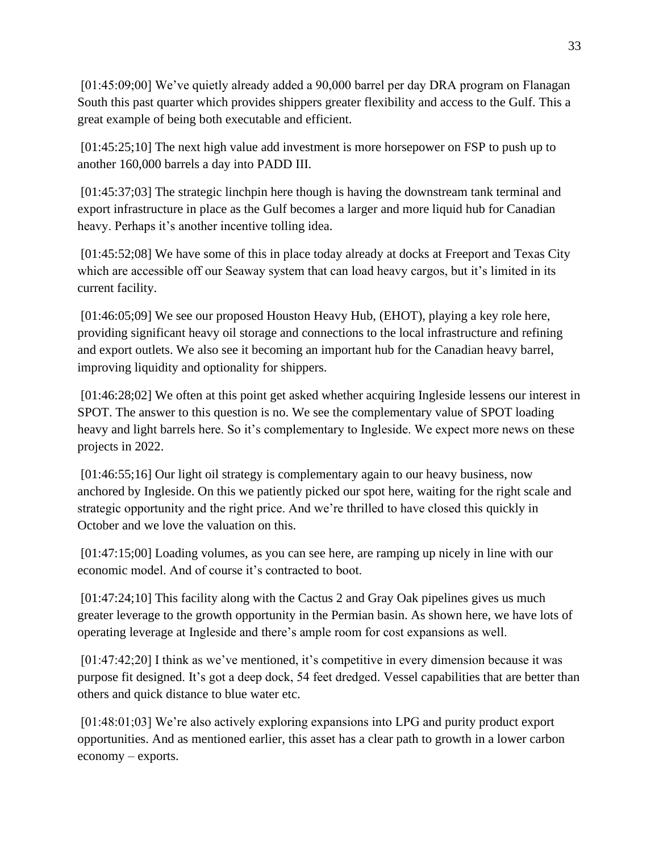[01:45:09;00] We've quietly already added a 90,000 barrel per day DRA program on Flanagan South this past quarter which provides shippers greater flexibility and access to the Gulf. This a great example of being both executable and efficient.

[01:45:25;10] The next high value add investment is more horsepower on FSP to push up to another 160,000 barrels a day into PADD III.

[01:45:37;03] The strategic linchpin here though is having the downstream tank terminal and export infrastructure in place as the Gulf becomes a larger and more liquid hub for Canadian heavy. Perhaps it's another incentive tolling idea.

[01:45:52;08] We have some of this in place today already at docks at Freeport and Texas City which are accessible off our Seaway system that can load heavy cargos, but it's limited in its current facility.

[01:46:05;09] We see our proposed Houston Heavy Hub, (EHOT), playing a key role here, providing significant heavy oil storage and connections to the local infrastructure and refining and export outlets. We also see it becoming an important hub for the Canadian heavy barrel, improving liquidity and optionality for shippers.

[01:46:28;02] We often at this point get asked whether acquiring Ingleside lessens our interest in SPOT. The answer to this question is no. We see the complementary value of SPOT loading heavy and light barrels here. So it's complementary to Ingleside. We expect more news on these projects in 2022.

[01:46:55;16] Our light oil strategy is complementary again to our heavy business, now anchored by Ingleside. On this we patiently picked our spot here, waiting for the right scale and strategic opportunity and the right price. And we're thrilled to have closed this quickly in October and we love the valuation on this.

[01:47:15;00] Loading volumes, as you can see here, are ramping up nicely in line with our economic model. And of course it's contracted to boot.

[01:47:24;10] This facility along with the Cactus 2 and Gray Oak pipelines gives us much greater leverage to the growth opportunity in the Permian basin. As shown here, we have lots of operating leverage at Ingleside and there's ample room for cost expansions as well.

[01:47:42;20] I think as we've mentioned, it's competitive in every dimension because it was purpose fit designed. It's got a deep dock, 54 feet dredged. Vessel capabilities that are better than others and quick distance to blue water etc.

[01:48:01;03] We're also actively exploring expansions into LPG and purity product export opportunities. And as mentioned earlier, this asset has a clear path to growth in a lower carbon economy – exports.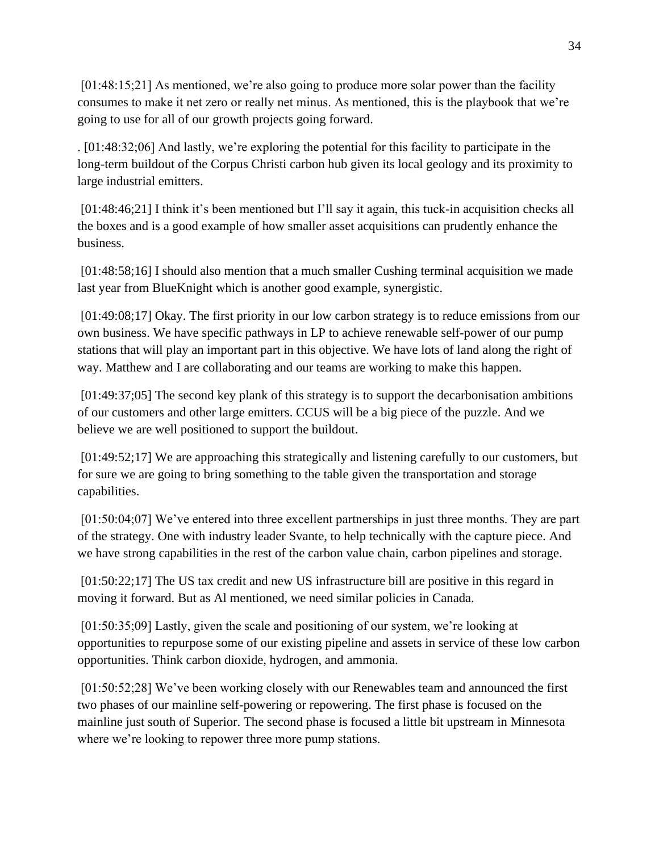[01:48:15;21] As mentioned, we're also going to produce more solar power than the facility consumes to make it net zero or really net minus. As mentioned, this is the playbook that we're going to use for all of our growth projects going forward.

. [01:48:32;06] And lastly, we're exploring the potential for this facility to participate in the long-term buildout of the Corpus Christi carbon hub given its local geology and its proximity to large industrial emitters.

[01:48:46;21] I think it's been mentioned but I'll say it again, this tuck-in acquisition checks all the boxes and is a good example of how smaller asset acquisitions can prudently enhance the business.

[01:48:58;16] I should also mention that a much smaller Cushing terminal acquisition we made last year from BlueKnight which is another good example, synergistic.

[01:49:08;17] Okay. The first priority in our low carbon strategy is to reduce emissions from our own business. We have specific pathways in LP to achieve renewable self-power of our pump stations that will play an important part in this objective. We have lots of land along the right of way. Matthew and I are collaborating and our teams are working to make this happen.

[01:49:37;05] The second key plank of this strategy is to support the decarbonisation ambitions of our customers and other large emitters. CCUS will be a big piece of the puzzle. And we believe we are well positioned to support the buildout.

[01:49:52;17] We are approaching this strategically and listening carefully to our customers, but for sure we are going to bring something to the table given the transportation and storage capabilities.

[01:50:04;07] We've entered into three excellent partnerships in just three months. They are part of the strategy. One with industry leader Svante, to help technically with the capture piece. And we have strong capabilities in the rest of the carbon value chain, carbon pipelines and storage.

[01:50:22;17] The US tax credit and new US infrastructure bill are positive in this regard in moving it forward. But as Al mentioned, we need similar policies in Canada.

[01:50:35;09] Lastly, given the scale and positioning of our system, we're looking at opportunities to repurpose some of our existing pipeline and assets in service of these low carbon opportunities. Think carbon dioxide, hydrogen, and ammonia.

[01:50:52;28] We've been working closely with our Renewables team and announced the first two phases of our mainline self-powering or repowering. The first phase is focused on the mainline just south of Superior. The second phase is focused a little bit upstream in Minnesota where we're looking to repower three more pump stations.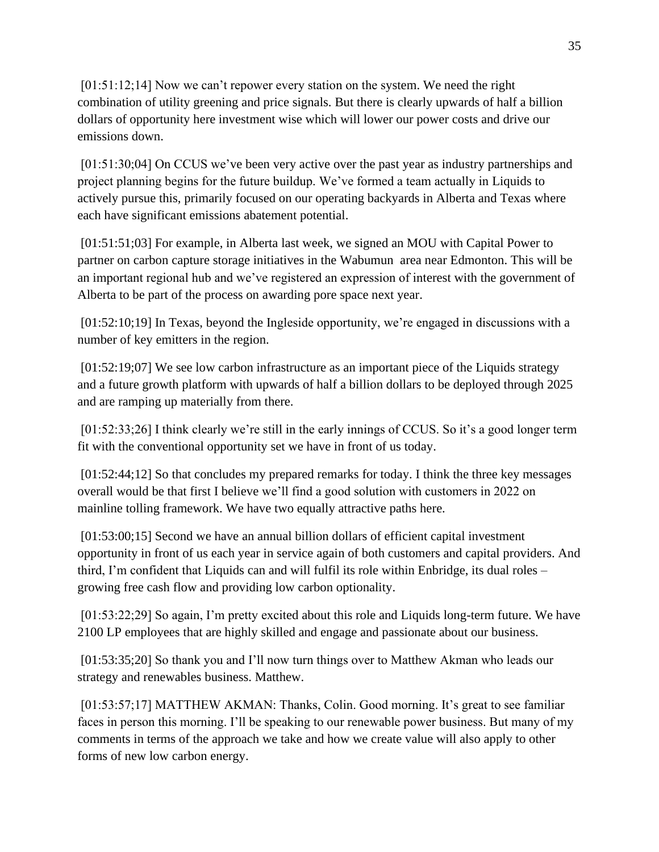[01:51:12;14] Now we can't repower every station on the system. We need the right combination of utility greening and price signals. But there is clearly upwards of half a billion dollars of opportunity here investment wise which will lower our power costs and drive our emissions down.

[01:51:30;04] On CCUS we've been very active over the past year as industry partnerships and project planning begins for the future buildup. We've formed a team actually in Liquids to actively pursue this, primarily focused on our operating backyards in Alberta and Texas where each have significant emissions abatement potential.

[01:51:51;03] For example, in Alberta last week, we signed an MOU with Capital Power to partner on carbon capture storage initiatives in the Wabumun area near Edmonton. This will be an important regional hub and we've registered an expression of interest with the government of Alberta to be part of the process on awarding pore space next year.

[01:52:10;19] In Texas, beyond the Ingleside opportunity, we're engaged in discussions with a number of key emitters in the region.

[01:52:19;07] We see low carbon infrastructure as an important piece of the Liquids strategy and a future growth platform with upwards of half a billion dollars to be deployed through 2025 and are ramping up materially from there.

[01:52:33;26] I think clearly we're still in the early innings of CCUS. So it's a good longer term fit with the conventional opportunity set we have in front of us today.

[01:52:44;12] So that concludes my prepared remarks for today. I think the three key messages overall would be that first I believe we'll find a good solution with customers in 2022 on mainline tolling framework. We have two equally attractive paths here.

[01:53:00;15] Second we have an annual billion dollars of efficient capital investment opportunity in front of us each year in service again of both customers and capital providers. And third, I'm confident that Liquids can and will fulfil its role within Enbridge, its dual roles – growing free cash flow and providing low carbon optionality.

[01:53:22;29] So again, I'm pretty excited about this role and Liquids long-term future. We have 2100 LP employees that are highly skilled and engage and passionate about our business.

[01:53:35;20] So thank you and I'll now turn things over to Matthew Akman who leads our strategy and renewables business. Matthew.

[01:53:57;17] MATTHEW AKMAN: Thanks, Colin. Good morning. It's great to see familiar faces in person this morning. I'll be speaking to our renewable power business. But many of my comments in terms of the approach we take and how we create value will also apply to other forms of new low carbon energy.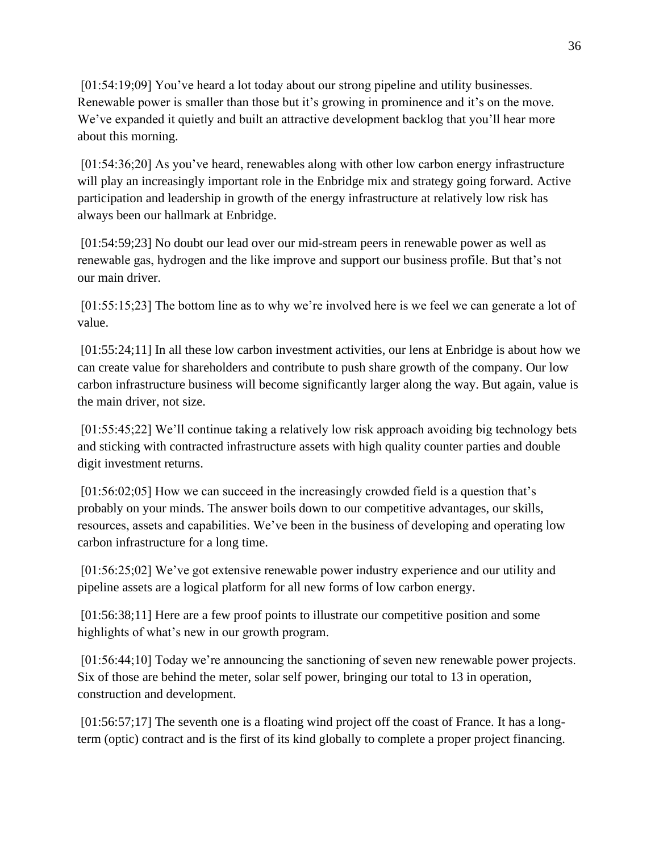[01:54:19;09] You've heard a lot today about our strong pipeline and utility businesses. Renewable power is smaller than those but it's growing in prominence and it's on the move. We've expanded it quietly and built an attractive development backlog that you'll hear more about this morning.

[01:54:36;20] As you've heard, renewables along with other low carbon energy infrastructure will play an increasingly important role in the Enbridge mix and strategy going forward. Active participation and leadership in growth of the energy infrastructure at relatively low risk has always been our hallmark at Enbridge.

[01:54:59;23] No doubt our lead over our mid-stream peers in renewable power as well as renewable gas, hydrogen and the like improve and support our business profile. But that's not our main driver.

[01:55:15;23] The bottom line as to why we're involved here is we feel we can generate a lot of value.

[01:55:24;11] In all these low carbon investment activities, our lens at Enbridge is about how we can create value for shareholders and contribute to push share growth of the company. Our low carbon infrastructure business will become significantly larger along the way. But again, value is the main driver, not size.

[01:55:45;22] We'll continue taking a relatively low risk approach avoiding big technology bets and sticking with contracted infrastructure assets with high quality counter parties and double digit investment returns.

[01:56:02;05] How we can succeed in the increasingly crowded field is a question that's probably on your minds. The answer boils down to our competitive advantages, our skills, resources, assets and capabilities. We've been in the business of developing and operating low carbon infrastructure for a long time.

[01:56:25;02] We've got extensive renewable power industry experience and our utility and pipeline assets are a logical platform for all new forms of low carbon energy.

[01:56:38;11] Here are a few proof points to illustrate our competitive position and some highlights of what's new in our growth program.

[01:56:44;10] Today we're announcing the sanctioning of seven new renewable power projects. Six of those are behind the meter, solar self power, bringing our total to 13 in operation, construction and development.

[01:56:57;17] The seventh one is a floating wind project off the coast of France. It has a longterm (optic) contract and is the first of its kind globally to complete a proper project financing.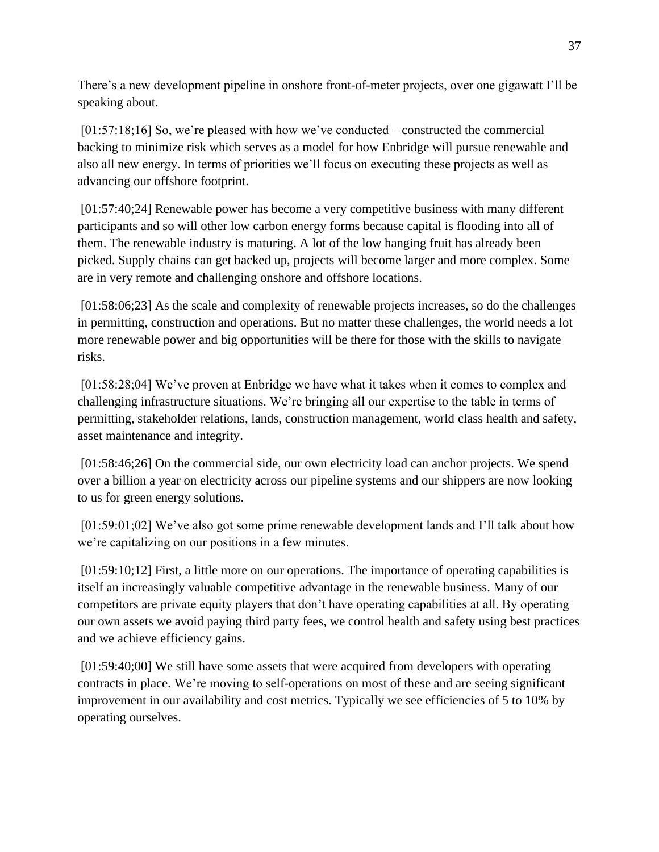There's a new development pipeline in onshore front-of-meter projects, over one gigawatt I'll be speaking about.

[01:57:18;16] So, we're pleased with how we've conducted – constructed the commercial backing to minimize risk which serves as a model for how Enbridge will pursue renewable and also all new energy. In terms of priorities we'll focus on executing these projects as well as advancing our offshore footprint.

[01:57:40;24] Renewable power has become a very competitive business with many different participants and so will other low carbon energy forms because capital is flooding into all of them. The renewable industry is maturing. A lot of the low hanging fruit has already been picked. Supply chains can get backed up, projects will become larger and more complex. Some are in very remote and challenging onshore and offshore locations.

[01:58:06;23] As the scale and complexity of renewable projects increases, so do the challenges in permitting, construction and operations. But no matter these challenges, the world needs a lot more renewable power and big opportunities will be there for those with the skills to navigate risks.

[01:58:28;04] We've proven at Enbridge we have what it takes when it comes to complex and challenging infrastructure situations. We're bringing all our expertise to the table in terms of permitting, stakeholder relations, lands, construction management, world class health and safety, asset maintenance and integrity.

[01:58:46;26] On the commercial side, our own electricity load can anchor projects. We spend over a billion a year on electricity across our pipeline systems and our shippers are now looking to us for green energy solutions.

[01:59:01;02] We've also got some prime renewable development lands and I'll talk about how we're capitalizing on our positions in a few minutes.

[01:59:10;12] First, a little more on our operations. The importance of operating capabilities is itself an increasingly valuable competitive advantage in the renewable business. Many of our competitors are private equity players that don't have operating capabilities at all. By operating our own assets we avoid paying third party fees, we control health and safety using best practices and we achieve efficiency gains.

[01:59:40;00] We still have some assets that were acquired from developers with operating contracts in place. We're moving to self-operations on most of these and are seeing significant improvement in our availability and cost metrics. Typically we see efficiencies of 5 to 10% by operating ourselves.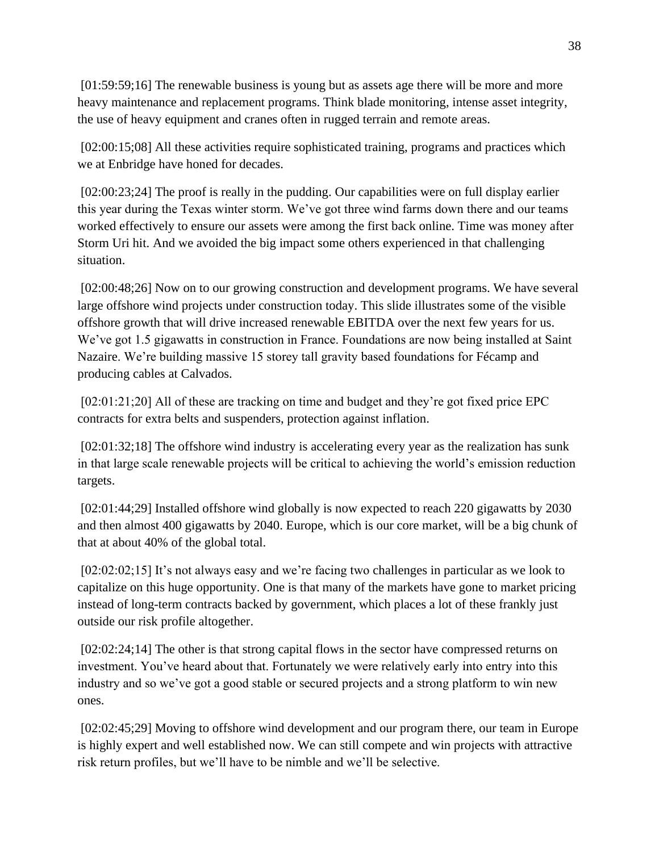[01:59:59;16] The renewable business is young but as assets age there will be more and more heavy maintenance and replacement programs. Think blade monitoring, intense asset integrity, the use of heavy equipment and cranes often in rugged terrain and remote areas.

[02:00:15;08] All these activities require sophisticated training, programs and practices which we at Enbridge have honed for decades.

[02:00:23;24] The proof is really in the pudding. Our capabilities were on full display earlier this year during the Texas winter storm. We've got three wind farms down there and our teams worked effectively to ensure our assets were among the first back online. Time was money after Storm Uri hit. And we avoided the big impact some others experienced in that challenging situation.

[02:00:48;26] Now on to our growing construction and development programs. We have several large offshore wind projects under construction today. This slide illustrates some of the visible offshore growth that will drive increased renewable EBITDA over the next few years for us. We've got 1.5 gigawatts in construction in France. Foundations are now being installed at Saint Nazaire. We're building massive 15 storey tall gravity based foundations for Fécamp and producing cables at Calvados.

[02:01:21;20] All of these are tracking on time and budget and they're got fixed price EPC contracts for extra belts and suspenders, protection against inflation.

[02:01:32;18] The offshore wind industry is accelerating every year as the realization has sunk in that large scale renewable projects will be critical to achieving the world's emission reduction targets.

[02:01:44;29] Installed offshore wind globally is now expected to reach 220 gigawatts by 2030 and then almost 400 gigawatts by 2040. Europe, which is our core market, will be a big chunk of that at about 40% of the global total.

[02:02:02:15] It's not always easy and we're facing two challenges in particular as we look to capitalize on this huge opportunity. One is that many of the markets have gone to market pricing instead of long-term contracts backed by government, which places a lot of these frankly just outside our risk profile altogether.

[02:02:24;14] The other is that strong capital flows in the sector have compressed returns on investment. You've heard about that. Fortunately we were relatively early into entry into this industry and so we've got a good stable or secured projects and a strong platform to win new ones.

[02:02:45;29] Moving to offshore wind development and our program there, our team in Europe is highly expert and well established now. We can still compete and win projects with attractive risk return profiles, but we'll have to be nimble and we'll be selective.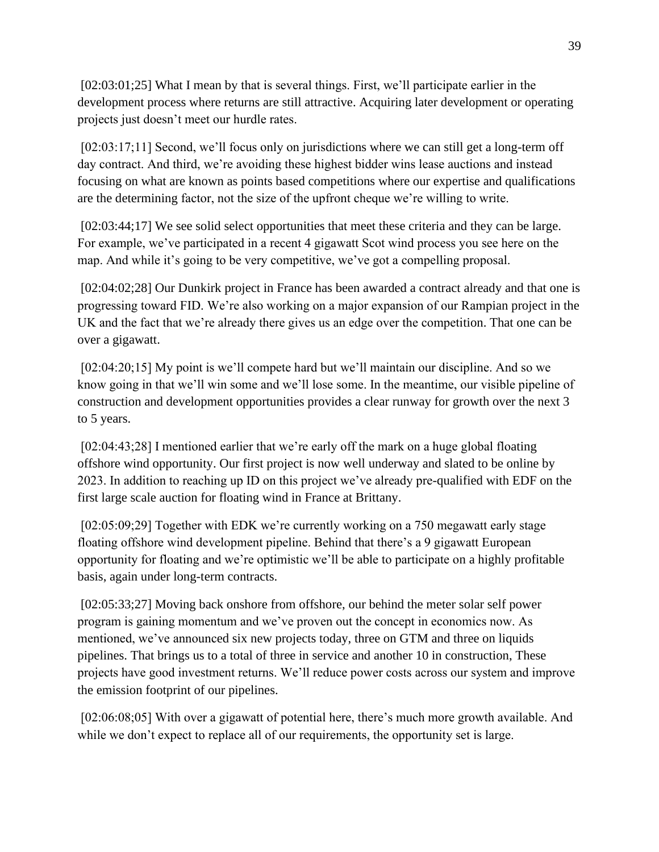[02:03:01;25] What I mean by that is several things. First, we'll participate earlier in the development process where returns are still attractive. Acquiring later development or operating projects just doesn't meet our hurdle rates.

[02:03:17;11] Second, we'll focus only on jurisdictions where we can still get a long-term off day contract. And third, we're avoiding these highest bidder wins lease auctions and instead focusing on what are known as points based competitions where our expertise and qualifications are the determining factor, not the size of the upfront cheque we're willing to write.

[02:03:44;17] We see solid select opportunities that meet these criteria and they can be large. For example, we've participated in a recent 4 gigawatt Scot wind process you see here on the map. And while it's going to be very competitive, we've got a compelling proposal.

[02:04:02;28] Our Dunkirk project in France has been awarded a contract already and that one is progressing toward FID. We're also working on a major expansion of our Rampian project in the UK and the fact that we're already there gives us an edge over the competition. That one can be over a gigawatt.

[02:04:20;15] My point is we'll compete hard but we'll maintain our discipline. And so we know going in that we'll win some and we'll lose some. In the meantime, our visible pipeline of construction and development opportunities provides a clear runway for growth over the next 3 to 5 years.

[02:04:43;28] I mentioned earlier that we're early off the mark on a huge global floating offshore wind opportunity. Our first project is now well underway and slated to be online by 2023. In addition to reaching up ID on this project we've already pre-qualified with EDF on the first large scale auction for floating wind in France at Brittany.

[02:05:09;29] Together with EDK we're currently working on a 750 megawatt early stage floating offshore wind development pipeline. Behind that there's a 9 gigawatt European opportunity for floating and we're optimistic we'll be able to participate on a highly profitable basis, again under long-term contracts.

[02:05:33;27] Moving back onshore from offshore, our behind the meter solar self power program is gaining momentum and we've proven out the concept in economics now. As mentioned, we've announced six new projects today, three on GTM and three on liquids pipelines. That brings us to a total of three in service and another 10 in construction, These projects have good investment returns. We'll reduce power costs across our system and improve the emission footprint of our pipelines.

[02:06:08;05] With over a gigawatt of potential here, there's much more growth available. And while we don't expect to replace all of our requirements, the opportunity set is large.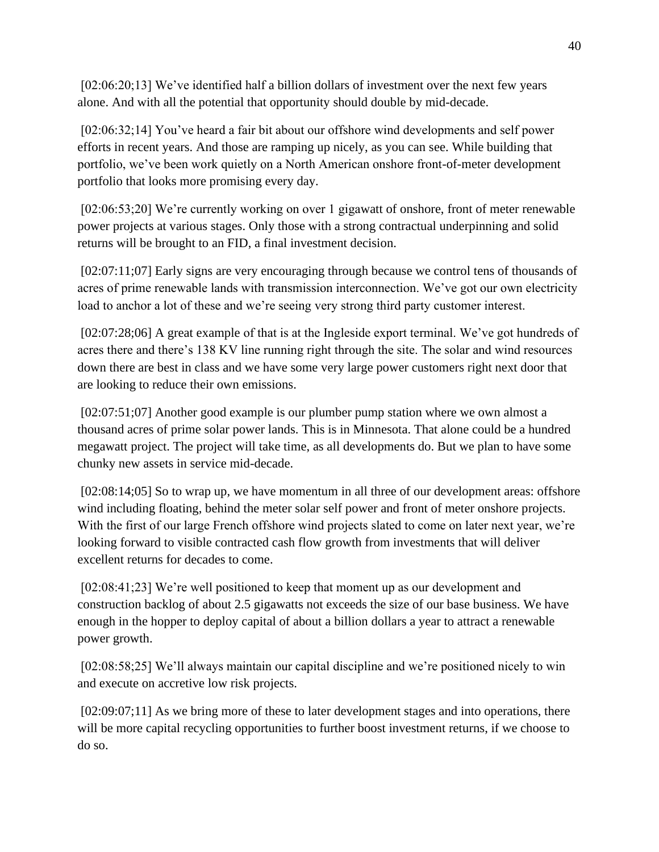[02:06:20;13] We've identified half a billion dollars of investment over the next few years alone. And with all the potential that opportunity should double by mid-decade.

[02:06:32;14] You've heard a fair bit about our offshore wind developments and self power efforts in recent years. And those are ramping up nicely, as you can see. While building that portfolio, we've been work quietly on a North American onshore front-of-meter development portfolio that looks more promising every day.

[02:06:53;20] We're currently working on over 1 gigawatt of onshore, front of meter renewable power projects at various stages. Only those with a strong contractual underpinning and solid returns will be brought to an FID, a final investment decision.

[02:07:11;07] Early signs are very encouraging through because we control tens of thousands of acres of prime renewable lands with transmission interconnection. We've got our own electricity load to anchor a lot of these and we're seeing very strong third party customer interest.

[02:07:28;06] A great example of that is at the Ingleside export terminal. We've got hundreds of acres there and there's 138 KV line running right through the site. The solar and wind resources down there are best in class and we have some very large power customers right next door that are looking to reduce their own emissions.

[02:07:51;07] Another good example is our plumber pump station where we own almost a thousand acres of prime solar power lands. This is in Minnesota. That alone could be a hundred megawatt project. The project will take time, as all developments do. But we plan to have some chunky new assets in service mid-decade.

[02:08:14;05] So to wrap up, we have momentum in all three of our development areas: offshore wind including floating, behind the meter solar self power and front of meter onshore projects. With the first of our large French offshore wind projects slated to come on later next year, we're looking forward to visible contracted cash flow growth from investments that will deliver excellent returns for decades to come.

[02:08:41;23] We're well positioned to keep that moment up as our development and construction backlog of about 2.5 gigawatts not exceeds the size of our base business. We have enough in the hopper to deploy capital of about a billion dollars a year to attract a renewable power growth.

[02:08:58;25] We'll always maintain our capital discipline and we're positioned nicely to win and execute on accretive low risk projects.

[02:09:07;11] As we bring more of these to later development stages and into operations, there will be more capital recycling opportunities to further boost investment returns, if we choose to do so.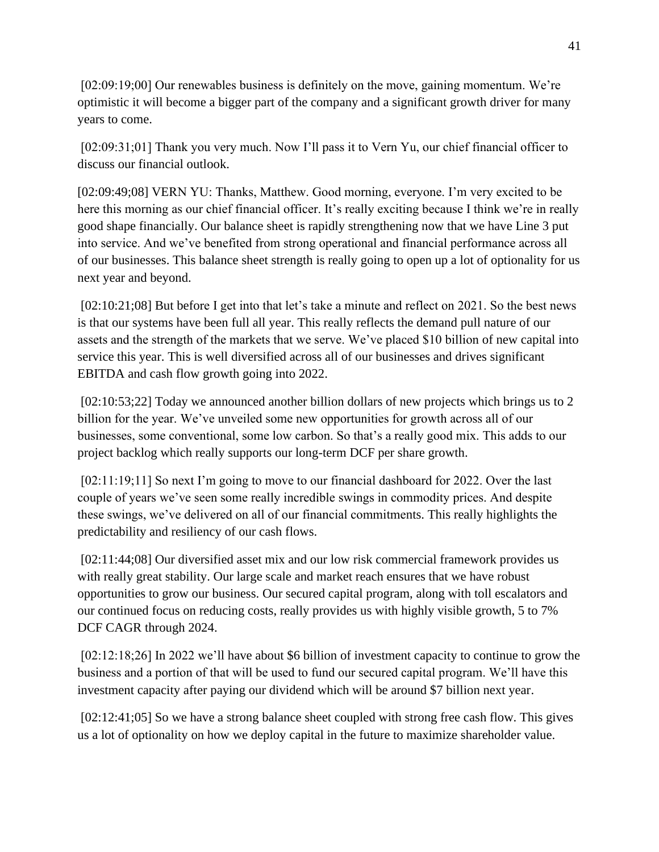[02:09:19;00] Our renewables business is definitely on the move, gaining momentum. We're optimistic it will become a bigger part of the company and a significant growth driver for many years to come.

[02:09:31;01] Thank you very much. Now I'll pass it to Vern Yu, our chief financial officer to discuss our financial outlook.

[02:09:49;08] VERN YU: Thanks, Matthew. Good morning, everyone. I'm very excited to be here this morning as our chief financial officer. It's really exciting because I think we're in really good shape financially. Our balance sheet is rapidly strengthening now that we have Line 3 put into service. And we've benefited from strong operational and financial performance across all of our businesses. This balance sheet strength is really going to open up a lot of optionality for us next year and beyond.

[02:10:21;08] But before I get into that let's take a minute and reflect on 2021. So the best news is that our systems have been full all year. This really reflects the demand pull nature of our assets and the strength of the markets that we serve. We've placed \$10 billion of new capital into service this year. This is well diversified across all of our businesses and drives significant EBITDA and cash flow growth going into 2022.

[02:10:53;22] Today we announced another billion dollars of new projects which brings us to 2 billion for the year. We've unveiled some new opportunities for growth across all of our businesses, some conventional, some low carbon. So that's a really good mix. This adds to our project backlog which really supports our long-term DCF per share growth.

[02:11:19;11] So next I'm going to move to our financial dashboard for 2022. Over the last couple of years we've seen some really incredible swings in commodity prices. And despite these swings, we've delivered on all of our financial commitments. This really highlights the predictability and resiliency of our cash flows.

[02:11:44;08] Our diversified asset mix and our low risk commercial framework provides us with really great stability. Our large scale and market reach ensures that we have robust opportunities to grow our business. Our secured capital program, along with toll escalators and our continued focus on reducing costs, really provides us with highly visible growth, 5 to 7% DCF CAGR through 2024.

[02:12:18;26] In 2022 we'll have about \$6 billion of investment capacity to continue to grow the business and a portion of that will be used to fund our secured capital program. We'll have this investment capacity after paying our dividend which will be around \$7 billion next year.

[02:12:41;05] So we have a strong balance sheet coupled with strong free cash flow. This gives us a lot of optionality on how we deploy capital in the future to maximize shareholder value.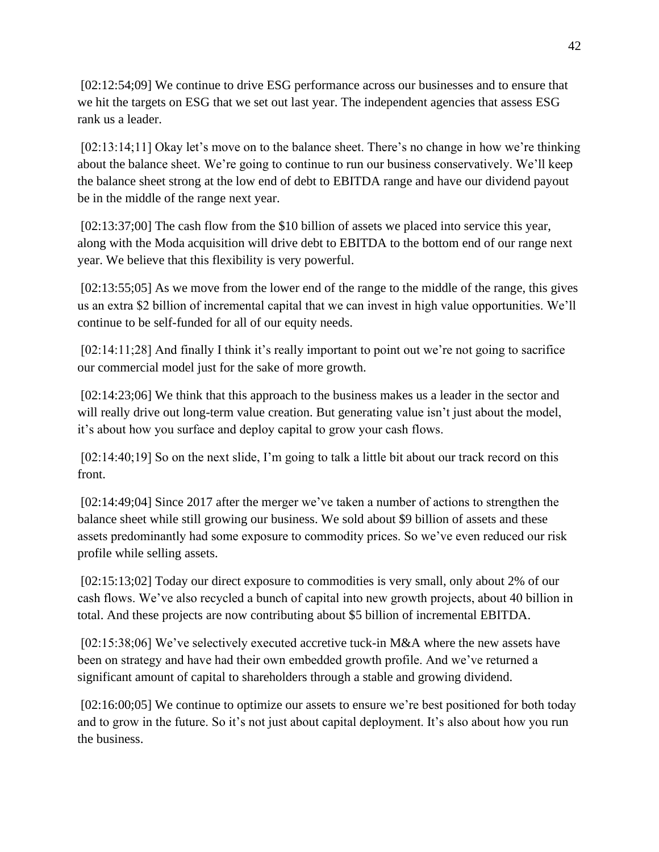[02:12:54;09] We continue to drive ESG performance across our businesses and to ensure that we hit the targets on ESG that we set out last year. The independent agencies that assess ESG rank us a leader.

[02:13:14;11] Okay let's move on to the balance sheet. There's no change in how we're thinking about the balance sheet. We're going to continue to run our business conservatively. We'll keep the balance sheet strong at the low end of debt to EBITDA range and have our dividend payout be in the middle of the range next year.

[02:13:37;00] The cash flow from the \$10 billion of assets we placed into service this year, along with the Moda acquisition will drive debt to EBITDA to the bottom end of our range next year. We believe that this flexibility is very powerful.

[02:13:55;05] As we move from the lower end of the range to the middle of the range, this gives us an extra \$2 billion of incremental capital that we can invest in high value opportunities. We'll continue to be self-funded for all of our equity needs.

[02:14:11;28] And finally I think it's really important to point out we're not going to sacrifice our commercial model just for the sake of more growth.

[02:14:23;06] We think that this approach to the business makes us a leader in the sector and will really drive out long-term value creation. But generating value isn't just about the model, it's about how you surface and deploy capital to grow your cash flows.

[02:14:40;19] So on the next slide, I'm going to talk a little bit about our track record on this front.

[02:14:49;04] Since 2017 after the merger we've taken a number of actions to strengthen the balance sheet while still growing our business. We sold about \$9 billion of assets and these assets predominantly had some exposure to commodity prices. So we've even reduced our risk profile while selling assets.

[02:15:13;02] Today our direct exposure to commodities is very small, only about 2% of our cash flows. We've also recycled a bunch of capital into new growth projects, about 40 billion in total. And these projects are now contributing about \$5 billion of incremental EBITDA.

[02:15:38;06] We've selectively executed accretive tuck-in M&A where the new assets have been on strategy and have had their own embedded growth profile. And we've returned a significant amount of capital to shareholders through a stable and growing dividend.

[02:16:00;05] We continue to optimize our assets to ensure we're best positioned for both today and to grow in the future. So it's not just about capital deployment. It's also about how you run the business.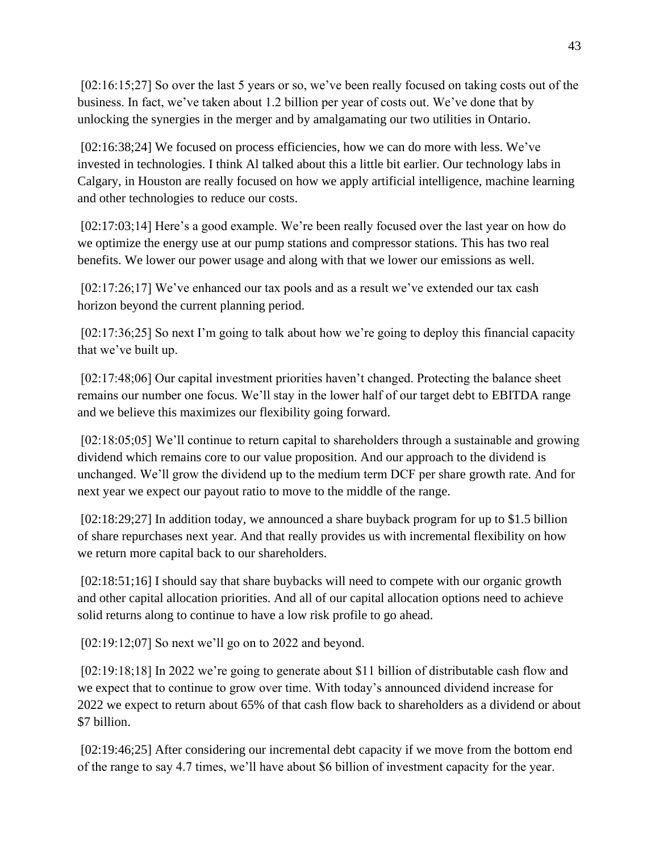[02:16:15;27] So over the last 5 years or so, we've been really focused on taking costs out of the business. In fact, we've taken about 1.2 billion per year of costs out. We've done that by unlocking the synergies in the merger and by amalgamating our two utilities in Ontario.

[02:16:38;24] We focused on process efficiencies, how we can do more with less. We've invested in technologies. I think Al talked about this a little bit earlier. Our technology labs in Calgary, in Houston are really focused on how we apply artificial intelligence, machine learning and other technologies to reduce our costs.

[02:17:03;14] Here's a good example. We're been really focused over the last year on how do we optimize the energy use at our pump stations and compressor stations. This has two real benefits. We lower our power usage and along with that we lower our emissions as well.

[02:17:26;17] We've enhanced our tax pools and as a result we've extended our tax cash horizon beyond the current planning period.

[02:17:36;25] So next I'm going to talk about how we're going to deploy this financial capacity that we've built up.

[02:17:48;06] Our capital investment priorities haven't changed. Protecting the balance sheet remains our number one focus. We'll stay in the lower half of our target debt to EBITDA range and we believe this maximizes our flexibility going forward.

[02:18:05;05] We'll continue to return capital to shareholders through a sustainable and growing dividend which remains core to our value proposition. And our approach to the dividend is unchanged. We'll grow the dividend up to the medium term DCF per share growth rate. And for next year we expect our payout ratio to move to the middle of the range.

[02:18:29;27] In addition today, we announced a share buyback program for up to \$1.5 billion of share repurchases next year. And that really provides us with incremental flexibility on how we return more capital back to our shareholders.

[02:18:51;16] I should say that share buybacks will need to compete with our organic growth and other capital allocation priorities. And all of our capital allocation options need to achieve solid returns along to continue to have a low risk profile to go ahead.

[02:19:12;07] So next we'll go on to 2022 and beyond.

[02:19:18;18] In 2022 we're going to generate about \$11 billion of distributable cash flow and we expect that to continue to grow over time. With today's announced dividend increase for 2022 we expect to return about 65% of that cash flow back to shareholders as a dividend or about \$7 billion.

[02:19:46;25] After considering our incremental debt capacity if we move from the bottom end of the range to say 4.7 times, we'll have about \$6 billion of investment capacity for the year.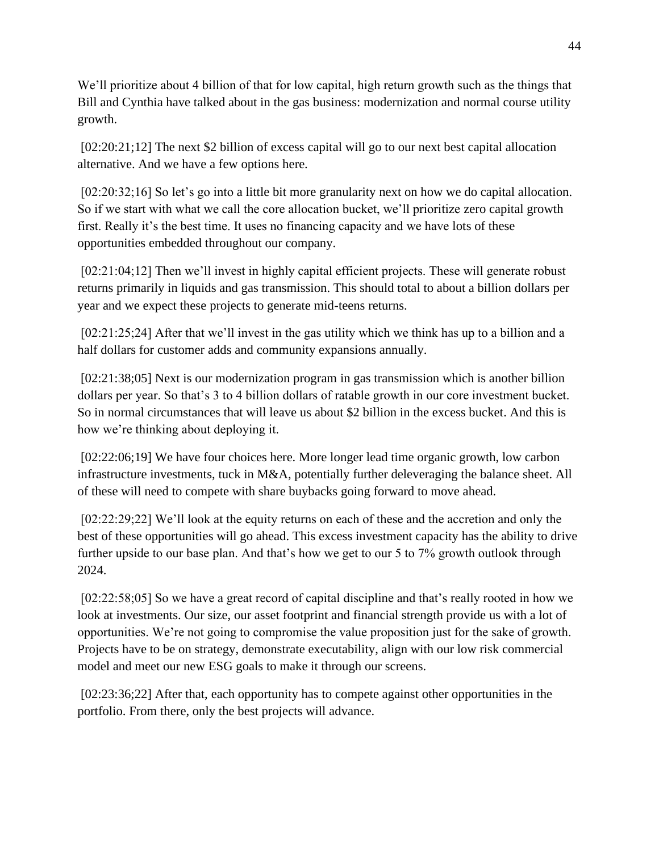We'll prioritize about 4 billion of that for low capital, high return growth such as the things that Bill and Cynthia have talked about in the gas business: modernization and normal course utility growth.

[02:20:21;12] The next \$2 billion of excess capital will go to our next best capital allocation alternative. And we have a few options here.

[02:20:32;16] So let's go into a little bit more granularity next on how we do capital allocation. So if we start with what we call the core allocation bucket, we'll prioritize zero capital growth first. Really it's the best time. It uses no financing capacity and we have lots of these opportunities embedded throughout our company.

[02:21:04;12] Then we'll invest in highly capital efficient projects. These will generate robust returns primarily in liquids and gas transmission. This should total to about a billion dollars per year and we expect these projects to generate mid-teens returns.

[02:21:25;24] After that we'll invest in the gas utility which we think has up to a billion and a half dollars for customer adds and community expansions annually.

[02:21:38;05] Next is our modernization program in gas transmission which is another billion dollars per year. So that's 3 to 4 billion dollars of ratable growth in our core investment bucket. So in normal circumstances that will leave us about \$2 billion in the excess bucket. And this is how we're thinking about deploying it.

[02:22:06;19] We have four choices here. More longer lead time organic growth, low carbon infrastructure investments, tuck in M&A, potentially further deleveraging the balance sheet. All of these will need to compete with share buybacks going forward to move ahead.

[02:22:29;22] We'll look at the equity returns on each of these and the accretion and only the best of these opportunities will go ahead. This excess investment capacity has the ability to drive further upside to our base plan. And that's how we get to our 5 to 7% growth outlook through 2024.

[02:22:58;05] So we have a great record of capital discipline and that's really rooted in how we look at investments. Our size, our asset footprint and financial strength provide us with a lot of opportunities. We're not going to compromise the value proposition just for the sake of growth. Projects have to be on strategy, demonstrate executability, align with our low risk commercial model and meet our new ESG goals to make it through our screens.

[02:23:36;22] After that, each opportunity has to compete against other opportunities in the portfolio. From there, only the best projects will advance.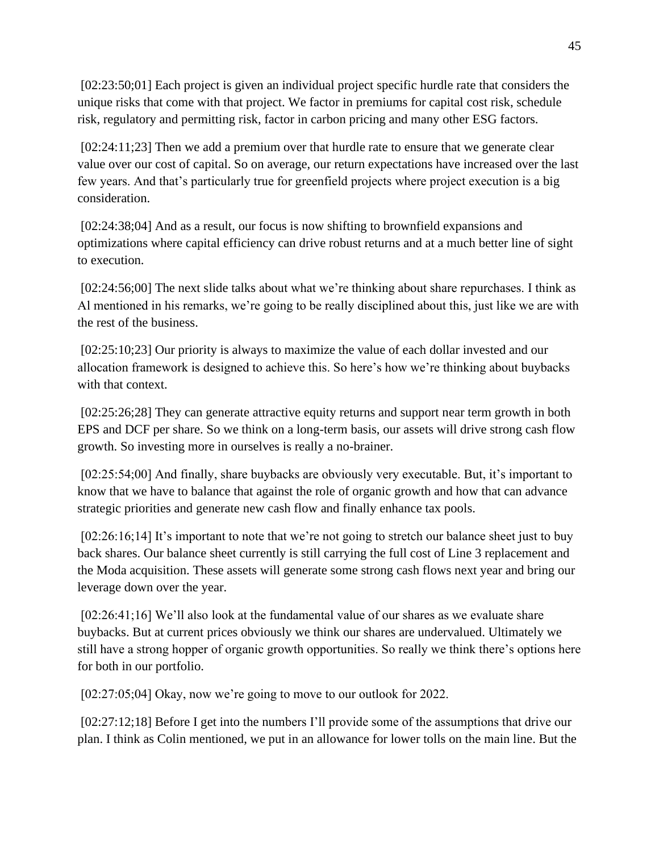[02:23:50;01] Each project is given an individual project specific hurdle rate that considers the unique risks that come with that project. We factor in premiums for capital cost risk, schedule risk, regulatory and permitting risk, factor in carbon pricing and many other ESG factors.

[02:24:11;23] Then we add a premium over that hurdle rate to ensure that we generate clear value over our cost of capital. So on average, our return expectations have increased over the last few years. And that's particularly true for greenfield projects where project execution is a big consideration.

[02:24:38;04] And as a result, our focus is now shifting to brownfield expansions and optimizations where capital efficiency can drive robust returns and at a much better line of sight to execution.

[02:24:56;00] The next slide talks about what we're thinking about share repurchases. I think as Al mentioned in his remarks, we're going to be really disciplined about this, just like we are with the rest of the business.

[02:25:10;23] Our priority is always to maximize the value of each dollar invested and our allocation framework is designed to achieve this. So here's how we're thinking about buybacks with that context.

[02:25:26;28] They can generate attractive equity returns and support near term growth in both EPS and DCF per share. So we think on a long-term basis, our assets will drive strong cash flow growth. So investing more in ourselves is really a no-brainer.

[02:25:54;00] And finally, share buybacks are obviously very executable. But, it's important to know that we have to balance that against the role of organic growth and how that can advance strategic priorities and generate new cash flow and finally enhance tax pools.

[02:26:16;14] It's important to note that we're not going to stretch our balance sheet just to buy back shares. Our balance sheet currently is still carrying the full cost of Line 3 replacement and the Moda acquisition. These assets will generate some strong cash flows next year and bring our leverage down over the year.

[02:26:41;16] We'll also look at the fundamental value of our shares as we evaluate share buybacks. But at current prices obviously we think our shares are undervalued. Ultimately we still have a strong hopper of organic growth opportunities. So really we think there's options here for both in our portfolio.

[02:27:05;04] Okay, now we're going to move to our outlook for 2022.

[02:27:12;18] Before I get into the numbers I'll provide some of the assumptions that drive our plan. I think as Colin mentioned, we put in an allowance for lower tolls on the main line. But the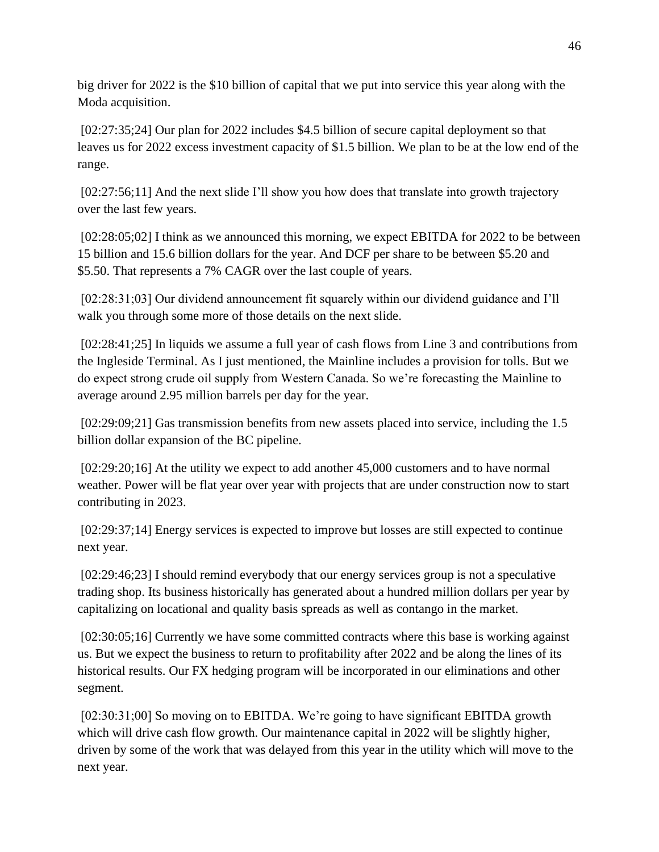big driver for 2022 is the \$10 billion of capital that we put into service this year along with the Moda acquisition.

[02:27:35;24] Our plan for 2022 includes \$4.5 billion of secure capital deployment so that leaves us for 2022 excess investment capacity of \$1.5 billion. We plan to be at the low end of the range.

[02:27:56;11] And the next slide I'll show you how does that translate into growth trajectory over the last few years.

[02:28:05;02] I think as we announced this morning, we expect EBITDA for 2022 to be between 15 billion and 15.6 billion dollars for the year. And DCF per share to be between \$5.20 and \$5.50. That represents a 7% CAGR over the last couple of years.

[02:28:31;03] Our dividend announcement fit squarely within our dividend guidance and I'll walk you through some more of those details on the next slide.

[02:28:41;25] In liquids we assume a full year of cash flows from Line 3 and contributions from the Ingleside Terminal. As I just mentioned, the Mainline includes a provision for tolls. But we do expect strong crude oil supply from Western Canada. So we're forecasting the Mainline to average around 2.95 million barrels per day for the year.

[02:29:09;21] Gas transmission benefits from new assets placed into service, including the 1.5 billion dollar expansion of the BC pipeline.

[02:29:20;16] At the utility we expect to add another 45,000 customers and to have normal weather. Power will be flat year over year with projects that are under construction now to start contributing in 2023.

[02:29:37;14] Energy services is expected to improve but losses are still expected to continue next year.

[02:29:46;23] I should remind everybody that our energy services group is not a speculative trading shop. Its business historically has generated about a hundred million dollars per year by capitalizing on locational and quality basis spreads as well as contango in the market.

[02:30:05;16] Currently we have some committed contracts where this base is working against us. But we expect the business to return to profitability after 2022 and be along the lines of its historical results. Our FX hedging program will be incorporated in our eliminations and other segment.

[02:30:31;00] So moving on to EBITDA. We're going to have significant EBITDA growth which will drive cash flow growth. Our maintenance capital in 2022 will be slightly higher, driven by some of the work that was delayed from this year in the utility which will move to the next year.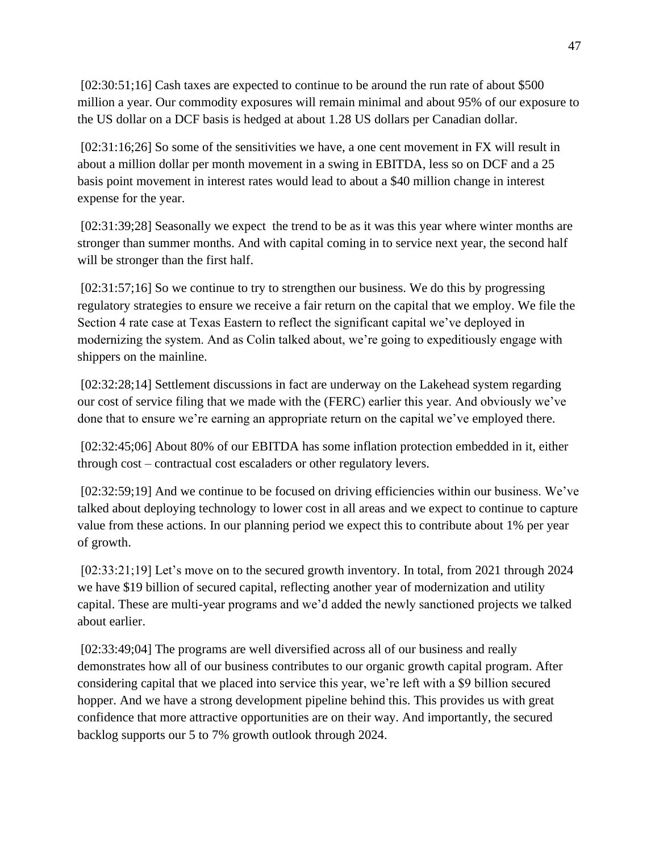[02:30:51;16] Cash taxes are expected to continue to be around the run rate of about \$500 million a year. Our commodity exposures will remain minimal and about 95% of our exposure to the US dollar on a DCF basis is hedged at about 1.28 US dollars per Canadian dollar.

[02:31:16;26] So some of the sensitivities we have, a one cent movement in FX will result in about a million dollar per month movement in a swing in EBITDA, less so on DCF and a 25 basis point movement in interest rates would lead to about a \$40 million change in interest expense for the year.

[02:31:39;28] Seasonally we expect the trend to be as it was this year where winter months are stronger than summer months. And with capital coming in to service next year, the second half will be stronger than the first half.

[02:31:57;16] So we continue to try to strengthen our business. We do this by progressing regulatory strategies to ensure we receive a fair return on the capital that we employ. We file the Section 4 rate case at Texas Eastern to reflect the significant capital we've deployed in modernizing the system. And as Colin talked about, we're going to expeditiously engage with shippers on the mainline.

[02:32:28;14] Settlement discussions in fact are underway on the Lakehead system regarding our cost of service filing that we made with the (FERC) earlier this year. And obviously we've done that to ensure we're earning an appropriate return on the capital we've employed there.

[02:32:45;06] About 80% of our EBITDA has some inflation protection embedded in it, either through cost – contractual cost escaladers or other regulatory levers.

[02:32:59;19] And we continue to be focused on driving efficiencies within our business. We've talked about deploying technology to lower cost in all areas and we expect to continue to capture value from these actions. In our planning period we expect this to contribute about 1% per year of growth.

[02:33:21;19] Let's move on to the secured growth inventory. In total, from 2021 through 2024 we have \$19 billion of secured capital, reflecting another year of modernization and utility capital. These are multi-year programs and we'd added the newly sanctioned projects we talked about earlier.

[02:33:49;04] The programs are well diversified across all of our business and really demonstrates how all of our business contributes to our organic growth capital program. After considering capital that we placed into service this year, we're left with a \$9 billion secured hopper. And we have a strong development pipeline behind this. This provides us with great confidence that more attractive opportunities are on their way. And importantly, the secured backlog supports our 5 to 7% growth outlook through 2024.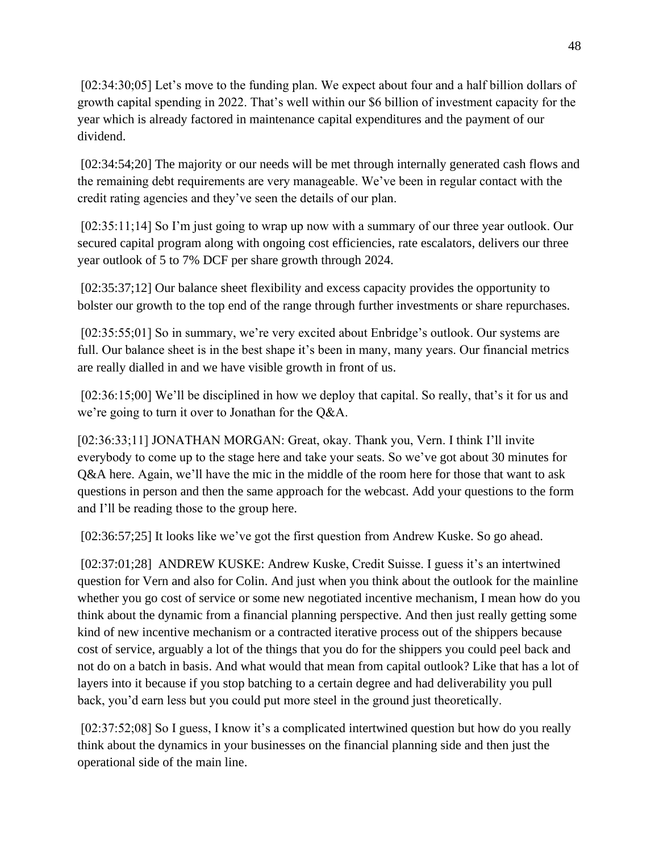[02:34:30;05] Let's move to the funding plan. We expect about four and a half billion dollars of growth capital spending in 2022. That's well within our \$6 billion of investment capacity for the year which is already factored in maintenance capital expenditures and the payment of our dividend.

[02:34:54;20] The majority or our needs will be met through internally generated cash flows and the remaining debt requirements are very manageable. We've been in regular contact with the credit rating agencies and they've seen the details of our plan.

[02:35:11;14] So I'm just going to wrap up now with a summary of our three year outlook. Our secured capital program along with ongoing cost efficiencies, rate escalators, delivers our three year outlook of 5 to 7% DCF per share growth through 2024.

[02:35:37;12] Our balance sheet flexibility and excess capacity provides the opportunity to bolster our growth to the top end of the range through further investments or share repurchases.

[02:35:55;01] So in summary, we're very excited about Enbridge's outlook. Our systems are full. Our balance sheet is in the best shape it's been in many, many years. Our financial metrics are really dialled in and we have visible growth in front of us.

[02:36:15;00] We'll be disciplined in how we deploy that capital. So really, that's it for us and we're going to turn it over to Jonathan for the Q&A.

[02:36:33;11] JONATHAN MORGAN: Great, okay. Thank you, Vern. I think I'll invite everybody to come up to the stage here and take your seats. So we've got about 30 minutes for Q&A here. Again, we'll have the mic in the middle of the room here for those that want to ask questions in person and then the same approach for the webcast. Add your questions to the form and I'll be reading those to the group here.

[02:36:57;25] It looks like we've got the first question from Andrew Kuske. So go ahead.

[02:37:01;28] ANDREW KUSKE: Andrew Kuske, Credit Suisse. I guess it's an intertwined question for Vern and also for Colin. And just when you think about the outlook for the mainline whether you go cost of service or some new negotiated incentive mechanism, I mean how do you think about the dynamic from a financial planning perspective. And then just really getting some kind of new incentive mechanism or a contracted iterative process out of the shippers because cost of service, arguably a lot of the things that you do for the shippers you could peel back and not do on a batch in basis. And what would that mean from capital outlook? Like that has a lot of layers into it because if you stop batching to a certain degree and had deliverability you pull back, you'd earn less but you could put more steel in the ground just theoretically.

[02:37:52;08] So I guess, I know it's a complicated intertwined question but how do you really think about the dynamics in your businesses on the financial planning side and then just the operational side of the main line.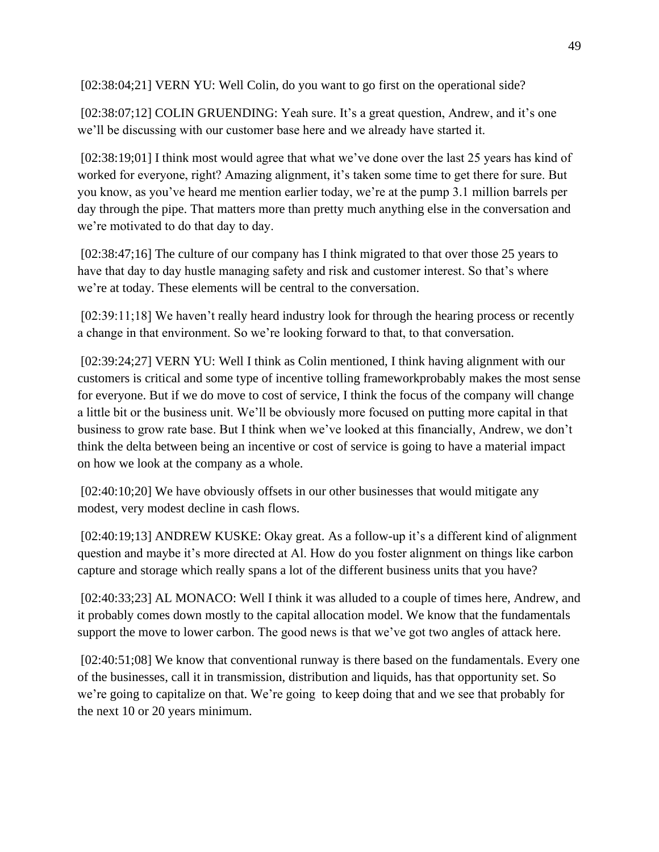[02:38:04;21] VERN YU: Well Colin, do you want to go first on the operational side?

[02:38:07;12] COLIN GRUENDING: Yeah sure. It's a great question, Andrew, and it's one we'll be discussing with our customer base here and we already have started it.

[02:38:19;01] I think most would agree that what we've done over the last 25 years has kind of worked for everyone, right? Amazing alignment, it's taken some time to get there for sure. But you know, as you've heard me mention earlier today, we're at the pump 3.1 million barrels per day through the pipe. That matters more than pretty much anything else in the conversation and we're motivated to do that day to day.

[02:38:47;16] The culture of our company has I think migrated to that over those 25 years to have that day to day hustle managing safety and risk and customer interest. So that's where we're at today. These elements will be central to the conversation.

[02:39:11;18] We haven't really heard industry look for through the hearing process or recently a change in that environment. So we're looking forward to that, to that conversation.

[02:39:24;27] VERN YU: Well I think as Colin mentioned, I think having alignment with our customers is critical and some type of incentive tolling frameworkprobably makes the most sense for everyone. But if we do move to cost of service, I think the focus of the company will change a little bit or the business unit. We'll be obviously more focused on putting more capital in that business to grow rate base. But I think when we've looked at this financially, Andrew, we don't think the delta between being an incentive or cost of service is going to have a material impact on how we look at the company as a whole.

[02:40:10;20] We have obviously offsets in our other businesses that would mitigate any modest, very modest decline in cash flows.

[02:40:19;13] ANDREW KUSKE: Okay great. As a follow-up it's a different kind of alignment question and maybe it's more directed at Al. How do you foster alignment on things like carbon capture and storage which really spans a lot of the different business units that you have?

[02:40:33;23] AL MONACO: Well I think it was alluded to a couple of times here, Andrew, and it probably comes down mostly to the capital allocation model. We know that the fundamentals support the move to lower carbon. The good news is that we've got two angles of attack here.

[02:40:51;08] We know that conventional runway is there based on the fundamentals. Every one of the businesses, call it in transmission, distribution and liquids, has that opportunity set. So we're going to capitalize on that. We're going to keep doing that and we see that probably for the next 10 or 20 years minimum.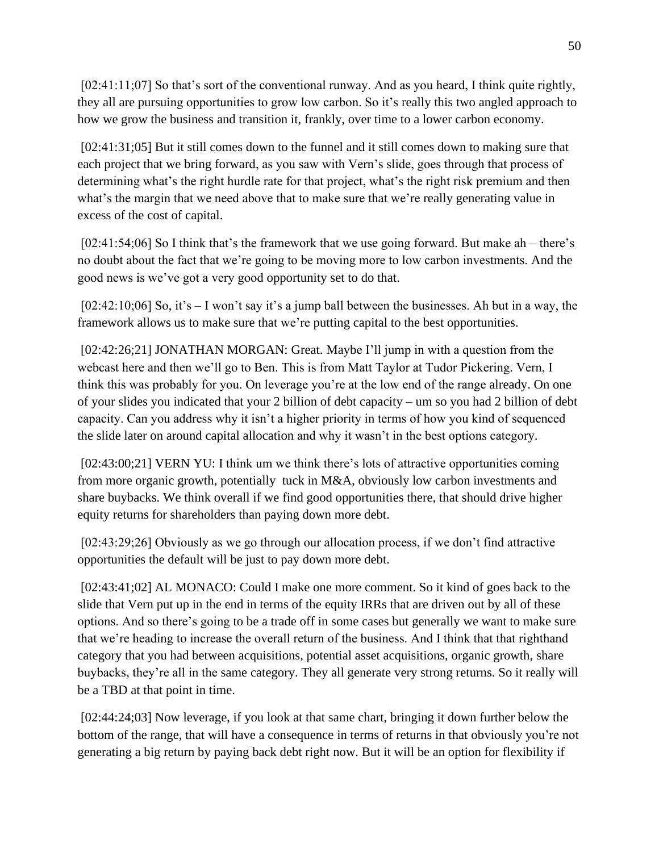[02:41:11;07] So that's sort of the conventional runway. And as you heard, I think quite rightly, they all are pursuing opportunities to grow low carbon. So it's really this two angled approach to how we grow the business and transition it, frankly, over time to a lower carbon economy.

[02:41:31;05] But it still comes down to the funnel and it still comes down to making sure that each project that we bring forward, as you saw with Vern's slide, goes through that process of determining what's the right hurdle rate for that project, what's the right risk premium and then what's the margin that we need above that to make sure that we're really generating value in excess of the cost of capital.

[02:41:54;06] So I think that's the framework that we use going forward. But make ah – there's no doubt about the fact that we're going to be moving more to low carbon investments. And the good news is we've got a very good opportunity set to do that.

[02:42:10;06] So, it's – I won't say it's a jump ball between the businesses. Ah but in a way, the framework allows us to make sure that we're putting capital to the best opportunities.

[02:42:26;21] JONATHAN MORGAN: Great. Maybe I'll jump in with a question from the webcast here and then we'll go to Ben. This is from Matt Taylor at Tudor Pickering. Vern, I think this was probably for you. On leverage you're at the low end of the range already. On one of your slides you indicated that your 2 billion of debt capacity – um so you had 2 billion of debt capacity. Can you address why it isn't a higher priority in terms of how you kind of sequenced the slide later on around capital allocation and why it wasn't in the best options category.

[02:43:00;21] VERN YU: I think um we think there's lots of attractive opportunities coming from more organic growth, potentially tuck in M&A, obviously low carbon investments and share buybacks. We think overall if we find good opportunities there, that should drive higher equity returns for shareholders than paying down more debt.

[02:43:29;26] Obviously as we go through our allocation process, if we don't find attractive opportunities the default will be just to pay down more debt.

[02:43:41;02] AL MONACO: Could I make one more comment. So it kind of goes back to the slide that Vern put up in the end in terms of the equity IRRs that are driven out by all of these options. And so there's going to be a trade off in some cases but generally we want to make sure that we're heading to increase the overall return of the business. And I think that that righthand category that you had between acquisitions, potential asset acquisitions, organic growth, share buybacks, they're all in the same category. They all generate very strong returns. So it really will be a TBD at that point in time.

[02:44:24;03] Now leverage, if you look at that same chart, bringing it down further below the bottom of the range, that will have a consequence in terms of returns in that obviously you're not generating a big return by paying back debt right now. But it will be an option for flexibility if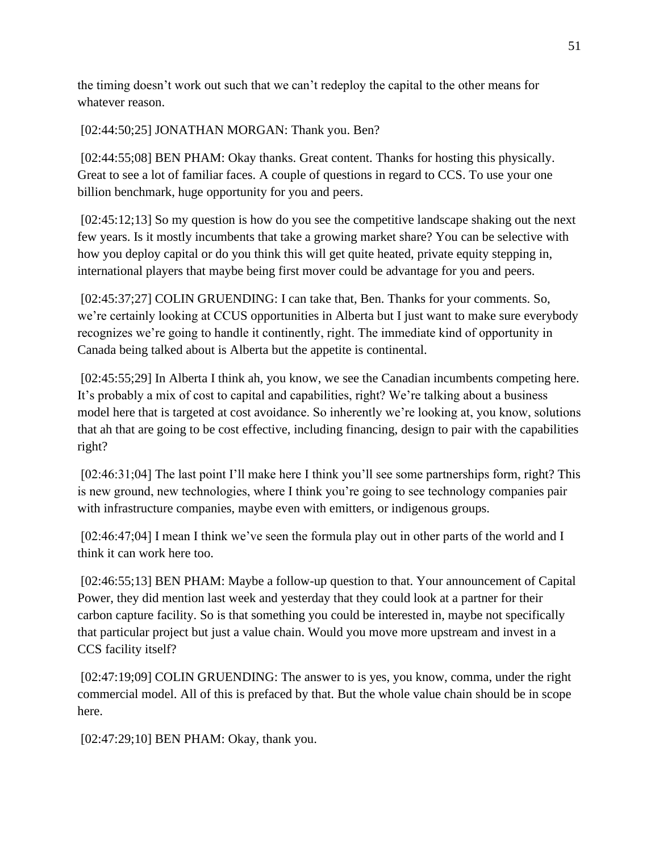the timing doesn't work out such that we can't redeploy the capital to the other means for whatever reason.

[02:44:50;25] JONATHAN MORGAN: Thank you. Ben?

[02:44:55;08] BEN PHAM: Okay thanks. Great content. Thanks for hosting this physically. Great to see a lot of familiar faces. A couple of questions in regard to CCS. To use your one billion benchmark, huge opportunity for you and peers.

[02:45:12;13] So my question is how do you see the competitive landscape shaking out the next few years. Is it mostly incumbents that take a growing market share? You can be selective with how you deploy capital or do you think this will get quite heated, private equity stepping in, international players that maybe being first mover could be advantage for you and peers.

[02:45:37;27] COLIN GRUENDING: I can take that, Ben. Thanks for your comments. So, we're certainly looking at CCUS opportunities in Alberta but I just want to make sure everybody recognizes we're going to handle it continently, right. The immediate kind of opportunity in Canada being talked about is Alberta but the appetite is continental.

[02:45:55;29] In Alberta I think ah, you know, we see the Canadian incumbents competing here. It's probably a mix of cost to capital and capabilities, right? We're talking about a business model here that is targeted at cost avoidance. So inherently we're looking at, you know, solutions that ah that are going to be cost effective, including financing, design to pair with the capabilities right?

[02:46:31;04] The last point I'll make here I think you'll see some partnerships form, right? This is new ground, new technologies, where I think you're going to see technology companies pair with infrastructure companies, maybe even with emitters, or indigenous groups.

[02:46:47;04] I mean I think we've seen the formula play out in other parts of the world and I think it can work here too.

[02:46:55;13] BEN PHAM: Maybe a follow-up question to that. Your announcement of Capital Power, they did mention last week and yesterday that they could look at a partner for their carbon capture facility. So is that something you could be interested in, maybe not specifically that particular project but just a value chain. Would you move more upstream and invest in a CCS facility itself?

[02:47:19;09] COLIN GRUENDING: The answer to is yes, you know, comma, under the right commercial model. All of this is prefaced by that. But the whole value chain should be in scope here.

[02:47:29;10] BEN PHAM: Okay, thank you.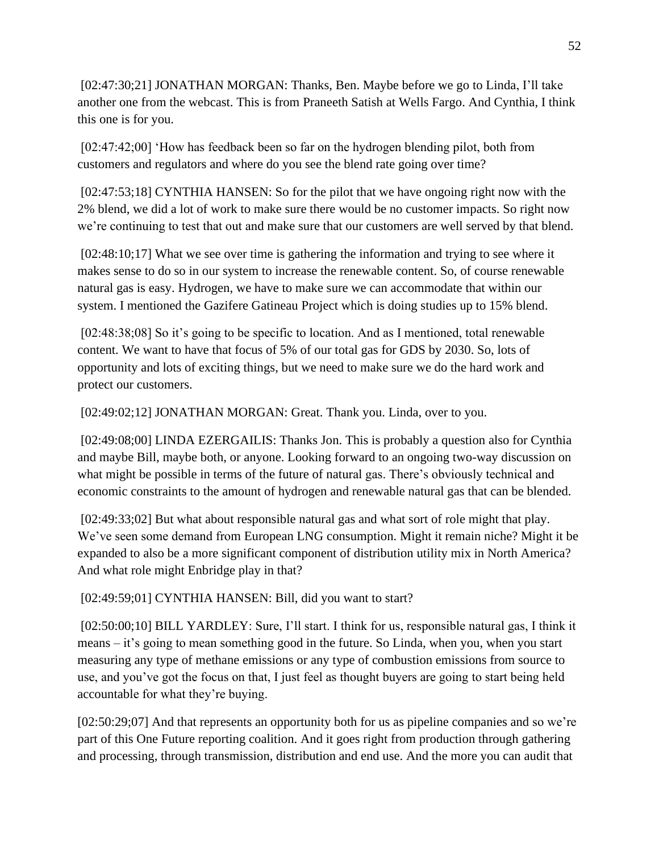[02:47:30;21] JONATHAN MORGAN: Thanks, Ben. Maybe before we go to Linda, I'll take another one from the webcast. This is from Praneeth Satish at Wells Fargo. And Cynthia, I think this one is for you.

[02:47:42;00] 'How has feedback been so far on the hydrogen blending pilot, both from customers and regulators and where do you see the blend rate going over time?

[02:47:53;18] CYNTHIA HANSEN: So for the pilot that we have ongoing right now with the 2% blend, we did a lot of work to make sure there would be no customer impacts. So right now we're continuing to test that out and make sure that our customers are well served by that blend.

[02:48:10;17] What we see over time is gathering the information and trying to see where it makes sense to do so in our system to increase the renewable content. So, of course renewable natural gas is easy. Hydrogen, we have to make sure we can accommodate that within our system. I mentioned the Gazifere Gatineau Project which is doing studies up to 15% blend.

[02:48:38;08] So it's going to be specific to location. And as I mentioned, total renewable content. We want to have that focus of 5% of our total gas for GDS by 2030. So, lots of opportunity and lots of exciting things, but we need to make sure we do the hard work and protect our customers.

[02:49:02;12] JONATHAN MORGAN: Great. Thank you. Linda, over to you.

[02:49:08;00] LINDA EZERGAILIS: Thanks Jon. This is probably a question also for Cynthia and maybe Bill, maybe both, or anyone. Looking forward to an ongoing two-way discussion on what might be possible in terms of the future of natural gas. There's obviously technical and economic constraints to the amount of hydrogen and renewable natural gas that can be blended.

[02:49:33;02] But what about responsible natural gas and what sort of role might that play. We've seen some demand from European LNG consumption. Might it remain niche? Might it be expanded to also be a more significant component of distribution utility mix in North America? And what role might Enbridge play in that?

[02:49:59;01] CYNTHIA HANSEN: Bill, did you want to start?

[02:50:00;10] BILL YARDLEY: Sure, I'll start. I think for us, responsible natural gas, I think it means – it's going to mean something good in the future. So Linda, when you, when you start measuring any type of methane emissions or any type of combustion emissions from source to use, and you've got the focus on that, I just feel as thought buyers are going to start being held accountable for what they're buying.

[02:50:29;07] And that represents an opportunity both for us as pipeline companies and so we're part of this One Future reporting coalition. And it goes right from production through gathering and processing, through transmission, distribution and end use. And the more you can audit that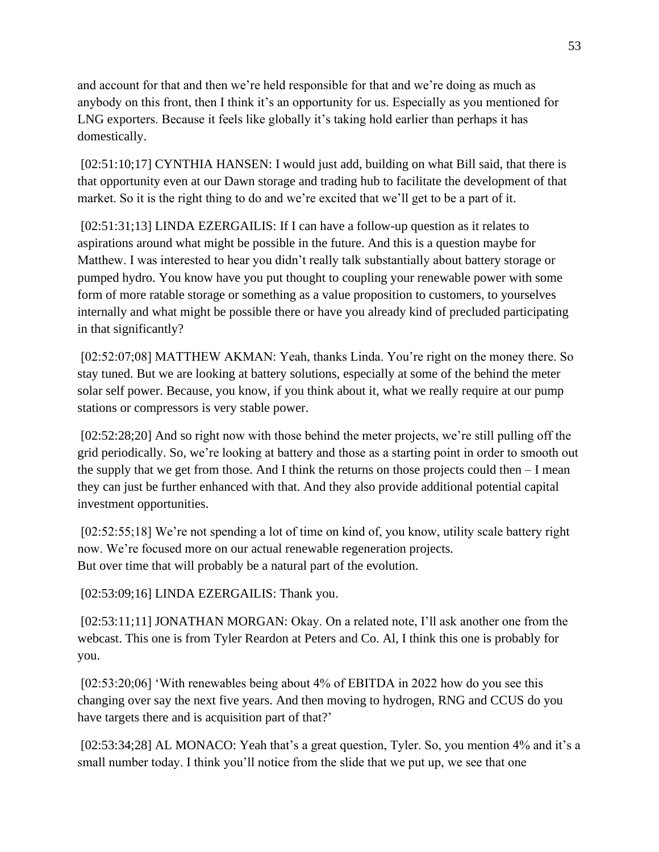and account for that and then we're held responsible for that and we're doing as much as anybody on this front, then I think it's an opportunity for us. Especially as you mentioned for LNG exporters. Because it feels like globally it's taking hold earlier than perhaps it has domestically.

[02:51:10;17] CYNTHIA HANSEN: I would just add, building on what Bill said, that there is that opportunity even at our Dawn storage and trading hub to facilitate the development of that market. So it is the right thing to do and we're excited that we'll get to be a part of it.

[02:51:31;13] LINDA EZERGAILIS: If I can have a follow-up question as it relates to aspirations around what might be possible in the future. And this is a question maybe for Matthew. I was interested to hear you didn't really talk substantially about battery storage or pumped hydro. You know have you put thought to coupling your renewable power with some form of more ratable storage or something as a value proposition to customers, to yourselves internally and what might be possible there or have you already kind of precluded participating in that significantly?

[02:52:07;08] MATTHEW AKMAN: Yeah, thanks Linda. You're right on the money there. So stay tuned. But we are looking at battery solutions, especially at some of the behind the meter solar self power. Because, you know, if you think about it, what we really require at our pump stations or compressors is very stable power.

[02:52:28;20] And so right now with those behind the meter projects, we're still pulling off the grid periodically. So, we're looking at battery and those as a starting point in order to smooth out the supply that we get from those. And I think the returns on those projects could then – I mean they can just be further enhanced with that. And they also provide additional potential capital investment opportunities.

[02:52:55;18] We're not spending a lot of time on kind of, you know, utility scale battery right now. We're focused more on our actual renewable regeneration projects. But over time that will probably be a natural part of the evolution.

[02:53:09;16] LINDA EZERGAILIS: Thank you.

[02:53:11;11] JONATHAN MORGAN: Okay. On a related note, I'll ask another one from the webcast. This one is from Tyler Reardon at Peters and Co. Al, I think this one is probably for you.

[02:53:20;06] 'With renewables being about 4% of EBITDA in 2022 how do you see this changing over say the next five years. And then moving to hydrogen, RNG and CCUS do you have targets there and is acquisition part of that?'

[02:53:34;28] AL MONACO: Yeah that's a great question, Tyler. So, you mention 4% and it's a small number today. I think you'll notice from the slide that we put up, we see that one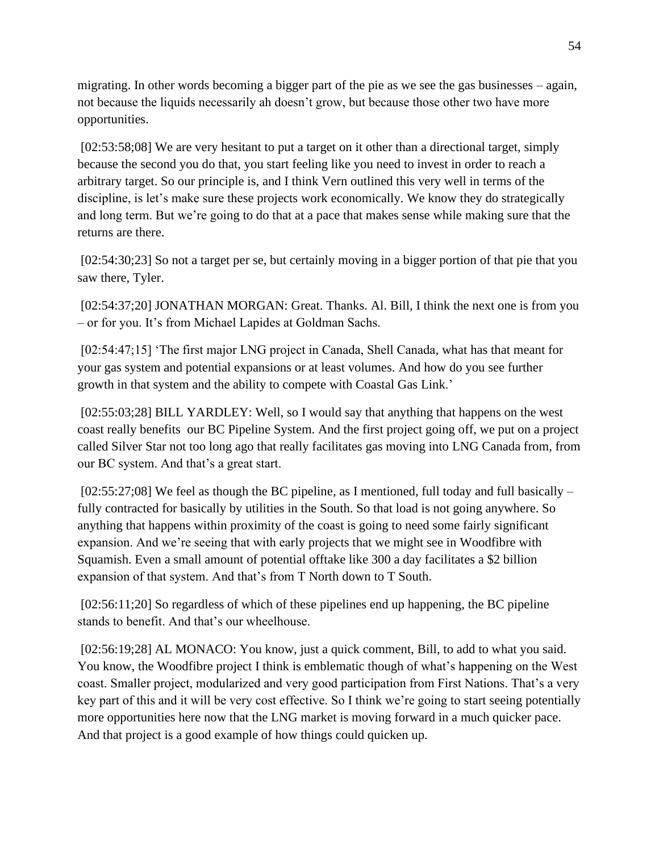migrating. In other words becoming a bigger part of the pie as we see the gas businesses – again, not because the liquids necessarily ah doesn't grow, but because those other two have more opportunities.

[02:53:58;08] We are very hesitant to put a target on it other than a directional target, simply because the second you do that, you start feeling like you need to invest in order to reach a arbitrary target. So our principle is, and I think Vern outlined this very well in terms of the discipline, is let's make sure these projects work economically. We know they do strategically and long term. But we're going to do that at a pace that makes sense while making sure that the returns are there.

[02:54:30;23] So not a target per se, but certainly moving in a bigger portion of that pie that you saw there, Tyler.

[02:54:37;20] JONATHAN MORGAN: Great. Thanks. Al. Bill, I think the next one is from you – or for you. It's from Michael Lapides at Goldman Sachs.

[02:54:47;15] 'The first major LNG project in Canada, Shell Canada, what has that meant for your gas system and potential expansions or at least volumes. And how do you see further growth in that system and the ability to compete with Coastal Gas Link.'

[02:55:03;28] BILL YARDLEY: Well, so I would say that anything that happens on the west coast really benefits our BC Pipeline System. And the first project going off, we put on a project called Silver Star not too long ago that really facilitates gas moving into LNG Canada from, from our BC system. And that's a great start.

 $[02:55:27:08]$  We feel as though the BC pipeline, as I mentioned, full today and full basically – fully contracted for basically by utilities in the South. So that load is not going anywhere. So anything that happens within proximity of the coast is going to need some fairly significant expansion. And we're seeing that with early projects that we might see in Woodfibre with Squamish. Even a small amount of potential offtake like 300 a day facilitates a \$2 billion expansion of that system. And that's from T North down to T South.

[02:56:11;20] So regardless of which of these pipelines end up happening, the BC pipeline stands to benefit. And that's our wheelhouse.

[02:56:19;28] AL MONACO: You know, just a quick comment, Bill, to add to what you said. You know, the Woodfibre project I think is emblematic though of what's happening on the West coast. Smaller project, modularized and very good participation from First Nations. That's a very key part of this and it will be very cost effective. So I think we're going to start seeing potentially more opportunities here now that the LNG market is moving forward in a much quicker pace. And that project is a good example of how things could quicken up.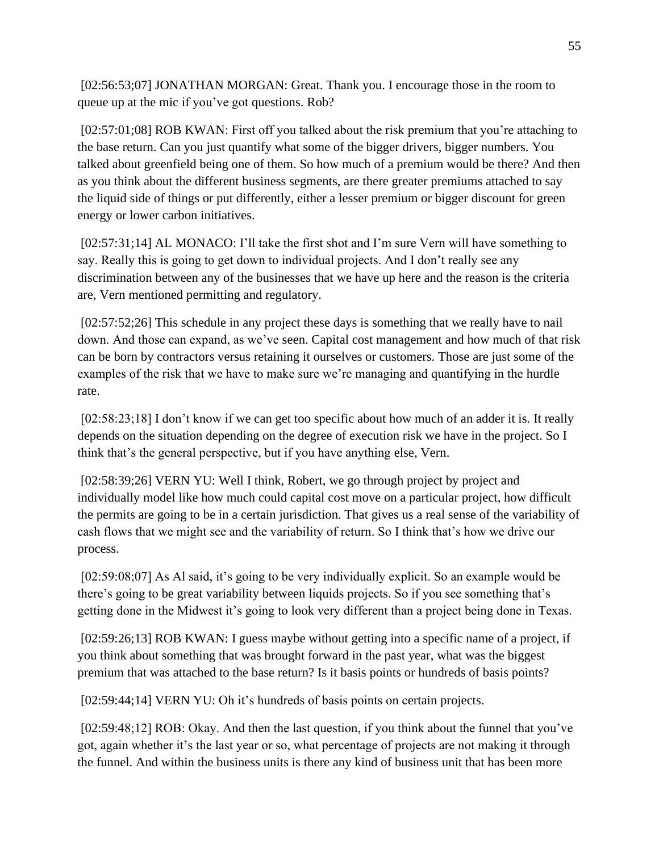[02:56:53;07] JONATHAN MORGAN: Great. Thank you. I encourage those in the room to queue up at the mic if you've got questions. Rob?

[02:57:01;08] ROB KWAN: First off you talked about the risk premium that you're attaching to the base return. Can you just quantify what some of the bigger drivers, bigger numbers. You talked about greenfield being one of them. So how much of a premium would be there? And then as you think about the different business segments, are there greater premiums attached to say the liquid side of things or put differently, either a lesser premium or bigger discount for green energy or lower carbon initiatives.

[02:57:31;14] AL MONACO: I'll take the first shot and I'm sure Vern will have something to say. Really this is going to get down to individual projects. And I don't really see any discrimination between any of the businesses that we have up here and the reason is the criteria are, Vern mentioned permitting and regulatory.

[02:57:52;26] This schedule in any project these days is something that we really have to nail down. And those can expand, as we've seen. Capital cost management and how much of that risk can be born by contractors versus retaining it ourselves or customers. Those are just some of the examples of the risk that we have to make sure we're managing and quantifying in the hurdle rate.

[02:58:23;18] I don't know if we can get too specific about how much of an adder it is. It really depends on the situation depending on the degree of execution risk we have in the project. So I think that's the general perspective, but if you have anything else, Vern.

[02:58:39;26] VERN YU: Well I think, Robert, we go through project by project and individually model like how much could capital cost move on a particular project, how difficult the permits are going to be in a certain jurisdiction. That gives us a real sense of the variability of cash flows that we might see and the variability of return. So I think that's how we drive our process.

[02:59:08;07] As Al said, it's going to be very individually explicit. So an example would be there's going to be great variability between liquids projects. So if you see something that's getting done in the Midwest it's going to look very different than a project being done in Texas.

[02:59:26;13] ROB KWAN: I guess maybe without getting into a specific name of a project, if you think about something that was brought forward in the past year, what was the biggest premium that was attached to the base return? Is it basis points or hundreds of basis points?

[02:59:44;14] VERN YU: Oh it's hundreds of basis points on certain projects.

[02:59:48;12] ROB: Okay. And then the last question, if you think about the funnel that you've got, again whether it's the last year or so, what percentage of projects are not making it through the funnel. And within the business units is there any kind of business unit that has been more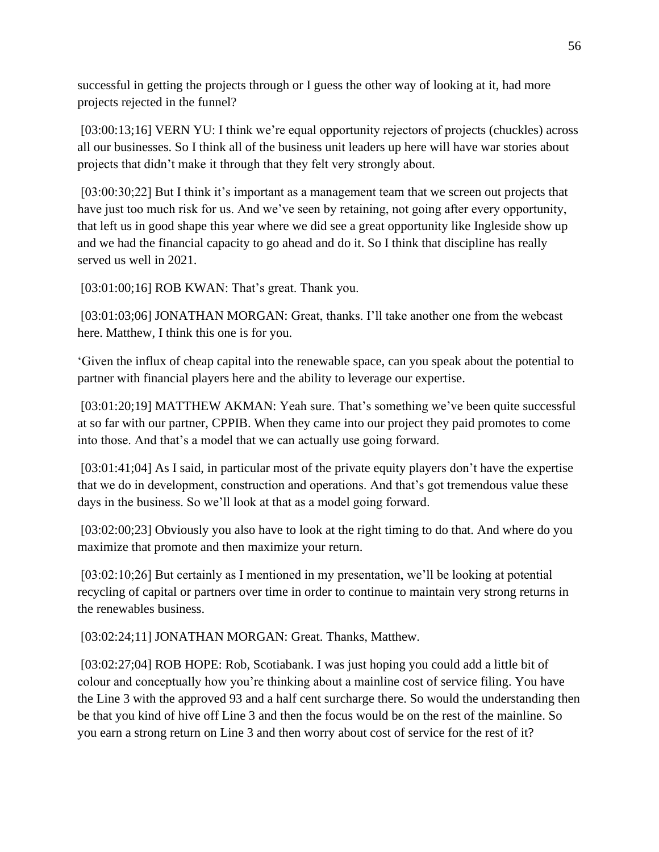successful in getting the projects through or I guess the other way of looking at it, had more projects rejected in the funnel?

[03:00:13;16] VERN YU: I think we're equal opportunity rejectors of projects (chuckles) across all our businesses. So I think all of the business unit leaders up here will have war stories about projects that didn't make it through that they felt very strongly about.

[03:00:30;22] But I think it's important as a management team that we screen out projects that have just too much risk for us. And we've seen by retaining, not going after every opportunity, that left us in good shape this year where we did see a great opportunity like Ingleside show up and we had the financial capacity to go ahead and do it. So I think that discipline has really served us well in 2021.

[03:01:00;16] ROB KWAN: That's great. Thank you.

[03:01:03;06] JONATHAN MORGAN: Great, thanks. I'll take another one from the webcast here. Matthew, I think this one is for you.

'Given the influx of cheap capital into the renewable space, can you speak about the potential to partner with financial players here and the ability to leverage our expertise.

[03:01:20;19] MATTHEW AKMAN: Yeah sure. That's something we've been quite successful at so far with our partner, CPPIB. When they came into our project they paid promotes to come into those. And that's a model that we can actually use going forward.

[03:01:41;04] As I said, in particular most of the private equity players don't have the expertise that we do in development, construction and operations. And that's got tremendous value these days in the business. So we'll look at that as a model going forward.

[03:02:00;23] Obviously you also have to look at the right timing to do that. And where do you maximize that promote and then maximize your return.

[03:02:10;26] But certainly as I mentioned in my presentation, we'll be looking at potential recycling of capital or partners over time in order to continue to maintain very strong returns in the renewables business.

[03:02:24;11] JONATHAN MORGAN: Great. Thanks, Matthew.

[03:02:27;04] ROB HOPE: Rob, Scotiabank. I was just hoping you could add a little bit of colour and conceptually how you're thinking about a mainline cost of service filing. You have the Line 3 with the approved 93 and a half cent surcharge there. So would the understanding then be that you kind of hive off Line 3 and then the focus would be on the rest of the mainline. So you earn a strong return on Line 3 and then worry about cost of service for the rest of it?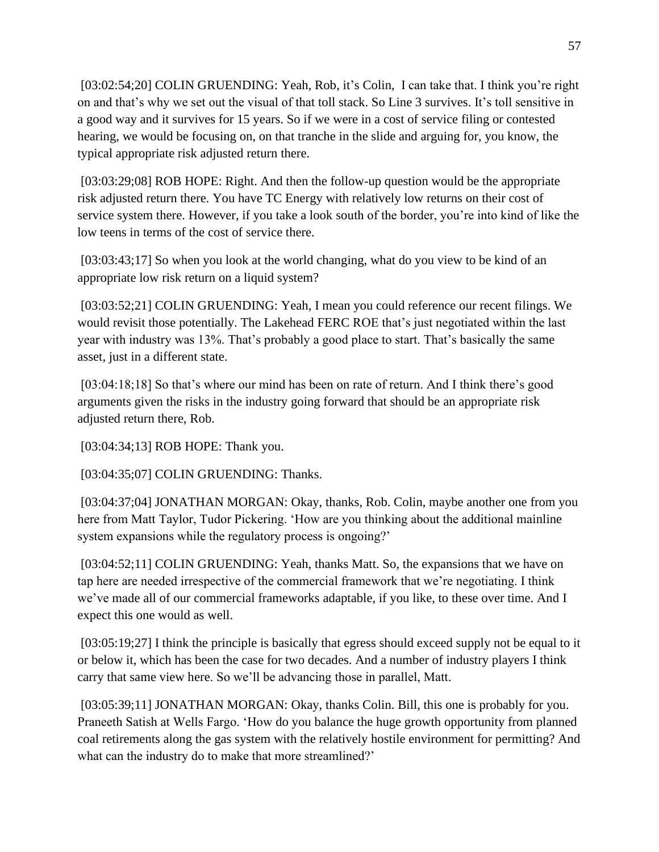[03:02:54;20] COLIN GRUENDING: Yeah, Rob, it's Colin, I can take that. I think you're right on and that's why we set out the visual of that toll stack. So Line 3 survives. It's toll sensitive in a good way and it survives for 15 years. So if we were in a cost of service filing or contested hearing, we would be focusing on, on that tranche in the slide and arguing for, you know, the typical appropriate risk adjusted return there.

[03:03:29;08] ROB HOPE: Right. And then the follow-up question would be the appropriate risk adjusted return there. You have TC Energy with relatively low returns on their cost of service system there. However, if you take a look south of the border, you're into kind of like the low teens in terms of the cost of service there.

[03:03:43;17] So when you look at the world changing, what do you view to be kind of an appropriate low risk return on a liquid system?

[03:03:52;21] COLIN GRUENDING: Yeah, I mean you could reference our recent filings. We would revisit those potentially. The Lakehead FERC ROE that's just negotiated within the last year with industry was 13%. That's probably a good place to start. That's basically the same asset, just in a different state.

[03:04:18;18] So that's where our mind has been on rate of return. And I think there's good arguments given the risks in the industry going forward that should be an appropriate risk adjusted return there, Rob.

[03:04:34;13] ROB HOPE: Thank you.

[03:04:35;07] COLIN GRUENDING: Thanks.

[03:04:37;04] JONATHAN MORGAN: Okay, thanks, Rob. Colin, maybe another one from you here from Matt Taylor, Tudor Pickering. 'How are you thinking about the additional mainline system expansions while the regulatory process is ongoing?'

[03:04:52;11] COLIN GRUENDING: Yeah, thanks Matt. So, the expansions that we have on tap here are needed irrespective of the commercial framework that we're negotiating. I think we've made all of our commercial frameworks adaptable, if you like, to these over time. And I expect this one would as well.

[03:05:19;27] I think the principle is basically that egress should exceed supply not be equal to it or below it, which has been the case for two decades. And a number of industry players I think carry that same view here. So we'll be advancing those in parallel, Matt.

[03:05:39;11] JONATHAN MORGAN: Okay, thanks Colin. Bill, this one is probably for you. Praneeth Satish at Wells Fargo. 'How do you balance the huge growth opportunity from planned coal retirements along the gas system with the relatively hostile environment for permitting? And what can the industry do to make that more streamlined?'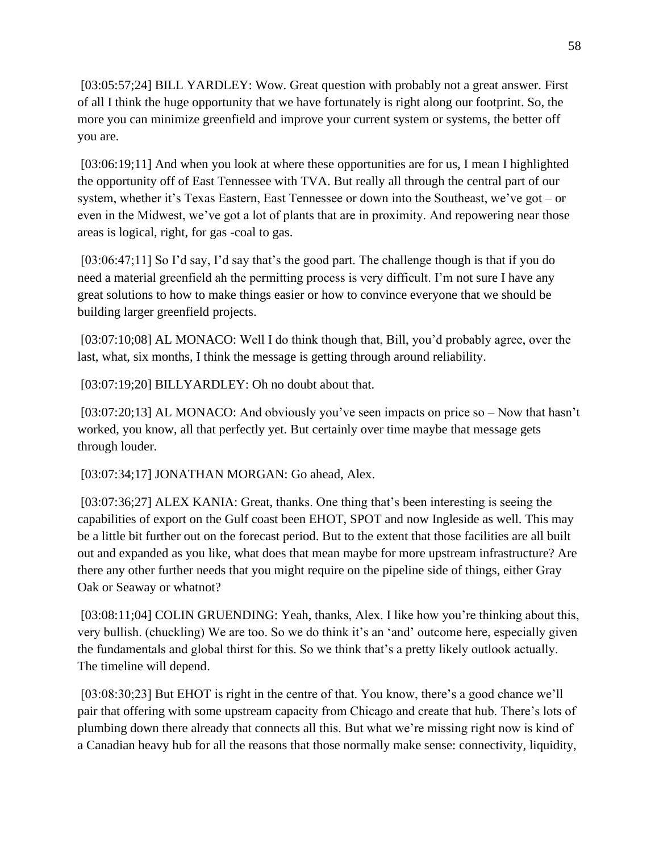[03:05:57;24] BILL YARDLEY: Wow. Great question with probably not a great answer. First of all I think the huge opportunity that we have fortunately is right along our footprint. So, the more you can minimize greenfield and improve your current system or systems, the better off you are.

[03:06:19;11] And when you look at where these opportunities are for us, I mean I highlighted the opportunity off of East Tennessee with TVA. But really all through the central part of our system, whether it's Texas Eastern, East Tennessee or down into the Southeast, we've got – or even in the Midwest, we've got a lot of plants that are in proximity. And repowering near those areas is logical, right, for gas -coal to gas.

[03:06:47;11] So I'd say, I'd say that's the good part. The challenge though is that if you do need a material greenfield ah the permitting process is very difficult. I'm not sure I have any great solutions to how to make things easier or how to convince everyone that we should be building larger greenfield projects.

[03:07:10;08] AL MONACO: Well I do think though that, Bill, you'd probably agree, over the last, what, six months, I think the message is getting through around reliability.

[03:07:19;20] BILLYARDLEY: Oh no doubt about that.

[03:07:20;13] AL MONACO: And obviously you've seen impacts on price so – Now that hasn't worked, you know, all that perfectly yet. But certainly over time maybe that message gets through louder.

[03:07:34;17] JONATHAN MORGAN: Go ahead, Alex.

[03:07:36;27] ALEX KANIA: Great, thanks. One thing that's been interesting is seeing the capabilities of export on the Gulf coast been EHOT, SPOT and now Ingleside as well. This may be a little bit further out on the forecast period. But to the extent that those facilities are all built out and expanded as you like, what does that mean maybe for more upstream infrastructure? Are there any other further needs that you might require on the pipeline side of things, either Gray Oak or Seaway or whatnot?

[03:08:11;04] COLIN GRUENDING: Yeah, thanks, Alex. I like how you're thinking about this, very bullish. (chuckling) We are too. So we do think it's an 'and' outcome here, especially given the fundamentals and global thirst for this. So we think that's a pretty likely outlook actually. The timeline will depend.

[03:08:30;23] But EHOT is right in the centre of that. You know, there's a good chance we'll pair that offering with some upstream capacity from Chicago and create that hub. There's lots of plumbing down there already that connects all this. But what we're missing right now is kind of a Canadian heavy hub for all the reasons that those normally make sense: connectivity, liquidity,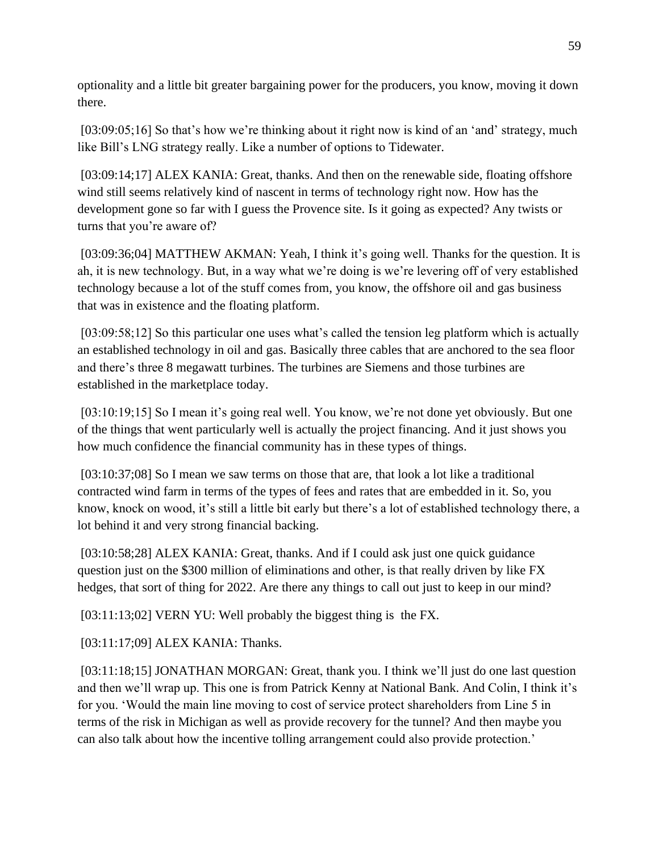optionality and a little bit greater bargaining power for the producers, you know, moving it down there.

[03:09:05;16] So that's how we're thinking about it right now is kind of an 'and' strategy, much like Bill's LNG strategy really. Like a number of options to Tidewater.

[03:09:14;17] ALEX KANIA: Great, thanks. And then on the renewable side, floating offshore wind still seems relatively kind of nascent in terms of technology right now. How has the development gone so far with I guess the Provence site. Is it going as expected? Any twists or turns that you're aware of?

[03:09:36;04] MATTHEW AKMAN: Yeah, I think it's going well. Thanks for the question. It is ah, it is new technology. But, in a way what we're doing is we're levering off of very established technology because a lot of the stuff comes from, you know, the offshore oil and gas business that was in existence and the floating platform.

[03:09:58;12] So this particular one uses what's called the tension leg platform which is actually an established technology in oil and gas. Basically three cables that are anchored to the sea floor and there's three 8 megawatt turbines. The turbines are Siemens and those turbines are established in the marketplace today.

[03:10:19;15] So I mean it's going real well. You know, we're not done yet obviously. But one of the things that went particularly well is actually the project financing. And it just shows you how much confidence the financial community has in these types of things.

[03:10:37:08] So I mean we saw terms on those that are, that look a lot like a traditional contracted wind farm in terms of the types of fees and rates that are embedded in it. So, you know, knock on wood, it's still a little bit early but there's a lot of established technology there, a lot behind it and very strong financial backing.

[03:10:58;28] ALEX KANIA: Great, thanks. And if I could ask just one quick guidance question just on the \$300 million of eliminations and other, is that really driven by like FX hedges, that sort of thing for 2022. Are there any things to call out just to keep in our mind?

[03:11:13;02] VERN YU: Well probably the biggest thing is the FX.

[03:11:17;09] ALEX KANIA: Thanks.

[03:11:18;15] JONATHAN MORGAN: Great, thank you. I think we'll just do one last question and then we'll wrap up. This one is from Patrick Kenny at National Bank. And Colin, I think it's for you. 'Would the main line moving to cost of service protect shareholders from Line 5 in terms of the risk in Michigan as well as provide recovery for the tunnel? And then maybe you can also talk about how the incentive tolling arrangement could also provide protection.'